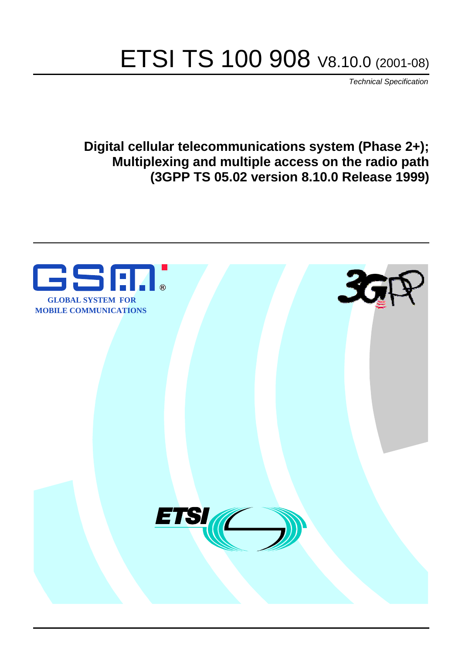# ETSI TS 100 908 V8.10.0 (2001-08)

Technical Specification

**Digital cellular telecommunications system (Phase 2+); Multiplexing and multiple access on the radio path (3GPP TS 05.02 version 8.10.0 Release 1999)**

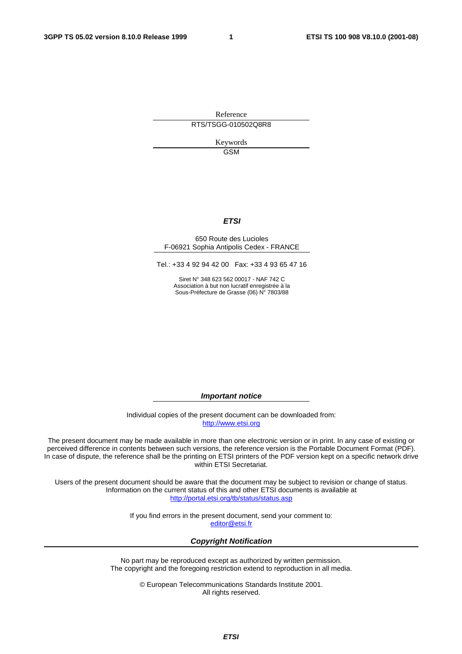Reference RTS/TSGG-010502Q8R8

> Keywords GSM

#### **ETSI**

#### 650 Route des Lucioles F-06921 Sophia Antipolis Cedex - FRANCE

Tel.: +33 4 92 94 42 00 Fax: +33 4 93 65 47 16

Siret N° 348 623 562 00017 - NAF 742 C Association à but non lucratif enregistrée à la Sous-Préfecture de Grasse (06) N° 7803/88

**Important notice** 

Individual copies of the present document can be downloaded from: [http://www.etsi.org](http://www.etsi.org/)

The present document may be made available in more than one electronic version or in print. In any case of existing or perceived difference in contents between such versions, the reference version is the Portable Document Format (PDF). In case of dispute, the reference shall be the printing on ETSI printers of the PDF version kept on a specific network drive within ETSI Secretariat.

Users of the present document should be aware that the document may be subject to revision or change of status. Information on the current status of this and other ETSI documents is available at <http://portal.etsi.org/tb/status/status.asp>

> If you find errors in the present document, send your comment to: [editor@etsi.fr](mailto:editor@etsi.fr)

#### **Copyright Notification**

No part may be reproduced except as authorized by written permission. The copyright and the foregoing restriction extend to reproduction in all media.

> © European Telecommunications Standards Institute 2001. All rights reserved.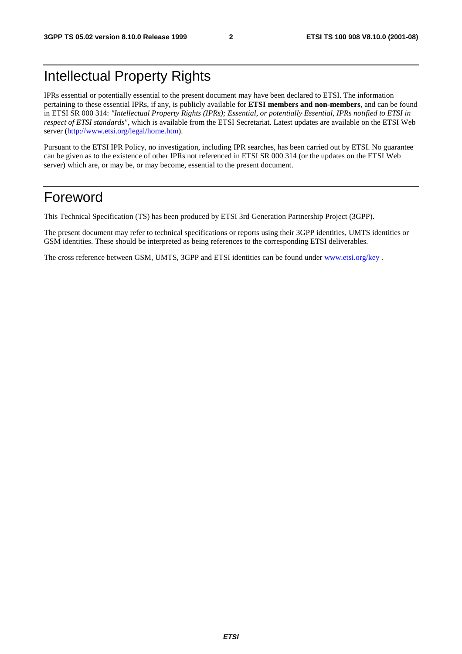# Intellectual Property Rights

IPRs essential or potentially essential to the present document may have been declared to ETSI. The information pertaining to these essential IPRs, if any, is publicly available for **ETSI members and non-members**, and can be found in ETSI SR 000 314: *"Intellectual Property Rights (IPRs); Essential, or potentially Essential, IPRs notified to ETSI in respect of ETSI standards"*, which is available from the ETSI Secretariat. Latest updates are available on the ETSI Web server ([http://www.etsi.org/legal/home.htm\)](http://www.etsi.org/legal/home.htm).

Pursuant to the ETSI IPR Policy, no investigation, including IPR searches, has been carried out by ETSI. No guarantee can be given as to the existence of other IPRs not referenced in ETSI SR 000 314 (or the updates on the ETSI Web server) which are, or may be, or may become, essential to the present document.

# Foreword

This Technical Specification (TS) has been produced by ETSI 3rd Generation Partnership Project (3GPP).

The present document may refer to technical specifications or reports using their 3GPP identities, UMTS identities or GSM identities. These should be interpreted as being references to the corresponding ETSI deliverables.

The cross reference between GSM, UMTS, 3GPP and ETSI identities can be found under [www.etsi.org/key](http://www.etsi.org/key) .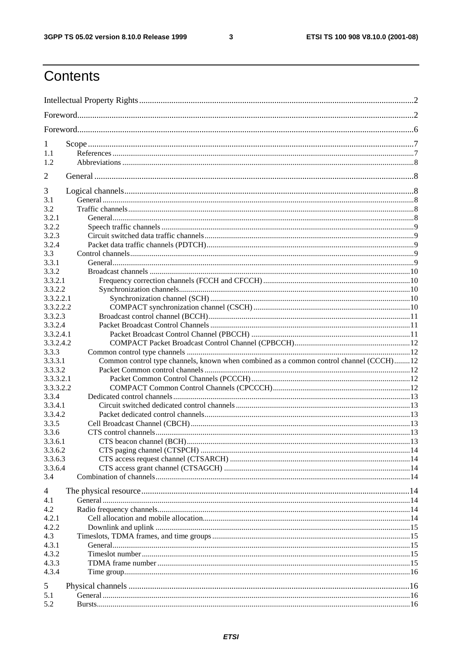$\mathbf{3}$ 

# Contents

| 1                      |                                                                                        |  |  |
|------------------------|----------------------------------------------------------------------------------------|--|--|
| 1.1                    |                                                                                        |  |  |
| 1.2                    |                                                                                        |  |  |
| $\overline{2}$         |                                                                                        |  |  |
| 3                      |                                                                                        |  |  |
| 3.1                    |                                                                                        |  |  |
| 3.2                    |                                                                                        |  |  |
| 3.2.1                  |                                                                                        |  |  |
| 3.2.2                  |                                                                                        |  |  |
| 3.2.3                  |                                                                                        |  |  |
| 3.2.4                  |                                                                                        |  |  |
| 3.3                    |                                                                                        |  |  |
| 3.3.1                  |                                                                                        |  |  |
| 3.3.2                  |                                                                                        |  |  |
| 3.3.2.1                |                                                                                        |  |  |
| 3.3.2.2                |                                                                                        |  |  |
| 3.3.2.2.1<br>3.3.2.2.2 |                                                                                        |  |  |
| 3.3.2.3                |                                                                                        |  |  |
| 3.3.2.4                |                                                                                        |  |  |
| 3.3.2.4.1              |                                                                                        |  |  |
| 3.3.2.4.2              |                                                                                        |  |  |
| 3.3.3                  |                                                                                        |  |  |
| 3.3.3.1                | Common control type channels, known when combined as a common control channel (CCCH)12 |  |  |
| 3.3.3.2                |                                                                                        |  |  |
| 3.3.3.2.1              |                                                                                        |  |  |
| 3.3.3.2.2              |                                                                                        |  |  |
| 3.3.4                  |                                                                                        |  |  |
| 3.3.4.1                |                                                                                        |  |  |
| 3.3.4.2                |                                                                                        |  |  |
| 3.3.5                  |                                                                                        |  |  |
| 3.3.6                  |                                                                                        |  |  |
| 3.3.6.1                |                                                                                        |  |  |
| 3.3.6.2                |                                                                                        |  |  |
| 3.3.6.3<br>3.3.6.4     |                                                                                        |  |  |
| 3.4                    |                                                                                        |  |  |
| 4                      |                                                                                        |  |  |
| 4.1                    |                                                                                        |  |  |
| 4.2                    |                                                                                        |  |  |
| 4.2.1                  |                                                                                        |  |  |
| 4.2.2                  |                                                                                        |  |  |
| 4.3                    |                                                                                        |  |  |
| 4.3.1                  |                                                                                        |  |  |
| 4.3.2                  |                                                                                        |  |  |
| 4.3.3                  |                                                                                        |  |  |
| 4.3.4                  |                                                                                        |  |  |
| 5                      |                                                                                        |  |  |
| 5.1                    |                                                                                        |  |  |
| 5.2                    |                                                                                        |  |  |
|                        |                                                                                        |  |  |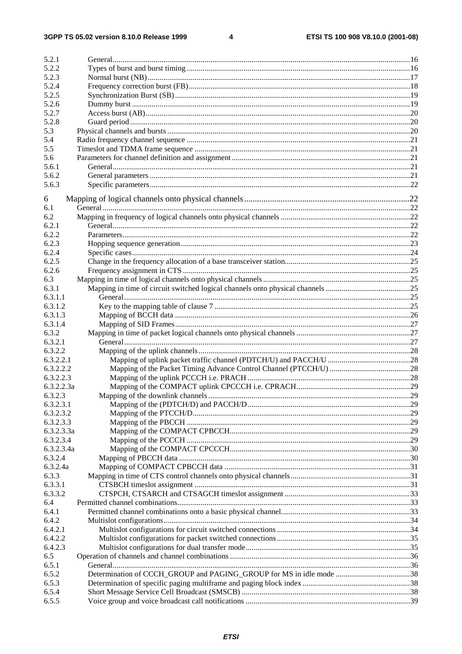$\overline{\mathbf{4}}$ 

| 5.2.1      |  |
|------------|--|
| 5.2.2      |  |
| 5.2.3      |  |
| 5.2.4      |  |
| 5.2.5      |  |
| 5.2.6      |  |
| 5.2.7      |  |
| 5.2.8      |  |
| 5.3        |  |
| 5.4        |  |
| 5.5        |  |
| 5.6        |  |
| 5.6.1      |  |
| 5.6.2      |  |
| 5.6.3      |  |
|            |  |
| 6          |  |
| 6.1        |  |
| 6.2        |  |
| 6.2.1      |  |
| 6.2.2      |  |
| 6.2.3      |  |
| 6.2.4      |  |
| 6.2.5      |  |
| 6.2.6      |  |
| 6.3        |  |
| 6.3.1      |  |
| 6.3.1.1    |  |
| 6.3.1.2    |  |
| 6.3.1.3    |  |
| 6.3.1.4    |  |
| 6.3.2      |  |
| 6.3.2.1    |  |
| 6.3.2.2    |  |
| 6.3.2.2.1  |  |
|            |  |
| 6.3.2.2.2  |  |
| 6.3.2.2.3  |  |
| 6.3.2.2.3a |  |
| 6.3.2.3    |  |
| 6.3.2.3.1  |  |
| 6.3.2.3.2  |  |
| 6.3.2.3.3  |  |
| 6.3.2.3.3a |  |
| 6.3.2.3.4  |  |
| 6.3.2.3.4a |  |
| 6.3.2.4    |  |
| 6.3.2.4a   |  |
| 6.3.3      |  |
| 6.3.3.1    |  |
| 6.3.3.2    |  |
| 6.4        |  |
| 6.4.1      |  |
| 6.4.2      |  |
| 6.4.2.1    |  |
| 6.4.2.2    |  |
| 6.4.2.3    |  |
| 6.5        |  |
| 6.5.1      |  |
|            |  |
| 6.5.2      |  |
| 6.5.3      |  |
| 6.5.4      |  |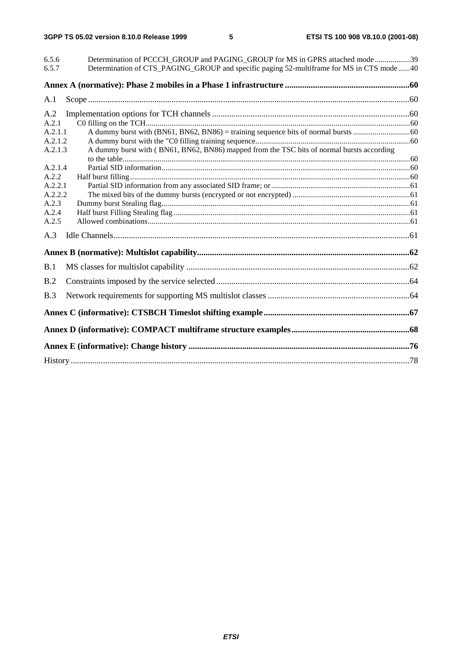| 6.5.6   | Determination of PCCCH GROUP and PAGING GROUP for MS in GPRS attached mode39               |  |
|---------|--------------------------------------------------------------------------------------------|--|
| 6.5.7   | Determination of CTS_PAGING_GROUP and specific paging 52-multiframe for MS in CTS mode  40 |  |
|         |                                                                                            |  |
| A.1     |                                                                                            |  |
| A.2     |                                                                                            |  |
| A.2.1   |                                                                                            |  |
| A.2.1.1 |                                                                                            |  |
| A.2.1.2 |                                                                                            |  |
| A.2.1.3 | A dummy burst with (BN61, BN62, BN86) mapped from the TSC bits of normal bursts according  |  |
|         |                                                                                            |  |
| A.2.1.4 |                                                                                            |  |
| A.2.2   |                                                                                            |  |
| A.2.2.1 |                                                                                            |  |
| A.2.2.2 |                                                                                            |  |
| A.2.3   |                                                                                            |  |
| A.2.4   |                                                                                            |  |
| A.2.5   |                                                                                            |  |
| A.3     |                                                                                            |  |
|         |                                                                                            |  |
| B.1     |                                                                                            |  |
| B.2     |                                                                                            |  |
| B.3     |                                                                                            |  |
|         |                                                                                            |  |
|         |                                                                                            |  |
|         |                                                                                            |  |
|         |                                                                                            |  |
|         |                                                                                            |  |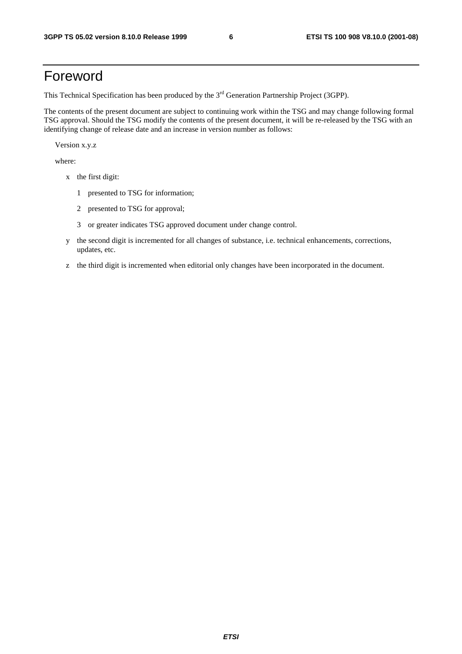# Foreword

This Technical Specification has been produced by the 3<sup>rd</sup> Generation Partnership Project (3GPP).

The contents of the present document are subject to continuing work within the TSG and may change following formal TSG approval. Should the TSG modify the contents of the present document, it will be re-released by the TSG with an identifying change of release date and an increase in version number as follows:

Version x.y.z

where:

- x the first digit:
	- 1 presented to TSG for information;
	- 2 presented to TSG for approval;
	- 3 or greater indicates TSG approved document under change control.
- y the second digit is incremented for all changes of substance, i.e. technical enhancements, corrections, updates, etc.
- z the third digit is incremented when editorial only changes have been incorporated in the document.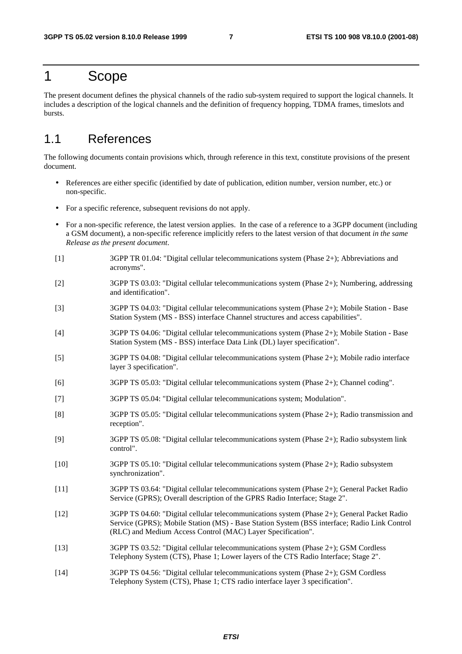# 1 Scope

The present document defines the physical channels of the radio sub-system required to support the logical channels. It includes a description of the logical channels and the definition of frequency hopping, TDMA frames, timeslots and bursts.

# 1.1 References

The following documents contain provisions which, through reference in this text, constitute provisions of the present document.

- References are either specific (identified by date of publication, edition number, version number, etc.) or non-specific.
- For a specific reference, subsequent revisions do not apply.
- For a non-specific reference, the latest version applies. In the case of a reference to a 3GPP document (including a GSM document), a non-specific reference implicitly refers to the latest version of that document *in the same Release as the present document*.
- [1] 3GPP TR 01.04: "Digital cellular telecommunications system (Phase 2+); Abbreviations and acronyms".
- [2] 3GPP TS 03.03: "Digital cellular telecommunications system (Phase 2+); Numbering, addressing and identification".
- [3] 3GPP TS 04.03: "Digital cellular telecommunications system (Phase 2+); Mobile Station Base Station System (MS - BSS) interface Channel structures and access capabilities".
- [4] 3GPP TS 04.06: "Digital cellular telecommunications system (Phase 2+); Mobile Station Base Station System (MS - BSS) interface Data Link (DL) layer specification".
- [5] 3GPP TS 04.08: "Digital cellular telecommunications system (Phase 2+); Mobile radio interface layer 3 specification".
- [6] 3GPP TS 05.03: "Digital cellular telecommunications system (Phase 2+); Channel coding".
- [7] 3GPP TS 05.04: "Digital cellular telecommunications system; Modulation".
- [8] 3GPP TS 05.05: "Digital cellular telecommunications system (Phase 2+); Radio transmission and reception".
- [9] 3GPP TS 05.08: "Digital cellular telecommunications system (Phase 2+); Radio subsystem link control".
- [10] 3GPP TS 05.10: "Digital cellular telecommunications system (Phase 2+); Radio subsystem synchronization".
- [11] 3GPP TS 03.64: "Digital cellular telecommunications system (Phase 2+); General Packet Radio Service (GPRS); Overall description of the GPRS Radio Interface; Stage 2".
- [12] 3GPP TS 04.60: "Digital cellular telecommunications system (Phase 2+); General Packet Radio Service (GPRS); Mobile Station (MS) - Base Station System (BSS interface; Radio Link Control (RLC) and Medium Access Control (MAC) Layer Specification".
- [13] 3GPP TS 03.52: "Digital cellular telecommunications system (Phase 2+); GSM Cordless Telephony System (CTS), Phase 1; Lower layers of the CTS Radio Interface; Stage 2".
- [14] 3GPP TS 04.56: "Digital cellular telecommunications system (Phase 2+); GSM Cordless Telephony System (CTS), Phase 1; CTS radio interface layer 3 specification".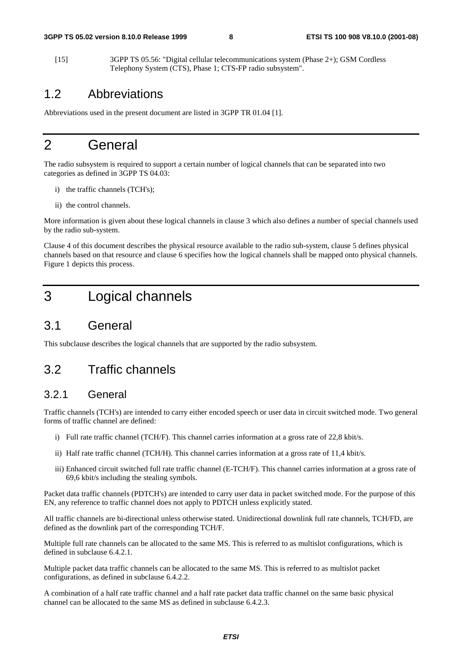[15] 3GPP TS 05.56: "Digital cellular telecommunications system (Phase 2+); GSM Cordless Telephony System (CTS), Phase 1; CTS-FP radio subsystem".

# 1.2 Abbreviations

Abbreviations used in the present document are listed in 3GPP TR 01.04 [1].

# 2 General

The radio subsystem is required to support a certain number of logical channels that can be separated into two categories as defined in 3GPP TS 04.03:

- i) the traffic channels (TCH's);
- ii) the control channels.

More information is given about these logical channels in clause 3 which also defines a number of special channels used by the radio sub-system.

Clause 4 of this document describes the physical resource available to the radio sub-system, clause 5 defines physical channels based on that resource and clause 6 specifies how the logical channels shall be mapped onto physical channels. Figure 1 depicts this process.

# 3 Logical channels

# 3.1 General

This subclause describes the logical channels that are supported by the radio subsystem.

# 3.2 Traffic channels

### 3.2.1 General

Traffic channels (TCH's) are intended to carry either encoded speech or user data in circuit switched mode. Two general forms of traffic channel are defined:

- i) Full rate traffic channel (TCH/F). This channel carries information at a gross rate of 22,8 kbit/s.
- ii) Half rate traffic channel (TCH/H). This channel carries information at a gross rate of 11,4 kbit/s.
- iii) Enhanced circuit switched full rate traffic channel (E-TCH/F). This channel carries information at a gross rate of 69,6 kbit/s including the stealing symbols.

Packet data traffic channels (PDTCH's) are intended to carry user data in packet switched mode. For the purpose of this EN, any reference to traffic channel does not apply to PDTCH unless explicitly stated.

All traffic channels are bi-directional unless otherwise stated. Unidirectional downlink full rate channels, TCH/FD, are defined as the downlink part of the corresponding TCH/F.

Multiple full rate channels can be allocated to the same MS. This is referred to as multislot configurations, which is defined in subclause 6.4.2.1.

Multiple packet data traffic channels can be allocated to the same MS. This is referred to as multislot packet configurations, as defined in subclause 6.4.2.2.

A combination of a half rate traffic channel and a half rate packet data traffic channel on the same basic physical channel can be allocated to the same MS as defined in subclause 6.4.2.3.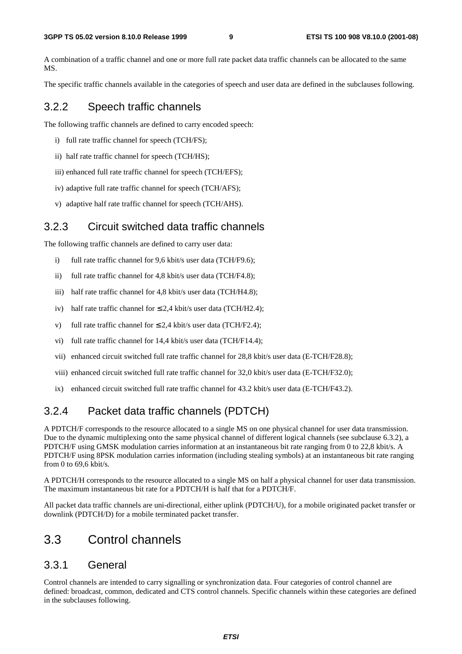A combination of a traffic channel and one or more full rate packet data traffic channels can be allocated to the same MS.

The specific traffic channels available in the categories of speech and user data are defined in the subclauses following.

### 3.2.2 Speech traffic channels

The following traffic channels are defined to carry encoded speech:

- i) full rate traffic channel for speech (TCH/FS);
- ii) half rate traffic channel for speech (TCH/HS);
- iii) enhanced full rate traffic channel for speech (TCH/EFS);
- iv) adaptive full rate traffic channel for speech (TCH/AFS);
- v) adaptive half rate traffic channel for speech (TCH/AHS).

### 3.2.3 Circuit switched data traffic channels

The following traffic channels are defined to carry user data:

- i) full rate traffic channel for 9,6 kbit/s user data (TCH/F9.6);
- ii) full rate traffic channel for 4,8 kbit/s user data (TCH/F4.8);
- iii) half rate traffic channel for 4,8 kbit/s user data (TCH/H4.8);
- iv) half rate traffic channel for  $\leq 2.4$  kbit/s user data (TCH/H2.4);
- v) full rate traffic channel for  $\leq 2.4$  kbit/s user data (TCH/F2.4):
- vi) full rate traffic channel for 14,4 kbit/s user data (TCH/F14.4);
- vii) enhanced circuit switched full rate traffic channel for 28,8 kbit/s user data (E-TCH/F28.8);
- viii) enhanced circuit switched full rate traffic channel for 32,0 kbit/s user data (E-TCH/F32.0);
- ix) enhanced circuit switched full rate traffic channel for 43.2 kbit/s user data (E-TCH/F43.2).

# 3.2.4 Packet data traffic channels (PDTCH)

A PDTCH/F corresponds to the resource allocated to a single MS on one physical channel for user data transmission. Due to the dynamic multiplexing onto the same physical channel of different logical channels (see subclause 6.3.2), a PDTCH/F using GMSK modulation carries information at an instantaneous bit rate ranging from 0 to 22,8 kbit/s. A PDTCH/F using 8PSK modulation carries information (including stealing symbols) at an instantaneous bit rate ranging from 0 to 69,6 kbit/s.

A PDTCH/H corresponds to the resource allocated to a single MS on half a physical channel for user data transmission. The maximum instantaneous bit rate for a PDTCH/H is half that for a PDTCH/F.

All packet data traffic channels are uni-directional, either uplink (PDTCH/U), for a mobile originated packet transfer or downlink (PDTCH/D) for a mobile terminated packet transfer.

# 3.3 Control channels

### 3.3.1 General

Control channels are intended to carry signalling or synchronization data. Four categories of control channel are defined: broadcast, common, dedicated and CTS control channels. Specific channels within these categories are defined in the subclauses following.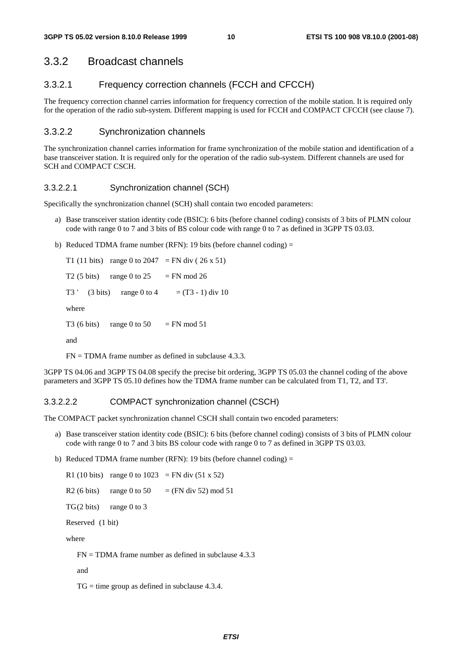#### 3.3.2 Broadcast channels

#### 3.3.2.1 Frequency correction channels (FCCH and CFCCH)

The frequency correction channel carries information for frequency correction of the mobile station. It is required only for the operation of the radio sub-system. Different mapping is used for FCCH and COMPACT CFCCH (see clause 7).

#### 3.3.2.2 Synchronization channels

The synchronization channel carries information for frame synchronization of the mobile station and identification of a base transceiver station. It is required only for the operation of the radio sub-system. Different channels are used for SCH and COMPACT CSCH.

#### 3.3.2.2.1 Synchronization channel (SCH)

Specifically the synchronization channel (SCH) shall contain two encoded parameters:

- a) Base transceiver station identity code (BSIC): 6 bits (before channel coding) consists of 3 bits of PLMN colour code with range 0 to 7 and 3 bits of BS colour code with range 0 to 7 as defined in 3GPP TS 03.03.
- b) Reduced TDMA frame number (RFN): 19 bits (before channel coding)  $=$

T1 (11 bits) range 0 to 2047 = FN div (26 x 51) T2 (5 bits) range 0 to  $25 = FN \text{ mod } 26$ T3 ' (3 bits) range 0 to 4 =  $(T3 - 1)$  div 10 where T3 (6 bits) range 0 to 50 = FN mod 51 and

 $FN = TDMA$  frame number as defined in subclause 4.3.3.

3GPP TS 04.06 and 3GPP TS 04.08 specify the precise bit ordering, 3GPP TS 05.03 the channel coding of the above parameters and 3GPP TS 05.10 defines how the TDMA frame number can be calculated from T1, T2, and T3'.

#### 3.3.2.2.2 COMPACT synchronization channel (CSCH)

The COMPACT packet synchronization channel CSCH shall contain two encoded parameters:

- a) Base transceiver station identity code (BSIC): 6 bits (before channel coding) consists of 3 bits of PLMN colour code with range 0 to 7 and 3 bits BS colour code with range 0 to 7 as defined in 3GPP TS 03.03.
- b) Reduced TDMA frame number (RFN): 19 bits (before channel coding) =

R1 (10 bits) range 0 to 1023 = FN div  $(51 \times 52)$ R2 (6 bits) range 0 to 50 = (FN div 52) mod 51  $TG(2 \text{ bits})$  range 0 to 3 Reserved (1 bit)

where

 $FN = TDMA$  frame number as defined in subclause 4.3.3

and

 $TG = time$  group as defined in subclause 4.3.4.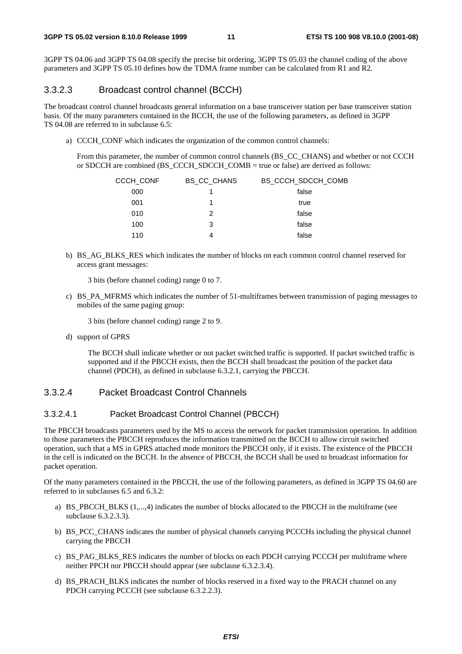3GPP TS 04.06 and 3GPP TS 04.08 specify the precise bit ordering, 3GPP TS 05.03 the channel coding of the above parameters and 3GPP TS 05.10 defines how the TDMA frame number can be calculated from R1 and R2.

#### 3.3.2.3 Broadcast control channel (BCCH)

The broadcast control channel broadcasts general information on a base transceiver station per base transceiver station basis. Of the many parameters contained in the BCCH, the use of the following parameters, as defined in 3GPP TS 04.08 are referred to in subclause 6.5:

a) CCCH CONF which indicates the organization of the common control channels:

 From this parameter, the number of common control channels (BS\_CC\_CHANS) and whether or not CCCH or SDCCH are combined (BS\_CCCH\_SDCCH\_COMB = true or false) are derived as follows:

| CCCH CONF | <b>BS CC CHANS</b> | BS CCCH SDCCH COMB |
|-----------|--------------------|--------------------|
| 000       |                    | false              |
| 001       |                    | true               |
| 010       | 2                  | false              |
| 100       | 3                  | false              |
| 110       | 4                  | false              |

b) BS\_AG\_BLKS\_RES which indicates the number of blocks on each common control channel reserved for access grant messages:

3 bits (before channel coding) range 0 to 7.

c) BS\_PA\_MFRMS which indicates the number of 51-multiframes between transmission of paging messages to mobiles of the same paging group:

3 bits (before channel coding) range 2 to 9.

d) support of GPRS

 The BCCH shall indicate whether or not packet switched traffic is supported. If packet switched traffic is supported and if the PBCCH exists, then the BCCH shall broadcast the position of the packet data channel (PDCH), as defined in subclause 6.3.2.1, carrying the PBCCH.

#### 3.3.2.4 Packet Broadcast Control Channels

#### 3.3.2.4.1 Packet Broadcast Control Channel (PBCCH)

The PBCCH broadcasts parameters used by the MS to access the network for packet transmission operation. In addition to those parameters the PBCCH reproduces the information transmitted on the BCCH to allow circuit switched operation, such that a MS in GPRS attached mode monitors the PBCCH only, if it exists. The existence of the PBCCH in the cell is indicated on the BCCH. In the absence of PBCCH, the BCCH shall be used to broadcast information for packet operation.

Of the many parameters contained in the PBCCH, the use of the following parameters, as defined in 3GPP TS 04.60 are referred to in subclauses 6.5 and 6.3.2:

- a) BS\_PBCCH\_BLKS  $(1,...,4)$  indicates the number of blocks allocated to the PBCCH in the multiframe (see subclause 6.3.2.3.3).
- b) BS PCC CHANS indicates the number of physical channels carrying PCCCHs including the physical channel carrying the PBCCH
- c) BS\_PAG\_BLKS\_RES indicates the number of blocks on each PDCH carrying PCCCH per multiframe where neither PPCH nor PBCCH should appear (see subclause 6.3.2.3.4).
- d) BS\_PRACH\_BLKS indicates the number of blocks reserved in a fixed way to the PRACH channel on any PDCH carrying PCCCH (see subclause 6.3.2.2.3).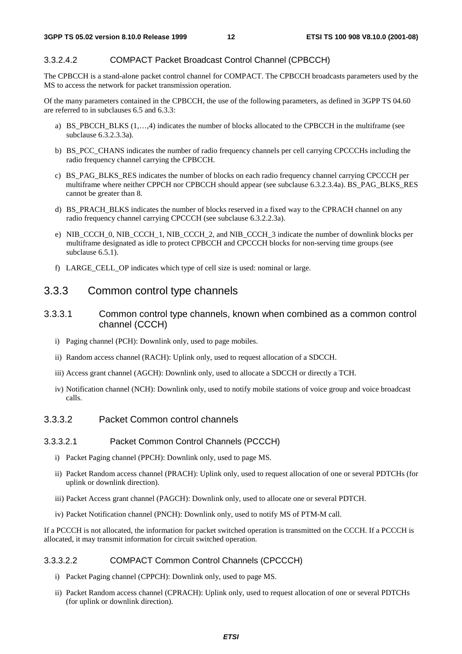#### 3.3.2.4.2 COMPACT Packet Broadcast Control Channel (CPBCCH)

The CPBCCH is a stand-alone packet control channel for COMPACT. The CPBCCH broadcasts parameters used by the MS to access the network for packet transmission operation.

Of the many parameters contained in the CPBCCH, the use of the following parameters, as defined in 3GPP TS 04.60 are referred to in subclauses 6.5 and 6.3.3:

- a) BS\_PBCCH\_BLKS (1,…,4) indicates the number of blocks allocated to the CPBCCH in the multiframe (see subclause 6.3.2.3.3a).
- b) BS\_PCC\_CHANS indicates the number of radio frequency channels per cell carrying CPCCCHs including the radio frequency channel carrying the CPBCCH.
- c) BS\_PAG\_BLKS\_RES indicates the number of blocks on each radio frequency channel carrying CPCCCH per multiframe where neither CPPCH nor CPBCCH should appear (see subclause 6.3.2.3.4a). BS\_PAG\_BLKS\_RES cannot be greater than 8.
- d) BS\_PRACH\_BLKS indicates the number of blocks reserved in a fixed way to the CPRACH channel on any radio frequency channel carrying CPCCCH (see subclause 6.3.2.2.3a).
- e) NIB\_CCCH\_0, NIB\_CCCH\_1, NIB\_CCCH\_2, and NIB\_CCCH\_3 indicate the number of downlink blocks per multiframe designated as idle to protect CPBCCH and CPCCCH blocks for non-serving time groups (see subclause  $6.5.1$ ).
- f) LARGE\_CELL\_OP indicates which type of cell size is used: nominal or large.

#### 3.3.3 Common control type channels

- 3.3.3.1 Common control type channels, known when combined as a common control channel (CCCH)
	- i) Paging channel (PCH): Downlink only, used to page mobiles.
	- ii) Random access channel (RACH): Uplink only, used to request allocation of a SDCCH.
	- iii) Access grant channel (AGCH): Downlink only, used to allocate a SDCCH or directly a TCH.
	- iv) Notification channel (NCH): Downlink only, used to notify mobile stations of voice group and voice broadcast calls.

#### 3.3.3.2 Packet Common control channels

#### 3.3.3.2.1 Packet Common Control Channels (PCCCH)

- i) Packet Paging channel (PPCH): Downlink only, used to page MS.
- ii) Packet Random access channel (PRACH): Uplink only, used to request allocation of one or several PDTCHs (for uplink or downlink direction).
- iii) Packet Access grant channel (PAGCH): Downlink only, used to allocate one or several PDTCH.
- iv) Packet Notification channel (PNCH): Downlink only, used to notify MS of PTM-M call.

If a PCCCH is not allocated, the information for packet switched operation is transmitted on the CCCH. If a PCCCH is allocated, it may transmit information for circuit switched operation.

#### 3.3.3.2.2 COMPACT Common Control Channels (CPCCCH)

- i) Packet Paging channel (CPPCH): Downlink only, used to page MS.
- ii) Packet Random access channel (CPRACH): Uplink only, used to request allocation of one or several PDTCHs (for uplink or downlink direction).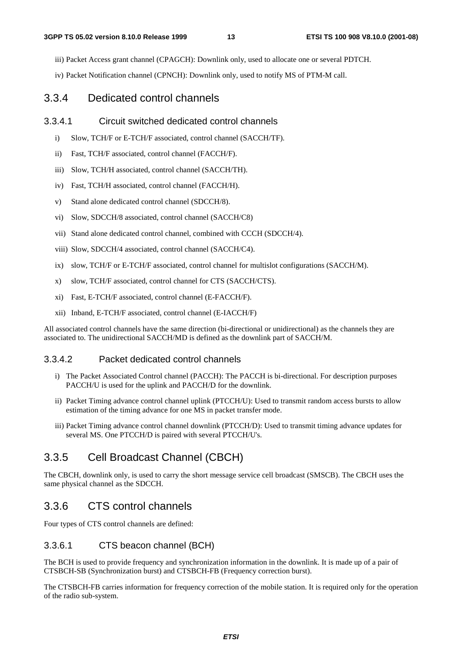iii) Packet Access grant channel (CPAGCH): Downlink only, used to allocate one or several PDTCH.

iv) Packet Notification channel (CPNCH): Downlink only, used to notify MS of PTM-M call.

# 3.3.4 Dedicated control channels

### 3.3.4.1 Circuit switched dedicated control channels

- i) Slow, TCH/F or E-TCH/F associated, control channel (SACCH/TF).
- ii) Fast, TCH/F associated, control channel (FACCH/F).
- iii) Slow, TCH/H associated, control channel (SACCH/TH).
- iv) Fast, TCH/H associated, control channel (FACCH/H).
- v) Stand alone dedicated control channel (SDCCH/8).
- vi) Slow, SDCCH/8 associated, control channel (SACCH/C8)
- vii) Stand alone dedicated control channel, combined with CCCH (SDCCH/4).
- viii) Slow, SDCCH/4 associated, control channel (SACCH/C4).
- ix) slow, TCH/F or E-TCH/F associated, control channel for multislot configurations (SACCH/M).
- x) slow, TCH/F associated, control channel for CTS (SACCH/CTS).
- xi) Fast, E-TCH/F associated, control channel (E-FACCH/F).
- xii) Inband, E-TCH/F associated, control channel (E-IACCH/F)

All associated control channels have the same direction (bi-directional or unidirectional) as the channels they are associated to. The unidirectional SACCH/MD is defined as the downlink part of SACCH/M.

# 3.3.4.2 Packet dedicated control channels

- i) The Packet Associated Control channel (PACCH): The PACCH is bi-directional. For description purposes PACCH/U is used for the uplink and PACCH/D for the downlink.
- ii) Packet Timing advance control channel uplink (PTCCH/U): Used to transmit random access bursts to allow estimation of the timing advance for one MS in packet transfer mode.
- iii) Packet Timing advance control channel downlink (PTCCH/D): Used to transmit timing advance updates for several MS. One PTCCH/D is paired with several PTCCH/U's.

# 3.3.5 Cell Broadcast Channel (CBCH)

The CBCH, downlink only, is used to carry the short message service cell broadcast (SMSCB). The CBCH uses the same physical channel as the SDCCH.

# 3.3.6 CTS control channels

Four types of CTS control channels are defined:

# 3.3.6.1 CTS beacon channel (BCH)

The BCH is used to provide frequency and synchronization information in the downlink. It is made up of a pair of CTSBCH-SB (Synchronization burst) and CTSBCH-FB (Frequency correction burst).

The CTSBCH-FB carries information for frequency correction of the mobile station. It is required only for the operation of the radio sub-system.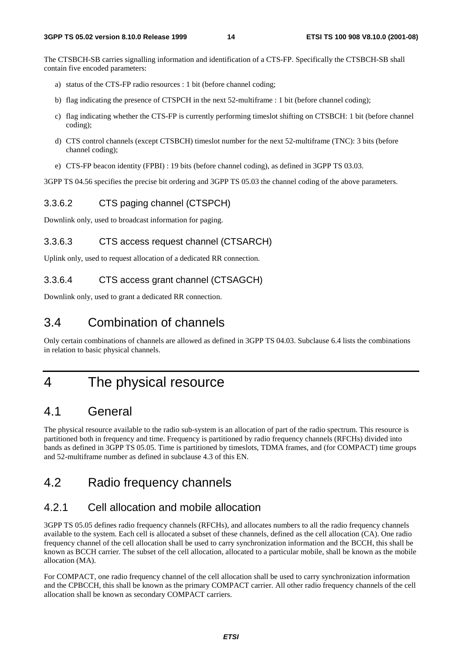The CTSBCH-SB carries signalling information and identification of a CTS-FP. Specifically the CTSBCH-SB shall contain five encoded parameters:

- a) status of the CTS-FP radio resources : 1 bit (before channel coding;
- b) flag indicating the presence of CTSPCH in the next 52-multiframe : 1 bit (before channel coding);
- c) flag indicating whether the CTS-FP is currently performing timeslot shifting on CTSBCH: 1 bit (before channel coding);
- d) CTS control channels (except CTSBCH) timeslot number for the next 52-multiframe (TNC): 3 bits (before channel coding);
- e) CTS-FP beacon identity (FPBI) : 19 bits (before channel coding), as defined in 3GPP TS 03.03.

3GPP TS 04.56 specifies the precise bit ordering and 3GPP TS 05.03 the channel coding of the above parameters.

#### 3.3.6.2 CTS paging channel (CTSPCH)

Downlink only, used to broadcast information for paging.

#### 3.3.6.3 CTS access request channel (CTSARCH)

Uplink only, used to request allocation of a dedicated RR connection.

#### 3.3.6.4 CTS access grant channel (CTSAGCH)

Downlink only, used to grant a dedicated RR connection.

# 3.4 Combination of channels

Only certain combinations of channels are allowed as defined in 3GPP TS 04.03. Subclause 6.4 lists the combinations in relation to basic physical channels.

# 4 The physical resource

# 4.1 General

The physical resource available to the radio sub-system is an allocation of part of the radio spectrum. This resource is partitioned both in frequency and time. Frequency is partitioned by radio frequency channels (RFCHs) divided into bands as defined in 3GPP TS 05.05. Time is partitioned by timeslots, TDMA frames, and (for COMPACT) time groups and 52-multiframe number as defined in subclause 4.3 of this EN.

# 4.2 Radio frequency channels

# 4.2.1 Cell allocation and mobile allocation

3GPP TS 05.05 defines radio frequency channels (RFCHs), and allocates numbers to all the radio frequency channels available to the system. Each cell is allocated a subset of these channels, defined as the cell allocation (CA). One radio frequency channel of the cell allocation shall be used to carry synchronization information and the BCCH, this shall be known as BCCH carrier. The subset of the cell allocation, allocated to a particular mobile, shall be known as the mobile allocation (MA).

For COMPACT, one radio frequency channel of the cell allocation shall be used to carry synchronization information and the CPBCCH, this shall be known as the primary COMPACT carrier. All other radio frequency channels of the cell allocation shall be known as secondary COMPACT carriers.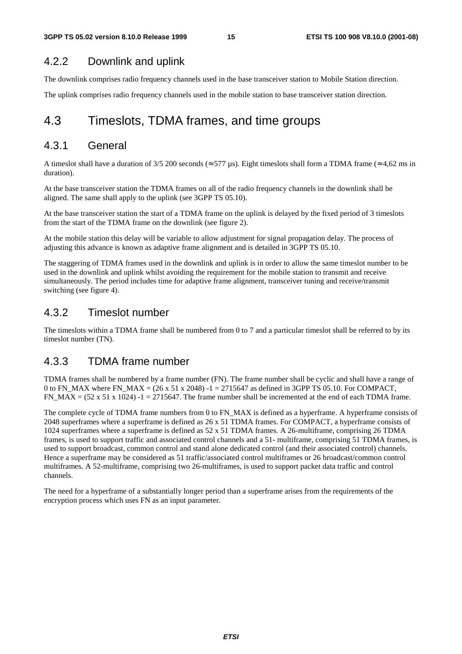# 4.2.2 Downlink and uplink

The downlink comprises radio frequency channels used in the base transceiver station to Mobile Station direction.

The uplink comprises radio frequency channels used in the mobile station to base transceiver station direction.

# 4.3 Timeslots, TDMA frames, and time groups

### 4.3.1 General

A timeslot shall have a duration of 3/5 200 seconds ( $\approx$  577 µs). Eight timeslots shall form a TDMA frame ( $\approx$  4,62 ms in duration).

At the base transceiver station the TDMA frames on all of the radio frequency channels in the downlink shall be aligned. The same shall apply to the uplink (see 3GPP TS 05.10).

At the base transceiver station the start of a TDMA frame on the uplink is delayed by the fixed period of 3 timeslots from the start of the TDMA frame on the downlink (see figure 2).

At the mobile station this delay will be variable to allow adjustment for signal propagation delay. The process of adjusting this advance is known as adaptive frame alignment and is detailed in 3GPP TS 05.10.

The staggering of TDMA frames used in the downlink and uplink is in order to allow the same timeslot number to be used in the downlink and uplink whilst avoiding the requirement for the mobile station to transmit and receive simultaneously. The period includes time for adaptive frame alignment, transceiver tuning and receive/transmit switching (see figure 4).

### 4.3.2 Timeslot number

The timeslots within a TDMA frame shall be numbered from 0 to 7 and a particular timeslot shall be referred to by its timeslot number (TN).

# 4.3.3 TDMA frame number

TDMA frames shall be numbered by a frame number (FN). The frame number shall be cyclic and shall have a range of 0 to FN\_MAX where FN\_MAX =  $(26 \times 51 \times 2048)$  -1 = 2715647 as defined in 3GPP TS 05.10. For COMPACT, FN\_MAX =  $(52 \times 51 \times 1024)$  -1 = 2715647. The frame number shall be incremented at the end of each TDMA frame.

The complete cycle of TDMA frame numbers from 0 to FN\_MAX is defined as a hyperframe. A hyperframe consists of 2048 superframes where a superframe is defined as 26 x 51 TDMA frames. For COMPACT, a hyperframe consists of 1024 superframes where a superframe is defined as 52 x 51 TDMA frames. A 26-multiframe, comprising 26 TDMA frames, is used to support traffic and associated control channels and a 51- multiframe, comprising 51 TDMA frames, is used to support broadcast, common control and stand alone dedicated control (and their associated control) channels. Hence a superframe may be considered as 51 traffic/associated control multiframes or 26 broadcast/common control multiframes. A 52-multiframe, comprising two 26-multiframes, is used to support packet data traffic and control channels.

The need for a hyperframe of a substantially longer period than a superframe arises from the requirements of the encryption process which uses FN as an input parameter.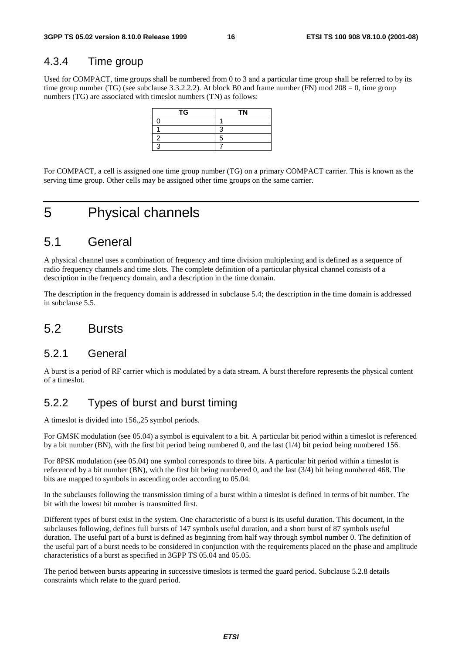# 4.3.4 Time group

Used for COMPACT, time groups shall be numbered from 0 to 3 and a particular time group shall be referred to by its time group number (TG) (see subclause 3.3.2.2.2). At block B0 and frame number (FN) mod 208 = 0, time group numbers (TG) are associated with timeslot numbers (TN) as follows:

| TG | <b>TN</b> |
|----|-----------|
|    |           |
|    |           |
|    |           |
|    |           |

For COMPACT, a cell is assigned one time group number (TG) on a primary COMPACT carrier. This is known as the serving time group. Other cells may be assigned other time groups on the same carrier.

# 5 Physical channels

# 5.1 General

A physical channel uses a combination of frequency and time division multiplexing and is defined as a sequence of radio frequency channels and time slots. The complete definition of a particular physical channel consists of a description in the frequency domain, and a description in the time domain.

The description in the frequency domain is addressed in subclause 5.4; the description in the time domain is addressed in subclause 5.5.

# 5.2 Bursts

### 5.2.1 General

A burst is a period of RF carrier which is modulated by a data stream. A burst therefore represents the physical content of a timeslot.

# 5.2.2 Types of burst and burst timing

A timeslot is divided into 156.,25 symbol periods.

For GMSK modulation (see 05.04) a symbol is equivalent to a bit. A particular bit period within a timeslot is referenced by a bit number (BN), with the first bit period being numbered 0, and the last (1/4) bit period being numbered 156.

For 8PSK modulation (see 05.04) one symbol corresponds to three bits. A particular bit period within a timeslot is referenced by a bit number (BN), with the first bit being numbered 0, and the last (3/4) bit being numbered 468. The bits are mapped to symbols in ascending order according to 05.04.

In the subclauses following the transmission timing of a burst within a timeslot is defined in terms of bit number. The bit with the lowest bit number is transmitted first.

Different types of burst exist in the system. One characteristic of a burst is its useful duration. This document, in the subclauses following, defines full bursts of 147 symbols useful duration, and a short burst of 87 symbols useful duration. The useful part of a burst is defined as beginning from half way through symbol number 0. The definition of the useful part of a burst needs to be considered in conjunction with the requirements placed on the phase and amplitude characteristics of a burst as specified in 3GPP TS 05.04 and 05.05.

The period between bursts appearing in successive timeslots is termed the guard period. Subclause 5.2.8 details constraints which relate to the guard period.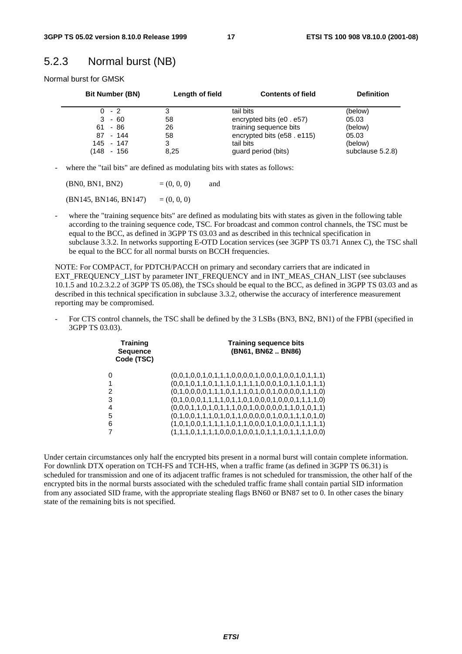# 5.2.3 Normal burst (NB)

Normal burst for GMSK

| <b>Bit Number (BN)</b> | Length of field | <b>Contents of field</b>   | <b>Definition</b> |
|------------------------|-----------------|----------------------------|-------------------|
| $0 - 2$                |                 | tail bits                  | (below)           |
| $3 - 60$               | 58              | encrypted bits (e0 . e57)  | 05.03             |
| $61 - 86$              | 26              | training sequence bits     | (below)           |
| 87 - 144               | 58              | encrypted bits (e58. e115) | 05.03             |
| 145 - 147              | 3               | tail bits                  | (below)           |
| (148<br>- 156          | 8,25            | guard period (bits)        | subclause 5.2.8)  |

- where the "tail bits" are defined as modulating bits with states as follows:

| (BN0, BN1, BN2)       | $= (0, 0, 0)$ | and |
|-----------------------|---------------|-----|
| (BN145, BN146, BN147) | $= (0, 0, 0)$ |     |

where the "training sequence bits" are defined as modulating bits with states as given in the following table according to the training sequence code, TSC. For broadcast and common control channels, the TSC must be equal to the BCC, as defined in 3GPP TS 03.03 and as described in this technical specification in subclause 3.3.2. In networks supporting E-OTD Location services (see 3GPP TS 03.71 Annex C), the TSC shall be equal to the BCC for all normal bursts on BCCH frequencies.

NOTE: For COMPACT, for PDTCH/PACCH on primary and secondary carriers that are indicated in EXT\_FREQUENCY\_LIST by parameter INT\_FREQUENCY and in INT\_MEAS\_CHAN\_LIST (see subclauses 10.1.5 and 10.2.3.2.2 of 3GPP TS 05.08), the TSCs should be equal to the BCC, as defined in 3GPP TS 03.03 and as described in this technical specification in subclause 3.3.2, otherwise the accuracy of interference measurement reporting may be compromised.

For CTS control channels, the TSC shall be defined by the 3 LSBs (BN3, BN2, BN1) of the FPBI (specified in 3GPP TS 03.03).

| <b>Training</b><br><b>Sequence</b><br>Code (TSC) | <b>Training sequence bits</b><br>(BN61, BN62 BN86)      |
|--------------------------------------------------|---------------------------------------------------------|
| 0                                                | $(0,0,1,0,0,1,0,1,1,1,0,0,0,0,1,0,0,1,0,0,1,0,1,1,1)$   |
| 1                                                | $(0,0,1,0,1,1,0,1,1,1,0,1,1,1,1,0,0,0,1,0,1,1,0,1,1,1)$ |
| 2                                                | $(0,1,0,0,0,0,1,1,1,0,1,1,1,0,1,0,0,1,0,0,0,1,1,1,0)$   |
| 3                                                | $(0,1,0,0,0,1,1,1,1,0,1,1,0,1,0,0,0,1,0,0,0,1,1,1,1,0)$ |
| 4                                                | $(0,0,0,1,1,0,1,0,1,1,1,0,0,1,0,0,0,0,1,1,0,1,0,1,1)$   |
| 5                                                | $(0,1,0,0,1,1,1,0,1,0,1,1,0,0,0,0,0,1,0,0,1,1,1,0,1,0)$ |
| 6                                                |                                                         |
| 7                                                | $(1,1,1,0,1,1,1,1,0,0,0,1,0,0,1,0,1,1,1,0,1,1,1,0,0)$   |
|                                                  |                                                         |

Under certain circumstances only half the encrypted bits present in a normal burst will contain complete information. For downlink DTX operation on TCH-FS and TCH-HS, when a traffic frame (as defined in 3GPP TS 06.31) is scheduled for transmission and one of its adjacent traffic frames is not scheduled for transmission, the other half of the encrypted bits in the normal bursts associated with the scheduled traffic frame shall contain partial SID information from any associated SID frame, with the appropriate stealing flags BN60 or BN87 set to 0. In other cases the binary state of the remaining bits is not specified.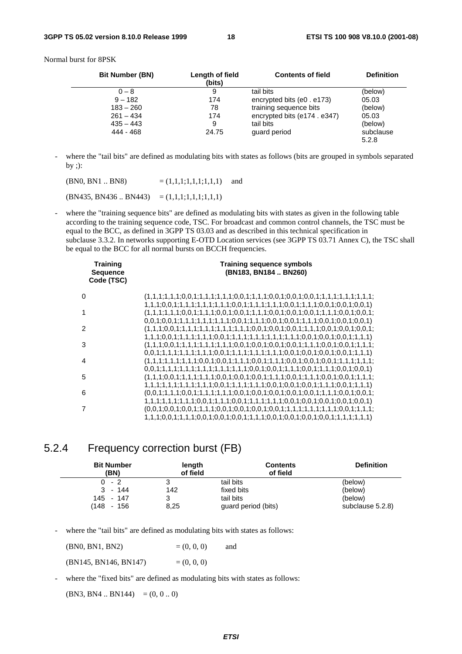Normal burst for 8PSK

| <b>Bit Number (BN)</b> | Length of field<br>(bits) | <b>Contents of field</b>    | <b>Definition</b>  |
|------------------------|---------------------------|-----------------------------|--------------------|
| $0 - 8$                | 9                         | tail bits                   | (below)            |
| $9 - 182$              | 174                       | encrypted bits (e0 . e173)  | 05.03              |
| $183 - 260$            | 78                        | training sequence bits      | (below)            |
| $261 - 434$            | 174                       | encrypted bits (e174, e347) | 05.03              |
| $435 - 443$            | 9                         | tail bits                   | (below)            |
| 444 - 468              | 24.75                     | guard period                | subclause<br>5.2.8 |

where the "tail bits" are defined as modulating bits with states as follows (bits are grouped in symbols separated by ;):

 $(BN0, BN1 \dots BN8)$  =  $(1,1,1,1,1,1,1,1,1)$  and

 $(BN435, BN436..BN443) = (1,1,1;1,1,1;1,1,1)$ 

where the "training sequence bits" are defined as modulating bits with states as given in the following table according to the training sequence code, TSC. For broadcast and common control channels, the TSC must be equal to the BCC, as defined in 3GPP TS 03.03 and as described in this technical specification in subclause 3.3.2. In networks supporting E-OTD Location services (see 3GPP TS 03.71 Annex C), the TSC shall be equal to the BCC for all normal bursts on BCCH frequencies.

| <b>Training</b><br><b>Sequence</b><br>Code (TSC) | <b>Training sequence symbols</b><br>(BN183, BN184  BN260)                                                           |  |  |
|--------------------------------------------------|---------------------------------------------------------------------------------------------------------------------|--|--|
| 0                                                |                                                                                                                     |  |  |
| 1                                                |                                                                                                                     |  |  |
| $\mathcal{P}$                                    |                                                                                                                     |  |  |
| 3                                                |                                                                                                                     |  |  |
| 4                                                |                                                                                                                     |  |  |
| 5                                                | $0,0,1;1,1,1;1,1,1;1,1,1;1,1,1;1,1,1;0,0,1;0,0,1;1,1,1;0,0,1;1,1,1;0,0,1;0,0,1)$                                    |  |  |
| 6                                                | $1, 1, 1, 1, 1, 1, 1, 1, 1, 1, 1, 1, 0, 0, 1, 1, 1, 1, 1, 1, 1, 1, 1, 0, 0, 1, 1, 1, 1, 1, 1, 0, 0, 1, 1, 1, 1, 1)$ |  |  |
| 7                                                | $1,1,1,1,1,1,1,1,1,0,0,1,1,1,1,0,0,1,1,1,1,1,1,1,1,0,0,1,0,0,1,0,0,1,0,0,1)$                                        |  |  |
|                                                  | $1,1,1,0,0,1,1,1,1,0,0,1,0,0,1,0,0,1,1,1,1,1,0,0,1,0,0,1,0,0,1,1,1,1,1,1,1)$                                        |  |  |

# 5.2.4 Frequency correction burst (FB)

| <b>Bit Number</b><br>(BN) | length<br>of field | <b>Contents</b><br>of field | <b>Definition</b> |
|---------------------------|--------------------|-----------------------------|-------------------|
| $0 - 2$                   | 3                  | tail bits                   | (below)           |
| - 144<br>3                | 142                | fixed bits                  | (below)           |
| 145 - 147                 | ર<br>ີ             | tail bits                   | (below)           |
| (148<br>156<br>$\sim$     | 8,25               | guard period (bits)         | subclause 5.2.8)  |

where the "tail bits" are defined as modulating bits with states as follows:

 $(BN0, BN1, BN2)$  =  $(0, 0, 0)$  and

 $(BN145, BN146, BN147)$  = (0, 0, 0)

where the "fixed bits" are defined as modulating bits with states as follows:

 $(BN3, BN4.. BN144) = (0, 0..0)$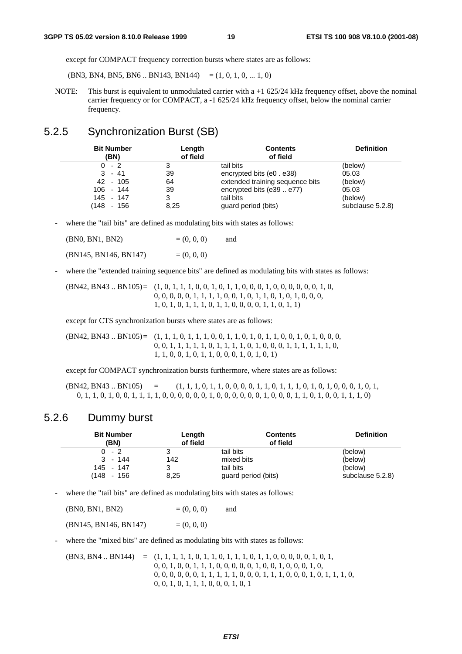except for COMPACT frequency correction bursts where states are as follows:

 $(BN3, BN4, BN5, BN6...BN143, BN144) = (1, 0, 1, 0, ... 1, 0)$ 

NOTE: This burst is equivalent to unmodulated carrier with a  $+1$  625/24 kHz frequency offset, above the nominal carrier frequency or for COMPACT, a -1 625/24 kHz frequency offset, below the nominal carrier frequency.

# 5.2.5 Synchronization Burst (SB)

| <b>Bit Number</b><br>(BN) | Length<br>of field | <b>Contents</b><br>of field     | <b>Definition</b> |
|---------------------------|--------------------|---------------------------------|-------------------|
| $0 - 2$                   | 3                  | tail bits                       | (below)           |
| $3 - 41$                  | 39                 | encrypted bits (e0 . e38)       | 05.03             |
| 42 - 105                  | 64                 | extended training sequence bits | (below)           |
| $106 - 144$               | 39                 | encrypted bits (e39  e77)       | 05.03             |
| 145 - 147                 | 3                  | tail bits                       | (below)           |
| (148 - 156                | 8,25               | guard period (bits)             | subclause 5.2.8)  |

where the "tail bits" are defined as modulating bits with states as follows:

| (BN0, BN1, BN2)       | $= (0, 0, 0)$ | and |
|-----------------------|---------------|-----|
| (BN145, BN146, BN147) | $= (0, 0, 0)$ |     |

where the "extended training sequence bits" are defined as modulating bits with states as follows:

(BN42, BN43 .. BN105) = (1, 0, 1, 1, 1, 0, 0, 1, 0, 1, 1, 0, 0, 0, 1, 0, 0, 0, 0, 0, 0, 1, 0, 0, 0, 0, 0, 0, 1, 1, 1, 1, 0, 0, 1, 0, 1, 1, 0, 1, 0, 1, 0, 0, 0, 1, 0, 1, 0, 1, 1, 1, 0, 1, 1, 0, 0, 0, 0, 1, 1, 0, 1, 1)

except for CTS synchronization bursts where states are as follows:

(BN42, BN43 .. BN105) = (1, 1, 1, 0, 1, 1, 1, 0, 0, 1, 1, 0, 1, 0, 1, 1, 0, 0, 1, 0, 1, 0, 0, 0, 0, 0, 1, 1, 1, 1, 1, 0, 1, 1, 1, 1, 0, 1, 0, 0, 0, 1, 1, 1, 1, 1, 1, 0, 1, 1, 0, 0, 1, 0, 1, 1, 0, 0, 0, 1, 0, 1, 0, 1)

except for COMPACT synchronization bursts furthermore, where states are as follows:

 $(BN42, BN43.. BN105) = (1, 1, 1, 0, 1, 1, 0, 0, 0, 1, 1, 0, 1, 1, 0, 1, 0, 1, 0, 0, 0, 1, 0, 1, 0, 1, 0, 1, 0, 1, 0, 1, 0, 1, 0, 1, 0, 1, 0, 1, 0, 1, 0, 1, 0, 1, 0, 1, 0, 1, 0, 1, 0, 1, 0, 1, 0, 1, 0, 1, 0, 1, 0, 1, 0, 1, 0, 1,$ 0, 1, 1, 0, 1, 0, 0, 1, 1, 1, 1, 0, 0, 0, 0, 0, 0, 1, 0, 0, 0, 0, 0, 0, 1, 0, 0, 0, 1, 1, 0, 1, 0, 0, 1, 1, 1, 0)

#### 5.2.6 Dummy burst

| <b>Bit Number</b> | Length   | <b>Contents</b>     | <b>Definition</b> |
|-------------------|----------|---------------------|-------------------|
| (BN)              | of field | of field            |                   |
| $0 - 2$           | 3        | tail bits           | (below)           |
| $3 - 144$         | 142      | mixed bits          | (below)           |
| 145 - 147         | 3        | tail bits           | (below)           |
| (148 - 156        | 8,25     | guard period (bits) | subclause 5.2.8)  |

- where the "tail bits" are defined as modulating bits with states as follows:

| (BN0, BN1, BN2)       | $= (0, 0, 0)$ | and |
|-----------------------|---------------|-----|
| (BN145, BN146, BN147) | $= (0, 0, 0)$ |     |

where the "mixed bits" are defined as modulating bits with states as follows:

(BN3, BN4 .. BN144) = (1, 1, 1, 1, 1, 0, 1, 1, 0, 1, 1, 1, 0, 1, 1, 0, 0, 0, 0, 0, 1, 0, 1, 0, 0, 1, 0, 0, 1, 1, 1, 0, 0, 0, 0, 0, 1, 0, 0, 1, 0, 0, 0, 1, 0, 0, 0, 0, 0, 0, 0, 1, 1, 1, 1, 1, 0, 0, 0, 1, 1, 1, 0, 0, 0, 1, 0, 1, 1, 1, 0, 0, 0, 1, 0, 1, 1, 1, 0, 0, 0, 1, 0, 1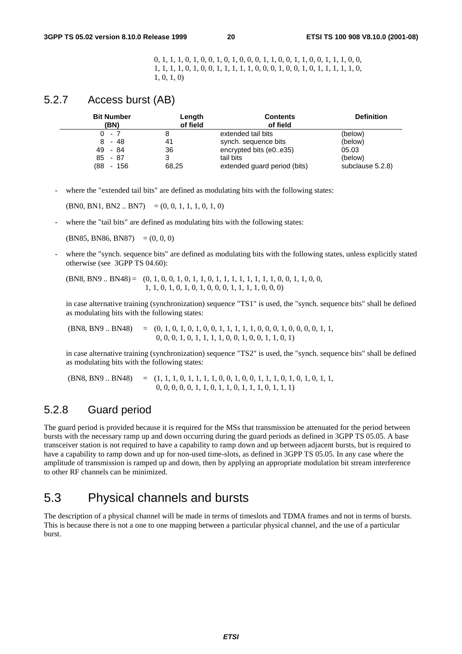0, 1, 1, 1, 0, 1, 0, 0, 1, 0, 1, 0, 0, 0, 1, 1, 0, 0, 1, 1, 0, 0, 1, 1, 1, 0, 0, 1, 1, 1, 1, 0, 1, 0, 0, 1, 1, 1, 1, 1, 0, 0, 0, 1, 0, 0, 1, 0, 1, 1, 1, 1, 1, 0, 1, 0, 1, 0)

### 5.2.7 Access burst (AB)

| <b>Bit Number</b><br>(BN) | Length<br>of field | <b>Contents</b><br>of field  | <b>Definition</b> |
|---------------------------|--------------------|------------------------------|-------------------|
| $0 - 7$                   |                    | extended tail bits           | (below)           |
| $8 - 48$                  | 41                 | synch. sequence bits         | (below)           |
| 49 - 84                   | 36                 | encrypted bits (e0e35)       | 05.03             |
| $85 - 87$                 |                    | tail bits                    | (below)           |
| (88<br>- 156              | 68,25              | extended guard period (bits) | subclause 5.2.8)  |

where the "extended tail bits" are defined as modulating bits with the following states:

 $(BN0, BN1, BN2.. BN7) = (0, 0, 1, 1, 1, 0, 1, 0)$ 

where the "tail bits" are defined as modulating bits with the following states:

 $(BN85, BN86, BN87) = (0, 0, 0)$ 

where the "synch. sequence bits" are defined as modulating bits with the following states, unless explicitly stated otherwise (see 3GPP TS 04.60):

(BN8, BN9 .. BN48) = (0, 1, 0, 0, 1, 0, 1, 1, 0, 1, 1, 1, 1, 1, 1, 1, 1, 0, 0, 1, 1, 0, 0, 1, 1, 0, 1, 0, 1, 0, 1, 0, 0, 0, 1, 1, 1, 1, 0, 0, 0)

 in case alternative training (synchronization) sequence "TS1" is used, the "synch. sequence bits" shall be defined as modulating bits with the following states:

 (BN8, BN9 .. BN48) = (0, 1, 0, 1, 0, 1, 0, 0, 1, 1, 1, 1, 1, 0, 0, 0, 1, 0, 0, 0, 0, 1, 1, 0, 0, 0, 1, 0, 1, 1, 1, 1, 0, 0, 1, 0, 0, 1, 1, 0, 1)

 in case alternative training (synchronization) sequence "TS2" is used, the "synch. sequence bits" shall be defined as modulating bits with the following states:

 (BN8, BN9 .. BN48) = (1, 1, 1, 0, 1, 1, 1, 1, 0, 0, 1, 0, 0, 1, 1, 1, 0, 1, 0, 1, 0, 1, 1, 0, 0, 0, 0, 0, 1, 1, 0, 1, 1, 0, 1, 1, 1, 0, 1, 1, 1)

# 5.2.8 Guard period

The guard period is provided because it is required for the MSs that transmission be attenuated for the period between bursts with the necessary ramp up and down occurring during the guard periods as defined in 3GPP TS 05.05. A base transceiver station is not required to have a capability to ramp down and up between adjacent bursts, but is required to have a capability to ramp down and up for non-used time-slots, as defined in 3GPP TS 05.05. In any case where the amplitude of transmission is ramped up and down, then by applying an appropriate modulation bit stream interference to other RF channels can be minimized.

# 5.3 Physical channels and bursts

The description of a physical channel will be made in terms of timeslots and TDMA frames and not in terms of bursts. This is because there is not a one to one mapping between a particular physical channel, and the use of a particular burst.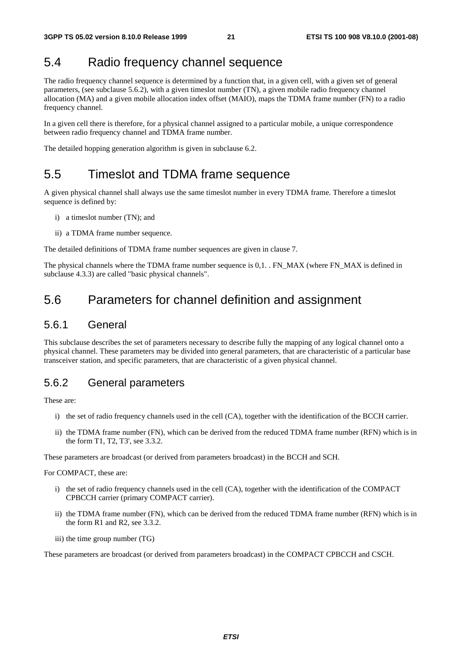# 5.4 Radio frequency channel sequence

The radio frequency channel sequence is determined by a function that, in a given cell, with a given set of general parameters, (see subclause 5.6.2), with a given timeslot number (TN), a given mobile radio frequency channel allocation (MA) and a given mobile allocation index offset (MAIO), maps the TDMA frame number (FN) to a radio frequency channel.

In a given cell there is therefore, for a physical channel assigned to a particular mobile, a unique correspondence between radio frequency channel and TDMA frame number.

The detailed hopping generation algorithm is given in subclause 6.2.

# 5.5 Timeslot and TDMA frame sequence

A given physical channel shall always use the same timeslot number in every TDMA frame. Therefore a timeslot sequence is defined by:

- i) a timeslot number (TN); and
- ii) a TDMA frame number sequence.

The detailed definitions of TDMA frame number sequences are given in clause 7.

The physical channels where the TDMA frame number sequence is 0,1. . FN\_MAX (where FN\_MAX is defined in subclause 4.3.3) are called "basic physical channels".

# 5.6 Parameters for channel definition and assignment

### 5.6.1 General

This subclause describes the set of parameters necessary to describe fully the mapping of any logical channel onto a physical channel. These parameters may be divided into general parameters, that are characteristic of a particular base transceiver station, and specific parameters, that are characteristic of a given physical channel.

### 5.6.2 General parameters

These are:

- i) the set of radio frequency channels used in the cell (CA), together with the identification of the BCCH carrier.
- ii) the TDMA frame number (FN), which can be derived from the reduced TDMA frame number (RFN) which is in the form T1, T2, T3', see 3.3.2.

These parameters are broadcast (or derived from parameters broadcast) in the BCCH and SCH.

For COMPACT, these are:

- i) the set of radio frequency channels used in the cell (CA), together with the identification of the COMPACT CPBCCH carrier (primary COMPACT carrier).
- ii) the TDMA frame number (FN), which can be derived from the reduced TDMA frame number (RFN) which is in the form R1 and R2, see 3.3.2.
- iii) the time group number (TG)

These parameters are broadcast (or derived from parameters broadcast) in the COMPACT CPBCCH and CSCH.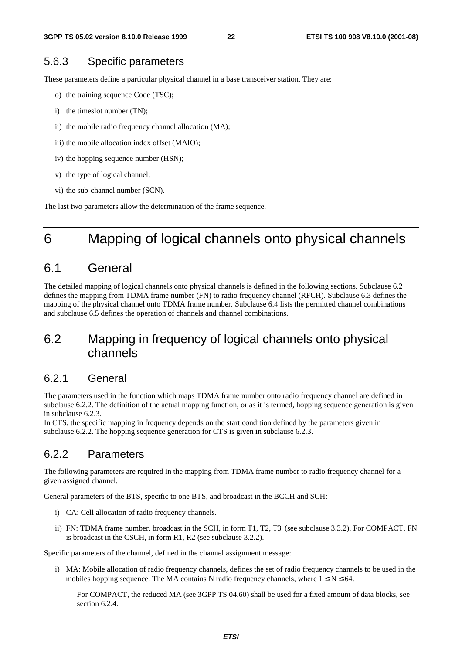### 5.6.3 Specific parameters

These parameters define a particular physical channel in a base transceiver station. They are:

- o) the training sequence Code (TSC);
- i) the timeslot number (TN);
- ii) the mobile radio frequency channel allocation (MA);
- iii) the mobile allocation index offset (MAIO);
- iv) the hopping sequence number (HSN);
- v) the type of logical channel;
- vi) the sub-channel number (SCN).

The last two parameters allow the determination of the frame sequence.

# 6 Mapping of logical channels onto physical channels

# 6.1 General

The detailed mapping of logical channels onto physical channels is defined in the following sections. Subclause 6.2 defines the mapping from TDMA frame number (FN) to radio frequency channel (RFCH). Subclause 6.3 defines the mapping of the physical channel onto TDMA frame number. Subclause 6.4 lists the permitted channel combinations and subclause 6.5 defines the operation of channels and channel combinations.

# 6.2 Mapping in frequency of logical channels onto physical channels

### 6.2.1 General

The parameters used in the function which maps TDMA frame number onto radio frequency channel are defined in subclause 6.2.2. The definition of the actual mapping function, or as it is termed, hopping sequence generation is given in subclause 6.2.3.

In CTS, the specific mapping in frequency depends on the start condition defined by the parameters given in subclause 6.2.2. The hopping sequence generation for CTS is given in subclause 6.2.3.

# 6.2.2 Parameters

The following parameters are required in the mapping from TDMA frame number to radio frequency channel for a given assigned channel.

General parameters of the BTS, specific to one BTS, and broadcast in the BCCH and SCH:

- i) CA: Cell allocation of radio frequency channels.
- ii) FN: TDMA frame number, broadcast in the SCH, in form T1, T2, T3' (see subclause 3.3.2). For COMPACT, FN is broadcast in the CSCH, in form R1, R2 (see subclause 3.2.2).

Specific parameters of the channel, defined in the channel assignment message:

i) MA: Mobile allocation of radio frequency channels, defines the set of radio frequency channels to be used in the mobiles hopping sequence. The MA contains N radio frequency channels, where  $1 \le N \le 64$ .

 For COMPACT, the reduced MA (see 3GPP TS 04.60) shall be used for a fixed amount of data blocks, see section 6.2.4.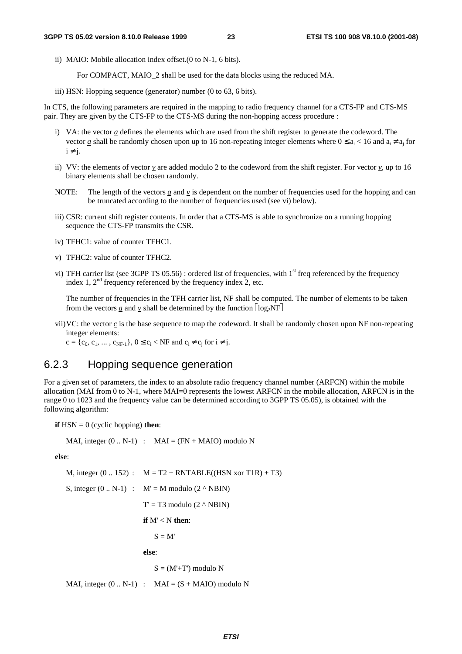ii) MAIO: Mobile allocation index offset.(0 to N-1, 6 bits).

For COMPACT, MAIO\_2 shall be used for the data blocks using the reduced MA.

iii) HSN: Hopping sequence (generator) number (0 to 63, 6 bits).

In CTS, the following parameters are required in the mapping to radio frequency channel for a CTS-FP and CTS-MS pair. They are given by the CTS-FP to the CTS-MS during the non-hopping access procedure :

- i) VA: the vector *a* defines the elements which are used from the shift register to generate the codeword. The vector *a* shall be randomly chosen upon up to 16 non-repeating integer elements where  $0 \le a_i \le 16$  and  $a_i \ne a_j$  for  $i \neq i$ .
- ii) VV: the elements of vector  $v$  are added modulo 2 to the codeword from the shift register. For vector  $v$ , up to 16 binary elements shall be chosen randomly.
- NOTE: The length of the vectors  $a$  and  $v$  is dependent on the number of frequencies used for the hopping and can be truncated according to the number of frequencies used (see vi) below).
- iii) CSR: current shift register contents. In order that a CTS-MS is able to synchronize on a running hopping sequence the CTS-FP transmits the CSR.
- iv) TFHC1: value of counter TFHC1.
- v) TFHC2: value of counter TFHC2.
- vi) TFH carrier list (see 3GPP TS 05.56) : ordered list of frequencies, with  $1<sup>st</sup>$  freq referenced by the frequency index 1,  $2<sup>nd</sup>$  frequency referenced by the frequency index 2, etc.

 The number of frequencies in the TFH carrier list, NF shall be computed. The number of elements to be taken from the vectors <u>*a*</u> and <u>*v*</u> shall be determined by the function  $log_2NF$ 

vii) VC: the vector *c* is the base sequence to map the codeword. It shall be randomly chosen upon NF non-repeating integer elements:

 $c = \{c_0, c_1, ..., c_{NF-1}\}, 0 \le c_i < NF$  and  $c_i \ne c_i$  for  $i \ne j$ .

### 6.2.3 Hopping sequence generation

For a given set of parameters, the index to an absolute radio frequency channel number (ARFCN) within the mobile allocation (MAI from 0 to N-1, where MAI=0 represents the lowest ARFCN in the mobile allocation, ARFCN is in the range 0 to 1023 and the frequency value can be determined according to 3GPP TS 05.05), is obtained with the following algorithm:

**if**  $HSN = 0$  (cyclic hopping) **then**:

MAI, integer  $(0.. N-1)$  : MAI =  $(FN + MAIO)$  modulo N

**else**:

M, integer  $(0.. 152)$ :  $M = T2 + RNTABLE((HSN xor T1R) + T3)$ S, integer  $(0.. N-1)$  :  $M' = M$  modulo  $(2 \land NBIN)$  $T' = T3$  modulo  $(2 \land NBIN)$  **if** M' < N **then**:

 $S = M'$ 

 **else**:

 $S = (M' + T')$  modulo N

MAI, integer  $(0.. N-1)$  : MAI =  $(S + MAIO)$  modulo N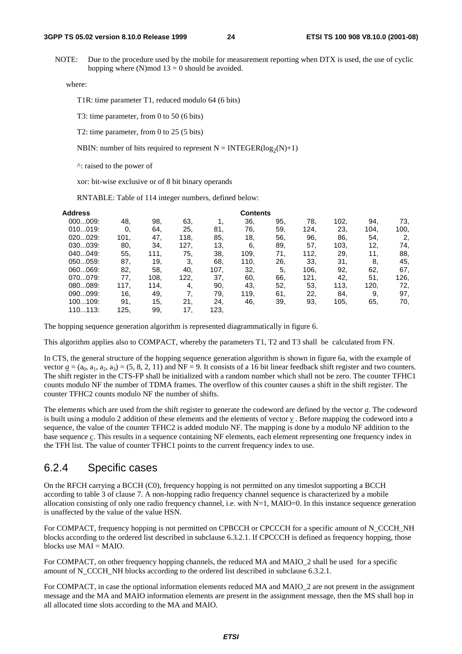NOTE: Due to the procedure used by the mobile for measurement reporting when DTX is used, the use of cyclic hopping where  $(N)$  mod  $13 = 0$  should be avoided.

where:

T1R: time parameter T1, reduced modulo 64 (6 bits)

T3: time parameter, from 0 to 50 (6 bits)

T2: time parameter, from 0 to 25 (5 bits)

NBIN: number of bits required to represent  $N = INTEGR(log_2(N)+1)$ 

^: raised to the power of

xor: bit-wise exclusive or of 8 bit binary operands

RNTABLE: Table of 114 integer numbers, defined below:

| Address |      |      |      |      | <b>Contents</b> |     |      |      |      |      |
|---------|------|------|------|------|-----------------|-----|------|------|------|------|
| 000009: | 48.  | 98,  | 63.  |      | 36,             | 95, | 78,  | 102, | 94.  | 73.  |
| 010019: | 0.   | 64,  | 25.  | 81.  | 76.             | 59. | 124, | 23,  | 104, | 100, |
| 020029: | 101. | 47.  | 118, | 85.  | 18,             | 56. | 96.  | 86.  | 54,  | 2,   |
| 030039: | 80.  | 34.  | 127. | 13,  | 6.              | 89. | 57.  | 103, | 12,  | 74.  |
| 040049: | 55,  | 111, | 75.  | 38.  | 109.            | 71. | 112, | 29.  | 11.  | 88,  |
| 050059: | 87.  | 19.  | 3.   | 68.  | 110.            | 26. | 33.  | 31.  | 8.   | 45.  |
| 060069: | 82.  | 58.  | 40.  | 107, | 32,             | 5.  | 106, | 92.  | 62.  | 67.  |
| 070079: | 77.  | 108. | 122, | 37.  | 60.             | 66. | 121, | 42.  | 51,  | 126, |
| 080089: | 117, | 114. | 4,   | 90.  | 43.             | 52. | 53.  | 113, | 120, | 72.  |
| 090099: | 16.  | 49,  | 7.   | 79.  | 119,            | 61. | 22.  | 84.  | 9.   | 97.  |
| 100109: | 91.  | 15,  | 21.  | 24.  | 46,             | 39. | 93,  | 105, | 65.  | 70,  |
| 110113: | 125. | 99.  | 17   | 123, |                 |     |      |      |      |      |

The hopping sequence generation algorithm is represented diagrammatically in figure 6.

This algorithm applies also to COMPACT, whereby the parameters T1, T2 and T3 shall be calculated from FN.

In CTS, the general structure of the hopping sequence generation algorithm is shown in figure 6a, with the example of vector  $\underline{a} = (a_0, a_1, a_2, a_3) = (5, 8, 2, 11)$  and NF = 9. It consists of a 16 bit linear feedback shift register and two counters. The shift register in the CTS-FP shall be initialized with a random number which shall not be zero. The counter TFHC1 counts modulo NF the number of TDMA frames. The overflow of this counter causes a shift in the shift register. The counter TFHC2 counts modulo NF the number of shifts.

The elements which are used from the shift register to generate the codeword are defined by the vector *a*. The codeword is built using a modulo 2 addition of these elements and the elements of vector *v* . Before mapping the codeword into a sequence, the value of the counter TFHC2 is added modulo NF. The mapping is done by a modulo NF addition to the base sequence *c*. This results in a sequence containing NF elements, each element representing one frequency index in the TFH list. The value of counter TFHC1 points to the current frequency index to use.

### 6.2.4 Specific cases

On the RFCH carrying a BCCH (C0), frequency hopping is not permitted on any timeslot supporting a BCCH according to table 3 of clause 7. A non-hopping radio frequency channel sequence is characterized by a mobile allocation consisting of only one radio frequency channel, i.e. with  $N=1$ ,  $MAIO=0$ . In this instance sequence generation is unaffected by the value of the value HSN.

For COMPACT, frequency hopping is not permitted on CPBCCH or CPCCCH for a specific amount of N\_CCCH\_NH blocks according to the ordered list described in subclause 6.3.2.1. If CPCCCH is defined as frequency hopping, those blocks use MAI = MAIO.

For COMPACT, on other frequency hopping channels, the reduced MA and MAIO 2 shall be used for a specific amount of N\_CCCH\_NH blocks according to the ordered list described in subclause 6.3.2.1.

For COMPACT, in case the optional information elements reduced MA and MAIO\_2 are not present in the assignment message and the MA and MAIO information elements are present in the assignment message, then the MS shall hop in all allocated time slots according to the MA and MAIO.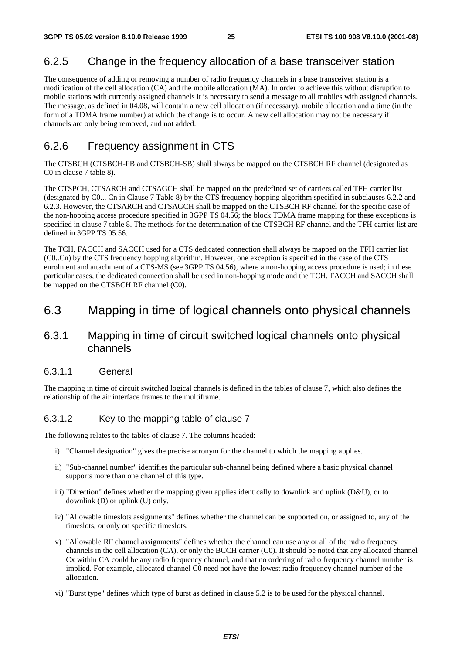### 6.2.5 Change in the frequency allocation of a base transceiver station

The consequence of adding or removing a number of radio frequency channels in a base transceiver station is a modification of the cell allocation (CA) and the mobile allocation (MA). In order to achieve this without disruption to mobile stations with currently assigned channels it is necessary to send a message to all mobiles with assigned channels. The message, as defined in 04.08, will contain a new cell allocation (if necessary), mobile allocation and a time (in the form of a TDMA frame number) at which the change is to occur. A new cell allocation may not be necessary if channels are only being removed, and not added.

# 6.2.6 Frequency assignment in CTS

The CTSBCH (CTSBCH-FB and CTSBCH-SB) shall always be mapped on the CTSBCH RF channel (designated as C0 in clause 7 table 8).

The CTSPCH, CTSARCH and CTSAGCH shall be mapped on the predefined set of carriers called TFH carrier list (designated by C0... Cn in Clause 7 Table 8) by the CTS frequency hopping algorithm specified in subclauses 6.2.2 and 6.2.3. However, the CTSARCH and CTSAGCH shall be mapped on the CTSBCH RF channel for the specific case of the non-hopping access procedure specified in 3GPP TS 04.56; the block TDMA frame mapping for these exceptions is specified in clause 7 table 8. The methods for the determination of the CTSBCH RF channel and the TFH carrier list are defined in 3GPP TS 05.56.

The TCH, FACCH and SACCH used for a CTS dedicated connection shall always be mapped on the TFH carrier list (C0..Cn) by the CTS frequency hopping algorithm. However, one exception is specified in the case of the CTS enrolment and attachment of a CTS-MS (see 3GPP TS 04.56), where a non-hopping access procedure is used; in these particular cases, the dedicated connection shall be used in non-hopping mode and the TCH, FACCH and SACCH shall be mapped on the CTSBCH RF channel (C0).

# 6.3 Mapping in time of logical channels onto physical channels

# 6.3.1 Mapping in time of circuit switched logical channels onto physical channels

#### 6.3.1.1 General

The mapping in time of circuit switched logical channels is defined in the tables of clause 7, which also defines the relationship of the air interface frames to the multiframe.

#### 6.3.1.2 Key to the mapping table of clause 7

The following relates to the tables of clause 7. The columns headed:

- i) "Channel designation" gives the precise acronym for the channel to which the mapping applies.
- ii) "Sub-channel number" identifies the particular sub-channel being defined where a basic physical channel supports more than one channel of this type.
- iii) "Direction" defines whether the mapping given applies identically to downlink and uplink (D&U), or to downlink (D) or uplink (U) only.
- iv) "Allowable timeslots assignments" defines whether the channel can be supported on, or assigned to, any of the timeslots, or only on specific timeslots.
- v) "Allowable RF channel assignments" defines whether the channel can use any or all of the radio frequency channels in the cell allocation (CA), or only the BCCH carrier (C0). It should be noted that any allocated channel Cx within CA could be any radio frequency channel, and that no ordering of radio frequency channel number is implied. For example, allocated channel C0 need not have the lowest radio frequency channel number of the allocation.
- vi) "Burst type" defines which type of burst as defined in clause 5.2 is to be used for the physical channel.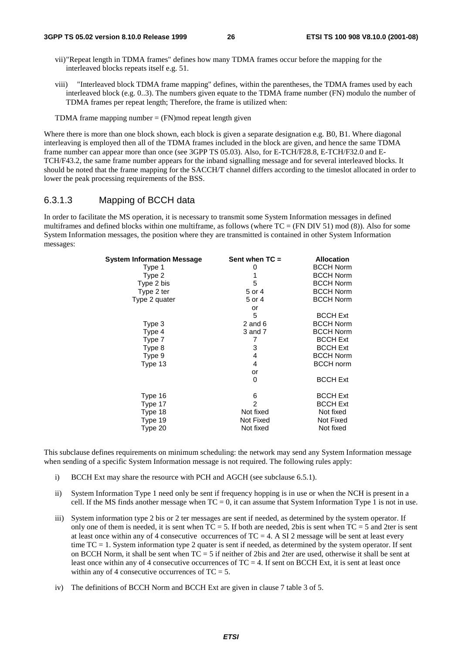- vii) "Repeat length in TDMA frames" defines how many TDMA frames occur before the mapping for the interleaved blocks repeats itself e.g. 51.
- viii) "Interleaved block TDMA frame mapping" defines, within the parentheses, the TDMA frames used by each interleaved block (e.g. 0..3). The numbers given equate to the TDMA frame number (FN) modulo the number of TDMA frames per repeat length; Therefore, the frame is utilized when:
- TDMA frame mapping number  $=$  (FN)mod repeat length given

Where there is more than one block shown, each block is given a separate designation e.g. B0, B1. Where diagonal interleaving is employed then all of the TDMA frames included in the block are given, and hence the same TDMA frame number can appear more than once (see 3GPP TS 05.03). Also, for E-TCH/F28.8, E-TCH/F32.0 and E-TCH/F43.2, the same frame number appears for the inband signalling message and for several interleaved blocks. It should be noted that the frame mapping for the SACCH/T channel differs according to the timeslot allocated in order to lower the peak processing requirements of the BSS.

#### 6.3.1.3 Mapping of BCCH data

In order to facilitate the MS operation, it is necessary to transmit some System Information messages in defined multiframes and defined blocks within one multiframe, as follows (where  $TC = (FN DIV 51) mod (8)$ ). Also for some System Information messages, the position where they are transmitted is contained in other System Information messages:

| System Information Message | Sent when $TC =$ | <b>Allocation</b> |
|----------------------------|------------------|-------------------|
| Type 1                     | 0                | <b>BCCH Norm</b>  |
| Type 2                     |                  | <b>BCCH Norm</b>  |
| Type 2 bis                 | 5                | <b>BCCH Norm</b>  |
| Type 2 ter                 | 5 or 4           | <b>BCCH Norm</b>  |
| Type 2 quater              | 5 or 4           | <b>BCCH Norm</b>  |
|                            | or               |                   |
|                            | 5                | <b>BCCH Ext</b>   |
| Type 3                     | 2 and $6$        | <b>BCCH Norm</b>  |
| Type 4                     | 3 and 7          | <b>BCCH Norm</b>  |
| Type 7                     | 7                | <b>BCCH Ext</b>   |
| Type 8                     | 3                | <b>BCCH Ext</b>   |
| Type 9                     | 4                | <b>BCCH Norm</b>  |
| Type 13                    | 4                | <b>BCCH</b> norm  |
|                            | or               |                   |
|                            | 0                | <b>BCCH Ext</b>   |
| Type 16                    | 6                | <b>BCCH Ext</b>   |
| Type 17                    | $\overline{2}$   | <b>BCCH Ext</b>   |
| Type 18                    | Not fixed        | Not fixed         |
| Type 19                    | Not Fixed        | Not Fixed         |
| Type 20                    | Not fixed        | Not fixed         |
|                            |                  |                   |

This subclause defines requirements on minimum scheduling: the network may send any System Information message when sending of a specific System Information message is not required. The following rules apply:

- i) BCCH Ext may share the resource with PCH and AGCH (see subclause 6.5.1).
- ii) System Information Type 1 need only be sent if frequency hopping is in use or when the NCH is present in a cell. If the MS finds another message when  $TC = 0$ , it can assume that System Information Type 1 is not in use.
- iii) System information type 2 bis or 2 ter messages are sent if needed, as determined by the system operator. If only one of them is needed, it is sent when  $TC = 5$ . If both are needed, 2bis is sent when  $TC = 5$  and 2ter is sent at least once within any of 4 consecutive occurrences of  $TC = 4$ . A SI 2 message will be sent at least every time TC = 1. System information type 2 quater is sent if needed, as determined by the system operator. If sent on BCCH Norm, it shall be sent when TC = 5 if neither of 2bis and 2ter are used, otherwise it shall be sent at least once within any of 4 consecutive occurrences of  $TC = 4$ . If sent on BCCH Ext, it is sent at least once within any of 4 consecutive occurrences of  $TC = 5$ .
- iv) The definitions of BCCH Norm and BCCH Ext are given in clause 7 table 3 of 5.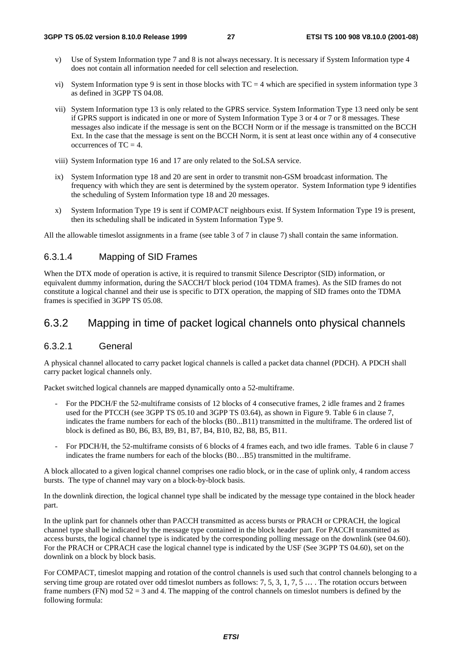- v) Use of System Information type 7 and 8 is not always necessary. It is necessary if System Information type 4 does not contain all information needed for cell selection and reselection.
- vi) System Information type 9 is sent in those blocks with  $TC = 4$  which are specified in system information type 3 as defined in 3GPP TS 04.08.
- vii) System Information type 13 is only related to the GPRS service. System Information Type 13 need only be sent if GPRS support is indicated in one or more of System Information Type 3 or 4 or 7 or 8 messages. These messages also indicate if the message is sent on the BCCH Norm or if the message is transmitted on the BCCH Ext. In the case that the message is sent on the BCCH Norm, it is sent at least once within any of 4 consecutive occurrences of  $TC = 4$ .
- viii) System Information type 16 and 17 are only related to the SoLSA service.
- ix) System Information type 18 and 20 are sent in order to transmit non-GSM broadcast information. The frequency with which they are sent is determined by the system operator. System Information type 9 identifies the scheduling of System Information type 18 and 20 messages.
- x) System Information Type 19 is sent if COMPACT neighbours exist. If System Information Type 19 is present, then its scheduling shall be indicated in System Information Type 9.

All the allowable timeslot assignments in a frame (see table 3 of 7 in clause 7) shall contain the same information.

#### 6.3.1.4 Mapping of SID Frames

When the DTX mode of operation is active, it is required to transmit Silence Descriptor (SID) information, or equivalent dummy information, during the SACCH/T block period (104 TDMA frames). As the SID frames do not constitute a logical channel and their use is specific to DTX operation, the mapping of SID frames onto the TDMA frames is specified in 3GPP TS 05.08.

### 6.3.2 Mapping in time of packet logical channels onto physical channels

#### 6.3.2.1 General

A physical channel allocated to carry packet logical channels is called a packet data channel (PDCH). A PDCH shall carry packet logical channels only.

Packet switched logical channels are mapped dynamically onto a 52-multiframe.

- For the PDCH/F the 52-multiframe consists of 12 blocks of 4 consecutive frames, 2 idle frames and 2 frames used for the PTCCH (see 3GPP TS 05.10 and 3GPP TS 03.64), as shown in Figure 9. Table 6 in clause 7, indicates the frame numbers for each of the blocks (B0...B11) transmitted in the multiframe. The ordered list of block is defined as B0, B6, B3, B9, B1, B7, B4, B10, B2, B8, B5, B11.
- For PDCH/H, the 52-multiframe consists of 6 blocks of 4 frames each, and two idle frames. Table 6 in clause 7 indicates the frame numbers for each of the blocks (B0…B5) transmitted in the multiframe.

A block allocated to a given logical channel comprises one radio block, or in the case of uplink only, 4 random access bursts. The type of channel may vary on a block-by-block basis.

In the downlink direction, the logical channel type shall be indicated by the message type contained in the block header part.

In the uplink part for channels other than PACCH transmitted as access bursts or PRACH or CPRACH, the logical channel type shall be indicated by the message type contained in the block header part. For PACCH transmitted as access bursts, the logical channel type is indicated by the corresponding polling message on the downlink (see 04.60). For the PRACH or CPRACH case the logical channel type is indicated by the USF (See 3GPP TS 04.60), set on the downlink on a block by block basis.

For COMPACT, timeslot mapping and rotation of the control channels is used such that control channels belonging to a serving time group are rotated over odd timeslot numbers as follows: 7, 5, 3, 1, 7, 5  $\ldots$ . The rotation occurs between frame numbers (FN) mod  $52 = 3$  and 4. The mapping of the control channels on timeslot numbers is defined by the following formula: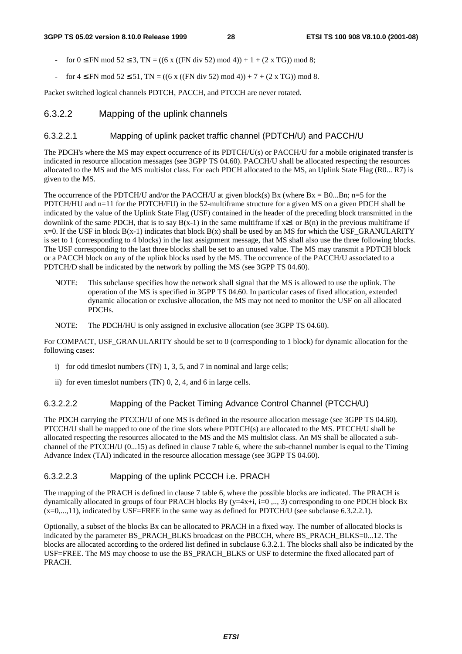- for  $0 \leq FN \mod 52 \leq 3$ ,  $TN = ((6 \times ((FN \div 52) \mod 4)) + 1 + (2 \times TG)) \mod 8$ ;
- for  $4 \leq FN \mod 52 \leq 51$ , TN = ((6 x ((FN div 52) mod 4)) + 7 + (2 x TG)) mod 8.

Packet switched logical channels PDTCH, PACCH, and PTCCH are never rotated.

#### 6.3.2.2 Mapping of the uplink channels

#### 6.3.2.2.1 Mapping of uplink packet traffic channel (PDTCH/U) and PACCH/U

The PDCH's where the MS may expect occurrence of its PDTCH/U(s) or PACCH/U for a mobile originated transfer is indicated in resource allocation messages (see 3GPP TS 04.60). PACCH/U shall be allocated respecting the resources allocated to the MS and the MS multislot class. For each PDCH allocated to the MS, an Uplink State Flag (R0... R7) is given to the MS.

The occurrence of the PDTCH/U and/or the PACCH/U at given block(s) Bx (where  $Bx = B0...Bn$ ; n=5 for the PDTCH/HU and n=11 for the PDTCH/FU) in the 52-multiframe structure for a given MS on a given PDCH shall be indicated by the value of the Uplink State Flag (USF) contained in the header of the preceding block transmitted in the downlink of the same PDCH, that is to say  $B(x-1)$  in the same multiframe if  $x\geq 1$  or  $B(n)$  in the previous multiframe if  $x=0$ . If the USF in block  $B(x-1)$  indicates that block  $B(x)$  shall be used by an MS for which the USF\_GRANULARITY is set to 1 (corresponding to 4 blocks) in the last assignment message, that MS shall also use the three following blocks. The USF corresponding to the last three blocks shall be set to an unused value. The MS may transmit a PDTCH block or a PACCH block on any of the uplink blocks used by the MS. The occurrence of the PACCH/U associated to a PDTCH/D shall be indicated by the network by polling the MS (see 3GPP TS 04.60).

- NOTE: This subclause specifies how the network shall signal that the MS is allowed to use the uplink. The operation of the MS is specified in 3GPP TS 04.60. In particular cases of fixed allocation, extended dynamic allocation or exclusive allocation, the MS may not need to monitor the USF on all allocated PDCHs.
- NOTE: The PDCH/HU is only assigned in exclusive allocation (see 3GPP TS 04.60).

For COMPACT, USF\_GRANULARITY should be set to 0 (corresponding to 1 block) for dynamic allocation for the following cases:

- i) for odd timeslot numbers (TN) 1, 3, 5, and 7 in nominal and large cells;
- ii) for even timeslot numbers (TN) 0, 2, 4, and 6 in large cells.

#### 6.3.2.2.2 Mapping of the Packet Timing Advance Control Channel (PTCCH/U)

The PDCH carrying the PTCCH/U of one MS is defined in the resource allocation message (see 3GPP TS 04.60). PTCCH/U shall be mapped to one of the time slots where PDTCH(s) are allocated to the MS. PTCCH/U shall be allocated respecting the resources allocated to the MS and the MS multislot class. An MS shall be allocated a subchannel of the PTCCH/U (0...15) as defined in clause 7 table 6, where the sub-channel number is equal to the Timing Advance Index (TAI) indicated in the resource allocation message (see 3GPP TS 04.60).

#### 6.3.2.2.3 Mapping of the uplink PCCCH i.e. PRACH

The mapping of the PRACH is defined in clause 7 table 6, where the possible blocks are indicated. The PRACH is dynamically allocated in groups of four PRACH blocks By  $(y=4x+i, i=0, ..., 3)$  corresponding to one PDCH block Bx  $(x=0,...,11)$ , indicated by USF=FREE in the same way as defined for PDTCH/U (see subclause 6.3.2.2.1).

Optionally, a subset of the blocks Bx can be allocated to PRACH in a fixed way. The number of allocated blocks is indicated by the parameter BS\_PRACH\_BLKS broadcast on the PBCCH, where BS\_PRACH\_BLKS=0...12. The blocks are allocated according to the ordered list defined in subclause 6.3.2.1. The blocks shall also be indicated by the USF=FREE. The MS may choose to use the BS\_PRACH\_BLKS or USF to determine the fixed allocated part of PRACH.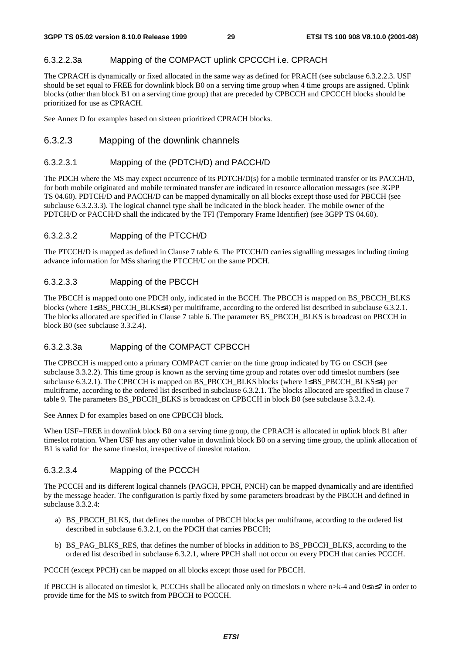#### 6.3.2.2.3a Mapping of the COMPACT uplink CPCCCH i.e. CPRACH

The CPRACH is dynamically or fixed allocated in the same way as defined for PRACH (see subclause 6.3.2.2.3. USF should be set equal to FREE for downlink block B0 on a serving time group when 4 time groups are assigned. Uplink blocks (other than block B1 on a serving time group) that are preceded by CPBCCH and CPCCCH blocks should be prioritized for use as CPRACH.

See Annex D for examples based on sixteen prioritized CPRACH blocks.

#### 6.3.2.3 Mapping of the downlink channels

#### 6.3.2.3.1 Mapping of the (PDTCH/D) and PACCH/D

The PDCH where the MS may expect occurrence of its PDTCH/D(s) for a mobile terminated transfer or its PACCH/D, for both mobile originated and mobile terminated transfer are indicated in resource allocation messages (see 3GPP TS 04.60). PDTCH/D and PACCH/D can be mapped dynamically on all blocks except those used for PBCCH (see subclause 6.3.2.3.3). The logical channel type shall be indicated in the block header. The mobile owner of the PDTCH/D or PACCH/D shall the indicated by the TFI (Temporary Frame Identifier) (see 3GPP TS 04.60).

#### 6.3.2.3.2 Mapping of the PTCCH/D

The PTCCH/D is mapped as defined in Clause 7 table 6. The PTCCH/D carries signalling messages including timing advance information for MSs sharing the PTCCH/U on the same PDCH.

#### 6.3.2.3.3 Mapping of the PBCCH

The PBCCH is mapped onto one PDCH only, indicated in the BCCH. The PBCCH is mapped on BS\_PBCCH\_BLKS blocks (where 1≤BS\_PBCCH\_BLKS≤4) per multiframe, according to the ordered list described in subclause 6.3.2.1. The blocks allocated are specified in Clause 7 table 6. The parameter BS\_PBCCH\_BLKS is broadcast on PBCCH in block B0 (see subclause 3.3.2.4).

#### 6.3.2.3.3a Mapping of the COMPACT CPBCCH

The CPBCCH is mapped onto a primary COMPACT carrier on the time group indicated by TG on CSCH (see subclause 3.3.2.2). This time group is known as the serving time group and rotates over odd timeslot numbers (see subclause 6.3.2.1). The CPBCCH is mapped on BS\_PBCCH\_BLKS blocks (where 1≤BS\_PBCCH\_BLKS≤4) per multiframe, according to the ordered list described in subclause 6.3.2.1. The blocks allocated are specified in clause 7 table 9. The parameters BS\_PBCCH\_BLKS is broadcast on CPBCCH in block B0 (see subclause 3.3.2.4).

See Annex D for examples based on one CPBCCH block.

When USF=FREE in downlink block B0 on a serving time group, the CPRACH is allocated in uplink block B1 after timeslot rotation. When USF has any other value in downlink block B0 on a serving time group, the uplink allocation of B1 is valid for the same timeslot, irrespective of timeslot rotation.

#### 6.3.2.3.4 Mapping of the PCCCH

The PCCCH and its different logical channels (PAGCH, PPCH, PNCH) can be mapped dynamically and are identified by the message header. The configuration is partly fixed by some parameters broadcast by the PBCCH and defined in subclause 3.3.2.4:

- a) BS\_PBCCH\_BLKS, that defines the number of PBCCH blocks per multiframe, according to the ordered list described in subclause 6.3.2.1, on the PDCH that carries PBCCH;
- b) BS\_PAG\_BLKS\_RES, that defines the number of blocks in addition to BS\_PBCCH\_BLKS, according to the ordered list described in subclause 6.3.2.1, where PPCH shall not occur on every PDCH that carries PCCCH.

PCCCH (except PPCH) can be mapped on all blocks except those used for PBCCH.

If PBCCH is allocated on timeslot k, PCCCHs shall be allocated only on timeslots n where n>k-4 and 0≤n≤7 in order to provide time for the MS to switch from PBCCH to PCCCH.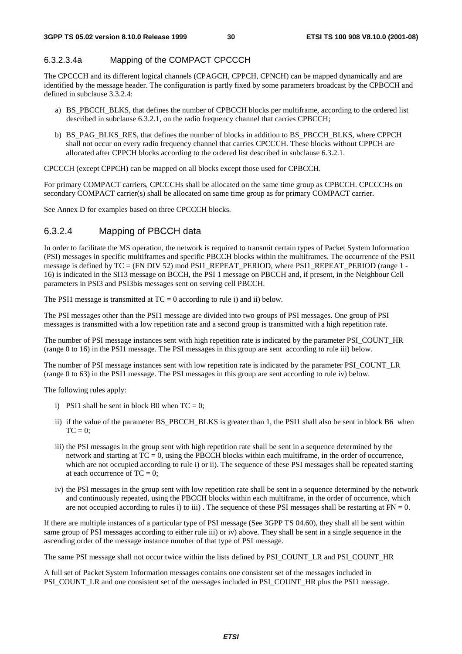### 6.3.2.3.4a Mapping of the COMPACT CPCCCH

The CPCCCH and its different logical channels (CPAGCH, CPPCH, CPNCH) can be mapped dynamically and are identified by the message header. The configuration is partly fixed by some parameters broadcast by the CPBCCH and defined in subclause 3.3.2.4:

- a) BS\_PBCCH\_BLKS, that defines the number of CPBCCH blocks per multiframe, according to the ordered list described in subclause 6.3.2.1, on the radio frequency channel that carries CPBCCH;
- b) BS\_PAG\_BLKS\_RES, that defines the number of blocks in addition to BS\_PBCCH\_BLKS, where CPPCH shall not occur on every radio frequency channel that carries CPCCCH. These blocks without CPPCH are allocated after CPPCH blocks according to the ordered list described in subclause 6.3.2.1.

CPCCCH (except CPPCH) can be mapped on all blocks except those used for CPBCCH.

For primary COMPACT carriers, CPCCCHs shall be allocated on the same time group as CPBCCH. CPCCCHs on secondary COMPACT carrier(s) shall be allocated on same time group as for primary COMPACT carrier.

See Annex D for examples based on three CPCCCH blocks.

# 6.3.2.4 Mapping of PBCCH data

In order to facilitate the MS operation, the network is required to transmit certain types of Packet System Information (PSI) messages in specific multiframes and specific PBCCH blocks within the multiframes. The occurrence of the PSI1 message is defined by TC = (FN DIV 52) mod PSI1\_REPEAT\_PERIOD, where PSI1\_REPEAT\_PERIOD (range 1 - 16) is indicated in the SI13 message on BCCH, the PSI 1 message on PBCCH and, if present, in the Neighbour Cell parameters in PSI3 and PSI3bis messages sent on serving cell PBCCH.

The PSI1 message is transmitted at  $TC = 0$  according to rule i) and ii) below.

The PSI messages other than the PSI1 message are divided into two groups of PSI messages. One group of PSI messages is transmitted with a low repetition rate and a second group is transmitted with a high repetition rate.

The number of PSI message instances sent with high repetition rate is indicated by the parameter PSI\_COUNT\_HR (range 0 to 16) in the PSI1 message. The PSI messages in this group are sent according to rule iii) below.

The number of PSI message instances sent with low repetition rate is indicated by the parameter PSI\_COUNT\_LR (range 0 to 63) in the PSI1 message. The PSI messages in this group are sent according to rule iv) below.

The following rules apply:

- i) PSI1 shall be sent in block B0 when  $TC = 0$ :
- ii) if the value of the parameter BS\_PBCCH\_BLKS is greater than 1, the PSI1 shall also be sent in block B6 when  $TC = 0$ :
- iii) the PSI messages in the group sent with high repetition rate shall be sent in a sequence determined by the network and starting at  $TC = 0$ , using the PBCCH blocks within each multiframe, in the order of occurrence, which are not occupied according to rule i) or ii). The sequence of these PSI messages shall be repeated starting at each occurrence of  $TC = 0$ ;
- iv) the PSI messages in the group sent with low repetition rate shall be sent in a sequence determined by the network and continuously repeated, using the PBCCH blocks within each multiframe, in the order of occurrence, which are not occupied according to rules i) to iii). The sequence of these PSI messages shall be restarting at  $FN = 0$ .

If there are multiple instances of a particular type of PSI message (See 3GPP TS 04.60), they shall all be sent within same group of PSI messages according to either rule iii) or iv) above. They shall be sent in a single sequence in the ascending order of the message instance number of that type of PSI message.

The same PSI message shall not occur twice within the lists defined by PSI\_COUNT\_LR and PSI\_COUNT\_HR

A full set of Packet System Information messages contains one consistent set of the messages included in PSI\_COUNT\_LR and one consistent set of the messages included in PSI\_COUNT\_HR plus the PSI1 message.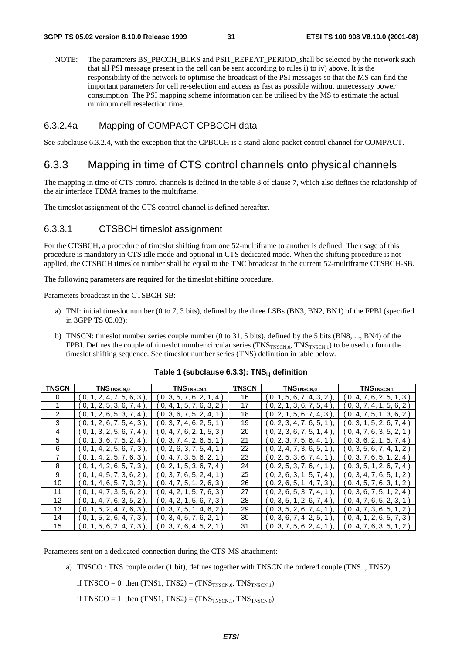NOTE: The parameters BS\_PBCCH\_BLKS and PSI1\_REPEAT\_PERIOD\_shall be selected by the network such that all PSI message present in the cell can be sent according to rules i) to iv) above. It is the responsibility of the network to optimise the broadcast of the PSI messages so that the MS can find the important parameters for cell re-selection and access as fast as possible without unnecessary power consumption. The PSI mapping scheme information can be utilised by the MS to estimate the actual minimum cell reselection time.

#### 6.3.2.4a Mapping of COMPACT CPBCCH data

See subclause 6.3.2.4, with the exception that the CPBCCH is a stand-alone packet control channel for COMPACT.

### 6.3.3 Mapping in time of CTS control channels onto physical channels

The mapping in time of CTS control channels is defined in the table 8 of clause 7, which also defines the relationship of the air interface TDMA frames to the multiframe.

The timeslot assignment of the CTS control channel is defined hereafter.

#### 6.3.3.1 CTSBCH timeslot assignment

For the CTSBCH**,** a procedure of timeslot shifting from one 52-multiframe to another is defined. The usage of this procedure is mandatory in CTS idle mode and optional in CTS dedicated mode. When the shifting procedure is not applied, the CTSBCH timeslot number shall be equal to the TNC broadcast in the current 52-multiframe CTSBCH-SB.

The following parameters are required for the timeslot shifting procedure.

Parameters broadcast in the CTSBCH-SB:

- a) TNI: initial timeslot number (0 to 7, 3 bits), defined by the three LSBs (BN3, BN2, BN1) of the FPBI (specified in 3GPP TS 03.03);
- b) TNSCN: timeslot number series couple number (0 to 31, 5 bits), defined by the 5 bits (BN8, ..., BN4) of the FPBI. Defines the couple of timeslot number circular series  $(TNS_{TNSCN,0}, TNS_{TNSCN,1})$  to be used to form the timeslot shifting sequence. See timeslot number series (TNS) definition in table below.

| <b>TNSCN</b> | TNS <sub>TNSCN,0</sub>          | TNS <sub>TNSCN,1</sub>  | <b>TNSCN</b> | TNSTNSCN,0                     | TNS <sub>TNSCN,1</sub>         |
|--------------|---------------------------------|-------------------------|--------------|--------------------------------|--------------------------------|
| 0            | 0, 1, 2, 4, 7, 5, 6, 3          | 0, 3, 5, 7, 6, 2, 1, 4) | 16           | (0, 1, 5, 6, 7, 4, 3, 2)       | 0, 4, 7, 6, 2, 5, 1, 3         |
|              | (0, 1, 2, 5, 3, 6, 7, 4),       | 0, 4, 1, 5, 7, 6, 3, 2) | 17           | $($ 0, 2, 1, 3, 6, 7, 5, 4 $)$ | 0, 3, 7, 4, 1, 5, 6, 2         |
| 2            | (0, 1, 2, 6, 5, 3, 7, 4)        | 0, 3, 6, 7, 5, 2, 4, 1  | 18           | $($ 0, 2, 1, 5, 6, 7, 4, 3 $[$ | $($ 0, 4, 7, 5, 1, 3, 6, 2 $)$ |
| 3            | $(0, 1, 2, 6, 7, 5, 4, 3)$ .    | 0, 3, 7, 4, 6, 2, 5, 1  | 19           | (0, 2, 3, 4, 7, 6, 5, 1)       | $($ 0, 3, 1, 5, 2, 6, 7, 4 $)$ |
| 4            | (0, 1, 3, 2, 5, 6, 7, 4)        | 0, 4, 7, 6, 2, 1, 5, 3  | 20           | $($ 0, 2, 3, 6, 7, 5, 1, 4 $)$ | (0, 4, 7, 6, 3, 5, 2, 1)       |
| 5            | (0, 1, 3, 6, 7, 5, 2, 4)        | 0, 3, 7, 4, 2, 6, 5, 1  | 21           | (0, 2, 3, 7, 5, 6, 4, 1)       | $($ 0, 3, 6, 2, 1, 5, 7, 4 $($ |
| 6            | $($ 0, 1, 4, 2, 5, 6, 7, 3 $),$ | 0, 2, 6, 3, 7, 5, 4, 1) | 22           | (0, 2, 4, 7, 3, 6, 5, 1)       | $($ 0, 3, 5, 6, 7, 4, 1, 2 $)$ |
|              | (0, 1, 4, 2, 5, 7, 6, 3)        | 0, 4, 7, 3, 5, 6, 2, 1  | 23           | ( 0, 2, 5, 3, 6, 7, 4, 1       | $($ 0, 3, 7, 6, 5, 1, 2, 4 $)$ |
| 8            | (0, 1, 4, 2, 6, 5, 7, 3)        | 0, 2, 1, 5, 3, 6, 7, 4  | 24           | (0, 2, 5, 3, 7, 6, 4, 1)       | $($ 0, 3, 5, 1, 2, 6, 7, 4 $)$ |
| 9            | $($ 0, 1, 4, 5, 7, 3, 6, 2 ),   | 0, 3, 7, 6, 5, 2, 4, 1  | 25           | $($ 0, 2, 6, 3, 1, 5, 7, 4 $)$ | [0, 3, 4, 7, 6, 5, 1, 2]       |
| 10           | 0, 1, 4, 6, 5, 7, 3, 2          | 0, 4, 7, 5, 1, 2, 6, 3  | 26           | [0, 2, 6, 5, 1, 4, 7, 3]       | 0, 4, 5, 7, 6, 3, 1, 2         |
| 11           | $($ 0, 1, 4, 7, 3, 5, 6, 2 $),$ | 0, 4, 2, 1, 5, 7, 6, 3  | 27           | (0, 2, 6, 5, 3, 7, 4, 1)       | $($ 0, 3, 6, 7, 5, 1, 2, 4 $($ |
| 12           | $(0, 1, 4, 7, 6, 3, 5, 2)$ ,    | 0, 4, 2, 1, 5, 6, 7, 3  | 28           | $($ 0, 3, 5, 1, 2, 6, 7, 4 $)$ | (0, 4, 7, 6, 5, 2, 3, 1)       |
| 13           | (0, 1, 5, 2, 4, 7, 6, 3)        | 0, 3, 7, 5, 1, 4, 6, 2  | 29           | ( 0, 3, 5, 2, 6, 7, 4, 1       | [0, 4, 7, 3, 6, 5, 1, 2]       |
| 14           | 0, 1, 5, 2, 6, 4, 7, 3          | 0, 3, 4, 5, 7, 6, 2, 1  | 30           | 0, 3, 6, 7, 4, 2, 5, 1         | $($ 0, 4, 1, 2, 6, 5, 7, 3 $($ |
| 15           | $0, 1, 5, 6, 2, 4, 7, 3$ ,      | 0, 3, 7, 6, 4, 5, 2, 1) | 31           | 0, 3, 7, 5, 6, 2, 4, 1         | 0, 4, 7, 6, 3, 5, 1, 2         |

#### Table 1 (subclause 6.3.3): TNS<sub>i,j</sub> definition

Parameters sent on a dedicated connection during the CTS-MS attachment:

- a) TNSCO : TNS couple order (1 bit), defines together with TNSCN the ordered couple (TNS1, TNS2).
	- if TNSCO = 0 then  $(TNS1, TNS2) = (TNS<sub>TNSCN.0</sub>, TNS<sub>TNSCN.1</sub>)$

if TNSCO = 1 then  $(TNS1, TNS2) = (TNS<sub>TNSCN,1</sub>, TNS<sub>TNSCN,0</sub>)$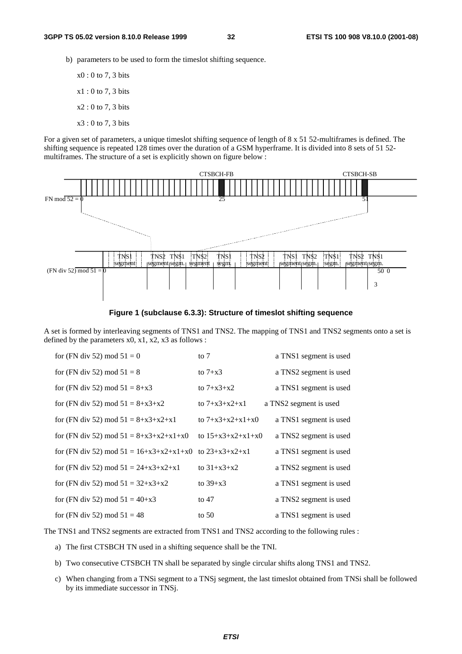- b) parameters to be used to form the timeslot shifting sequence.
	- x0 : 0 to 7, 3 bits x1 : 0 to 7, 3 bits  $x2:0$  to 7, 3 bits x3 : 0 to 7, 3 bits

For a given set of parameters, a unique timeslot shifting sequence of length of 8 x 51 52-multiframes is defined. The shifting sequence is repeated 128 times over the duration of a GSM hyperframe. It is divided into 8 sets of 51 52 multiframes. The structure of a set is explicitly shown on figure below :



**Figure 1 (subclause 6.3.3): Structure of timeslot shifting sequence** 

A set is formed by interleaving segments of TNS1 and TNS2. The mapping of TNS1 and TNS2 segments onto a set is defined by the parameters  $x0$ ,  $x1$ ,  $x2$ ,  $x3$  as follows :

| for (FN div 52) mod $51 = 0$                               | to $7$              | a TNS1 segment is used |
|------------------------------------------------------------|---------------------|------------------------|
| for (FN div 52) mod $51 = 8$                               | to $7+x3$           | a TNS2 segment is used |
| for (FN div 52) mod $51 = 8+x3$                            | to $7 + x3 + x2$    | a TNS1 segment is used |
| for (FN div 52) mod $51 = 8+x3+x2$                         | to $7+x3+x2+x1$     | a TNS2 segment is used |
| for (FN div 52) mod $51 = 8 + x3 + x2 + x1$                | to $7+x3+x2+x1+x0$  | a TNS1 segment is used |
| for (FN div 52) mod $51 = 8 + x3 + x2 + x1 + x0$           | to $15+x3+x2+x1+x0$ | a TNS2 segment is used |
| for (FN div 52) mod $51 = 16+x3+x2+x1+x0$ to $23+x3+x2+x1$ |                     | a TNS1 segment is used |
| for (FN div 52) mod $51 = 24+x3+x2+x1$                     | to $31+x3+x2$       | a TNS2 segment is used |
| for (FN div 52) mod $51 = 32+x3+x2$                        | to $39+x3$          | a TNS1 segment is used |
| for (FN div 52) mod $51 = 40+x3$                           | to $47$             | a TNS2 segment is used |
| for (FN div 52) mod $51 = 48$                              | to $50$             | a TNS1 segment is used |

The TNS1 and TNS2 segments are extracted from TNS1 and TNS2 according to the following rules :

- a) The first CTSBCH TN used in a shifting sequence shall be the TNI.
- b) Two consecutive CTSBCH TN shall be separated by single circular shifts along TNS1 and TNS2.
- c) When changing from a TNSi segment to a TNSj segment, the last timeslot obtained from TNSi shall be followed by its immediate successor in TNSj.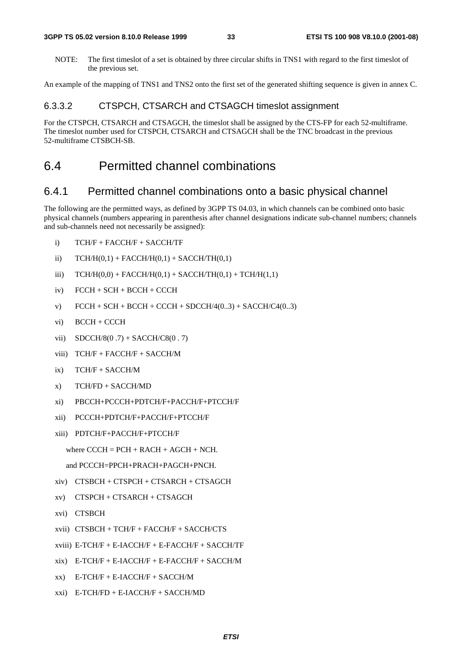#### **3GPP TS 05.02 version 8.10.0 Release 1999 33 ETSI TS 100 908 V8.10.0 (2001-08)**

NOTE: The first timeslot of a set is obtained by three circular shifts in TNS1 with regard to the first timeslot of the previous set.

An example of the mapping of TNS1 and TNS2 onto the first set of the generated shifting sequence is given in annex C.

#### 6.3.3.2 CTSPCH, CTSARCH and CTSAGCH timeslot assignment

For the CTSPCH, CTSARCH and CTSAGCH, the timeslot shall be assigned by the CTS-FP for each 52-multiframe. The timeslot number used for CTSPCH, CTSARCH and CTSAGCH shall be the TNC broadcast in the previous 52-multiframe CTSBCH-SB.

# 6.4 Permitted channel combinations

### 6.4.1 Permitted channel combinations onto a basic physical channel

The following are the permitted ways, as defined by 3GPP TS 04.03, in which channels can be combined onto basic physical channels (numbers appearing in parenthesis after channel designations indicate sub-channel numbers; channels and sub-channels need not necessarily be assigned):

- i) TCH/F + FACCH/F + SACCH/TF
- ii)  $TCH/H(0,1) + FACCH/H(0,1) + SACCH/TH(0,1)$
- iii)  $TCH/H(0,0) + FACT/H(0,1) + SACCH/TH(0,1) + TCH/H(1,1)$
- iv) FCCH + SCH + BCCH + CCCH
- v)  $FCCH + SCH + BACH + CICH + SDCCH/4(0..3) + SACCH/C4(0..3)$
- vi) BCCH + CCCH
- vii)  $SDCCH/8(0.7) + SACCH/8(0.7)$
- viii) TCH/F + FACCH/F + SACCH/M
- $ix)$  TCH/F + SACCH/M
- x) TCH/FD + SACCH/MD
- xi) PBCCH+PCCCH+PDTCH/F+PACCH/F+PTCCH/F
- xii) PCCCH+PDTCH/F+PACCH/F+PTCCH/F
- xiii) PDTCH/F+PACCH/F+PTCCH/F

where  $C CCH = PCH + RACH + AGCH + NCH$ .

```
and PCCCH=PPCH+PRACH+PAGCH+PNCH.
```
- xiv) CTSBCH + CTSPCH + CTSARCH + CTSAGCH
- xv) CTSPCH + CTSARCH + CTSAGCH
- xvi) CTSBCH
- xvii) CTSBCH + TCH/F + FACCH/F + SACCH/CTS
- xviii) E-TCH/F + E-IACCH/F + E-FACCH/F + SACCH/TF
- xix) E-TCH/F + E-IACCH/F + E-FACCH/F + SACCH/M
- xx) E-TCH/F + E-IACCH/F + SACCH/M
- xxi) E-TCH/FD + E-IACCH/F + SACCH/MD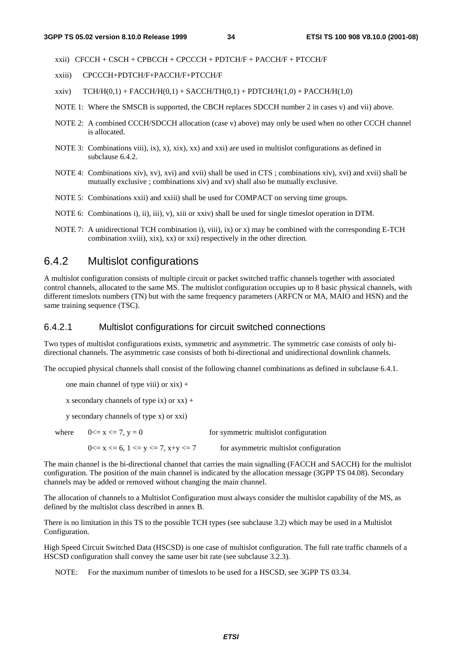$xxii)$  CFCCH + CSCH + CPBCCH + CPCCCH + PDTCH/F + PACCH/F + PTCCH/F

- xxiii) CPCCCH+PDTCH/F+PACCH/F+PTCCH/F
- xxiv)  $TCH/H(0,1) + FACCH/H(0,1) + SACCHTH(0,1) + PDTCH/H(1,0) + PACCH/H(1,0)$
- NOTE 1: Where the SMSCB is supported, the CBCH replaces SDCCH number 2 in cases v) and vii) above.
- NOTE 2: A combined CCCH/SDCCH allocation (case v) above) may only be used when no other CCCH channel is allocated.
- NOTE 3: Combinations viii), ix), x), xix), xx) and xxi) are used in multislot configurations as defined in subclause 6.4.2.
- NOTE 4: Combinations xiv), xv), xvi) and xvii) shall be used in CTS ; combinations xiv), xvi) and xvii) shall be mutually exclusive ; combinations xiv) and xv) shall also be mutually exclusive.
- NOTE 5: Combinations xxii) and xxiii) shall be used for COMPACT on serving time groups.
- NOTE 6: Combinations i), ii), iii), v), xiii or xxiv) shall be used for single timeslot operation in DTM.
- NOTE 7: A unidirectional TCH combination i), viii), ix) or x) may be combined with the corresponding E-TCH combination xviii), xix), xx) or xxi) respectively in the other direction.

### 6.4.2 Multislot configurations

A multislot configuration consists of multiple circuit or packet switched traffic channels together with associated control channels, allocated to the same MS. The multislot configuration occupies up to 8 basic physical channels, with different timeslots numbers (TN) but with the same frequency parameters (ARFCN or MA, MAIO and HSN) and the same training sequence (TSC).

#### 6.4.2.1 Multislot configurations for circuit switched connections

Two types of multislot configurations exists, symmetric and asymmetric. The symmetric case consists of only bidirectional channels. The asymmetric case consists of both bi-directional and unidirectional downlink channels.

The occupied physical channels shall consist of the following channel combinations as defined in subclause 6.4.1.

one main channel of type viii) or xix) +

x secondary channels of type ix) or  $xx$ ) +

y secondary channels of type x) or xxi)

where  $0 \le x \le 7$ ,  $y = 0$  for symmetric multislot configuration

 $0 \le x \le 6$ ,  $1 \le y \le 7$ ,  $x+y \le 7$  for asymmetric multislot configuration

The main channel is the bi-directional channel that carries the main signalling (FACCH and SACCH) for the multislot configuration. The position of the main channel is indicated by the allocation message (3GPP TS 04.08). Secondary channels may be added or removed without changing the main channel.

The allocation of channels to a Multislot Configuration must always consider the multislot capability of the MS, as defined by the multislot class described in annex B.

There is no limitation in this TS to the possible TCH types (see subclause 3.2) which may be used in a Multislot Configuration.

High Speed Circuit Switched Data (HSCSD) is one case of multislot configuration. The full rate traffic channels of a HSCSD configuration shall convey the same user bit rate (see subclause 3.2.3).

NOTE: For the maximum number of timeslots to be used for a HSCSD, see 3GPP TS 03.34.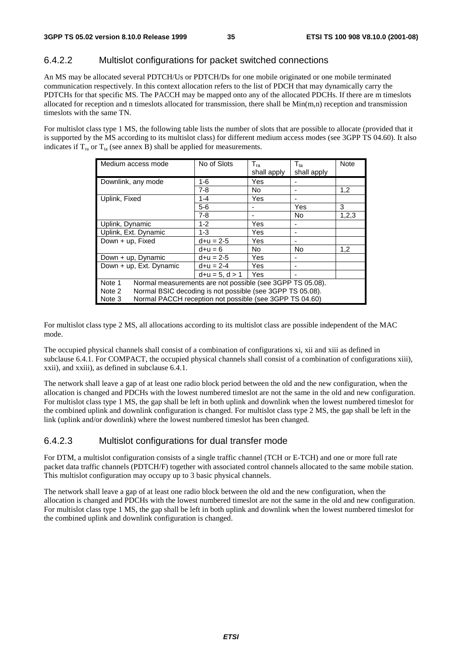#### 6.4.2.2 Multislot configurations for packet switched connections

An MS may be allocated several PDTCH/Us or PDTCH/Ds for one mobile originated or one mobile terminated communication respectively. In this context allocation refers to the list of PDCH that may dynamically carry the PDTCHs for that specific MS. The PACCH may be mapped onto any of the allocated PDCHs. If there are m timeslots allocated for reception and n timeslots allocated for transmission, there shall be  $Min(m,n)$  reception and transmission timeslots with the same TN.

For multislot class type 1 MS, the following table lists the number of slots that are possible to allocate (provided that it is supported by the MS according to its multislot class) for different medium access modes (see 3GPP TS 04.60). It also indicates if  $T_{ra}$  or  $T_{ta}$  (see annex B) shall be applied for measurements.

| Medium access mode                                                  | No of Slots      | $T_{\text{ra}}$<br>shall apply | $T_{ta}$<br>shall apply | <b>Note</b> |  |  |
|---------------------------------------------------------------------|------------------|--------------------------------|-------------------------|-------------|--|--|
| Downlink, any mode                                                  | 1-6              | Yes                            |                         |             |  |  |
|                                                                     | $7 - 8$          | No.                            |                         | 1,2         |  |  |
| Uplink, Fixed                                                       | $1 - 4$          | Yes                            |                         |             |  |  |
|                                                                     | $5-6$            |                                | Yes                     | 3           |  |  |
|                                                                     | $7 - 8$          |                                | No                      | 1,2,3       |  |  |
| Uplink, Dynamic                                                     | $1 - 2$          | Yes                            |                         |             |  |  |
| Uplink, Ext. Dynamic                                                | $1 - 3$          | Yes                            |                         |             |  |  |
| Down + up, Fixed                                                    | $d+u = 2-5$      | Yes                            |                         |             |  |  |
|                                                                     | $d+u = 6$        | No.                            | <b>No</b>               | 1,2         |  |  |
| Down + up, Dynamic                                                  | $d+u = 2-5$      | Yes                            |                         |             |  |  |
| Down + up, Ext. Dynamic                                             | $d+u = 2-4$      | Yes                            |                         |             |  |  |
|                                                                     | $d+u = 5, d > 1$ | Yes                            |                         |             |  |  |
| Note 1<br>Normal measurements are not possible (see 3GPP TS 05.08). |                  |                                |                         |             |  |  |
| Normal BSIC decoding is not possible (see 3GPP TS 05.08).<br>Note 2 |                  |                                |                         |             |  |  |
| Normal PACCH reception not possible (see 3GPP TS 04.60)<br>Note 3   |                  |                                |                         |             |  |  |

For multislot class type 2 MS, all allocations according to its multislot class are possible independent of the MAC mode.

The occupied physical channels shall consist of a combination of configurations xi, xii and xiii as defined in subclause 6.4.1. For COMPACT, the occupied physical channels shall consist of a combination of configurations xiii), xxii), and xxiii), as defined in subclause 6.4.1.

The network shall leave a gap of at least one radio block period between the old and the new configuration, when the allocation is changed and PDCHs with the lowest numbered timeslot are not the same in the old and new configuration. For multislot class type 1 MS, the gap shall be left in both uplink and downlink when the lowest numbered timeslot for the combined uplink and downlink configuration is changed. For multislot class type 2 MS, the gap shall be left in the link (uplink and/or downlink) where the lowest numbered timeslot has been changed.

#### 6.4.2.3 Multislot configurations for dual transfer mode

For DTM, a multislot configuration consists of a single traffic channel (TCH or E-TCH) and one or more full rate packet data traffic channels (PDTCH/F) together with associated control channels allocated to the same mobile station. This multislot configuration may occupy up to 3 basic physical channels.

The network shall leave a gap of at least one radio block between the old and the new configuration, when the allocation is changed and PDCHs with the lowest numbered timeslot are not the same in the old and new configuration. For multislot class type 1 MS, the gap shall be left in both uplink and downlink when the lowest numbered timeslot for the combined uplink and downlink configuration is changed.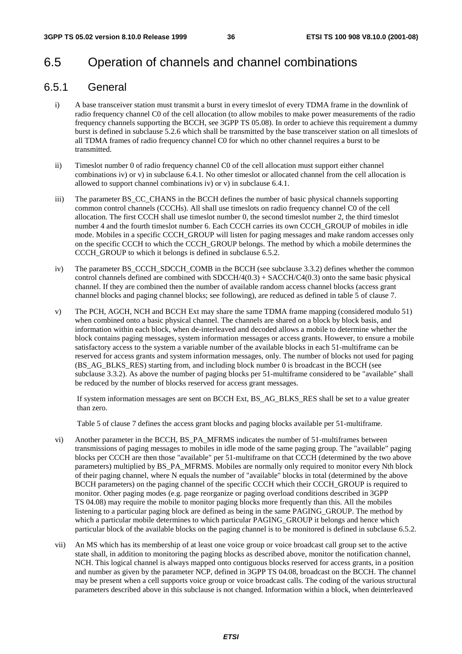## 6.5 Operation of channels and channel combinations

### 6.5.1 General

- i) A base transceiver station must transmit a burst in every timeslot of every TDMA frame in the downlink of radio frequency channel C0 of the cell allocation (to allow mobiles to make power measurements of the radio frequency channels supporting the BCCH, see 3GPP TS 05.08). In order to achieve this requirement a dummy burst is defined in subclause 5.2.6 which shall be transmitted by the base transceiver station on all timeslots of all TDMA frames of radio frequency channel C0 for which no other channel requires a burst to be transmitted.
- ii) Timeslot number 0 of radio frequency channel C0 of the cell allocation must support either channel combinations iv) or v) in subclause 6.4.1. No other timeslot or allocated channel from the cell allocation is allowed to support channel combinations iv) or v) in subclause 6.4.1.
- iii) The parameter BS\_CC\_CHANS in the BCCH defines the number of basic physical channels supporting common control channels (CCCHs). All shall use timeslots on radio frequency channel C0 of the cell allocation. The first CCCH shall use timeslot number 0, the second timeslot number 2, the third timeslot number 4 and the fourth timeslot number 6. Each CCCH carries its own CCCH\_GROUP of mobiles in idle mode. Mobiles in a specific CCCH\_GROUP will listen for paging messages and make random accesses only on the specific CCCH to which the CCCH\_GROUP belongs. The method by which a mobile determines the CCCH\_GROUP to which it belongs is defined in subclause 6.5.2.
- iv) The parameter BS\_CCCH\_SDCCH\_COMB in the BCCH (see subclause 3.3.2) defines whether the common control channels defined are combined with  $SDCCH/4(0.3) + SACCH/C4(0.3)$  onto the same basic physical channel. If they are combined then the number of available random access channel blocks (access grant channel blocks and paging channel blocks; see following), are reduced as defined in table 5 of clause 7.
- v) The PCH, AGCH, NCH and BCCH Ext may share the same TDMA frame mapping (considered modulo 51) when combined onto a basic physical channel. The channels are shared on a block by block basis, and information within each block, when de-interleaved and decoded allows a mobile to determine whether the block contains paging messages, system information messages or access grants. However, to ensure a mobile satisfactory access to the system a variable number of the available blocks in each 51-multiframe can be reserved for access grants and system information messages, only. The number of blocks not used for paging (BS\_AG\_BLKS\_RES) starting from, and including block number 0 is broadcast in the BCCH (see subclause 3.3.2). As above the number of paging blocks per 51-multiframe considered to be "available" shall be reduced by the number of blocks reserved for access grant messages.

 If system information messages are sent on BCCH Ext, BS\_AG\_BLKS\_RES shall be set to a value greater than zero.

Table 5 of clause 7 defines the access grant blocks and paging blocks available per 51-multiframe.

- vi) Another parameter in the BCCH, BS\_PA\_MFRMS indicates the number of 51-multiframes between transmissions of paging messages to mobiles in idle mode of the same paging group. The "available" paging blocks per CCCH are then those "available" per 51-multiframe on that CCCH (determined by the two above parameters) multiplied by BS\_PA\_MFRMS. Mobiles are normally only required to monitor every Nth block of their paging channel, where N equals the number of "available" blocks in total (determined by the above BCCH parameters) on the paging channel of the specific CCCH which their CCCH\_GROUP is required to monitor. Other paging modes (e.g. page reorganize or paging overload conditions described in 3GPP TS 04.08) may require the mobile to monitor paging blocks more frequently than this. All the mobiles listening to a particular paging block are defined as being in the same PAGING\_GROUP. The method by which a particular mobile determines to which particular PAGING\_GROUP it belongs and hence which particular block of the available blocks on the paging channel is to be monitored is defined in subclause 6.5.2.
- vii) An MS which has its membership of at least one voice group or voice broadcast call group set to the active state shall, in addition to monitoring the paging blocks as described above, monitor the notification channel, NCH. This logical channel is always mapped onto contiguous blocks reserved for access grants, in a position and number as given by the parameter NCP, defined in 3GPP TS 04.08, broadcast on the BCCH. The channel may be present when a cell supports voice group or voice broadcast calls. The coding of the various structural parameters described above in this subclause is not changed. Information within a block, when deinterleaved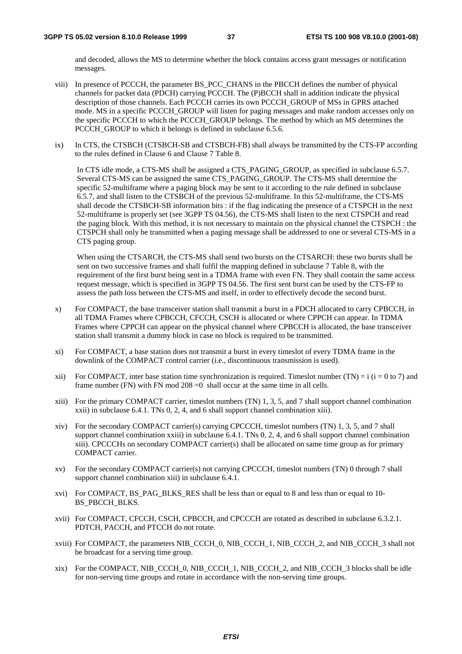and decoded, allows the MS to determine whether the block contains access grant messages or notification messages.

- viii) In presence of PCCCH, the parameter BS\_PCC\_CHANS in the PBCCH defines the number of physical channels for packet data (PDCH) carrying PCCCH. The (P)BCCH shall in addition indicate the physical description of those channels. Each PCCCH carries its own PCCCH\_GROUP of MSs in GPRS attached mode. MS in a specific PCCCH GROUP will listen for paging messages and make random accesses only on the specific PCCCH to which the PCCCH\_GROUP belongs. The method by which an MS determines the PCCCH\_GROUP to which it belongs is defined in subclause 6.5.6.
- ix) In CTS, the CTSBCH (CTSBCH-SB and CTSBCH-FB) shall always be transmitted by the CTS-FP according to the rules defined in Clause 6 and Clause 7 Table 8.

In CTS idle mode, a CTS-MS shall be assigned a CTS PAGING GROUP, as specified in subclause 6.5.7. Several CTS-MS can be assigned the same CTS\_PAGING\_GROUP. The CTS-MS shall determine the specific 52-multiframe where a paging block may be sent to it according to the rule defined in subclause 6.5.7, and shall listen to the CTSBCH of the previous 52-multiframe. In this 52-multiframe, the CTS-MS shall decode the CTSBCH-SB information bits : if the flag indicating the presence of a CTSPCH in the next 52-multiframe is properly set (see 3GPP TS 04.56), the CTS-MS shall listen to the next CTSPCH and read the paging block. With this method, it is not necessary to maintain on the physical channel the CTSPCH : the CTSPCH shall only be transmitted when a paging message shall be addressed to one or several CTS-MS in a CTS paging group.

 When using the CTSARCH, the CTS-MS shall send two bursts on the CTSARCH: these two bursts shall be sent on two successive frames and shall fulfil the mapping defined in subclause 7 Table 8, with the requirement of the first burst being sent in a TDMA frame with even FN. They shall contain the same access request message, which is specified in 3GPP TS 04.56. The first sent burst can be used by the CTS-FP to assess the path loss between the CTS-MS and itself, in order to effectively decode the second burst.

- x) For COMPACT, the base transceiver station shall transmit a burst in a PDCH allocated to carry CPBCCH, in all TDMA Frames where CPBCCH, CFCCH, CSCH is allocated or where CPPCH can appear. In TDMA Frames where CPPCH can appear on the physical channel where CPBCCH is allocated, the base transceiver station shall transmit a dummy block in case no block is required to be transmitted.
- xi) For COMPACT, a base station does not transmit a burst in every timeslot of every TDMA frame in the downlink of the COMPACT control carrier (i.e., discontinuous transmission is used).
- xii) For COMPACT, inter base station time synchronization is required. Timeslot number (TN) = i (i = 0 to 7) and frame number (FN) with FN mod  $208 = 0$  shall occur at the same time in all cells.
- xiii) For the primary COMPACT carrier, timeslot numbers (TN) 1, 3, 5, and 7 shall support channel combination xxii) in subclause 6.4.1. TNs 0, 2, 4, and 6 shall support channel combination xiii).
- xiv) For the secondary COMPACT carrier(s) carrying CPCCCH, timeslot numbers (TN) 1, 3, 5, and 7 shall support channel combination xxiii) in subclause 6.4.1. TNs 0, 2, 4, and 6 shall support channel combination xiii). CPCCCHs on secondary COMPACT carrier(s) shall be allocated on same time group as for primary COMPACT carrier.
- xv) For the secondary COMPACT carrier(s) not carrying CPCCCH, timeslot numbers (TN) 0 through 7 shall support channel combination xiii) in subclause 6.4.1.
- xvi) For COMPACT, BS\_PAG\_BLKS\_RES shall be less than or equal to 8 and less than or equal to 10- BS\_PBCCH\_BLKS.
- xvii) For COMPACT, CFCCH, CSCH, CPBCCH, and CPCCCH are rotated as described in subclause 6.3.2.1. PDTCH, PACCH, and PTCCH do not rotate.
- xviii) For COMPACT, the parameters NIB\_CCCH\_0, NIB\_CCCH\_1, NIB\_CCCH\_2, and NIB\_CCCH\_3 shall not be broadcast for a serving time group.
- xix) For the COMPACT, NIB\_CCCH\_0, NIB\_CCCH\_1, NIB\_CCCH\_2, and NIB\_CCCH\_3 blocks shall be idle for non-serving time groups and rotate in accordance with the non-serving time groups.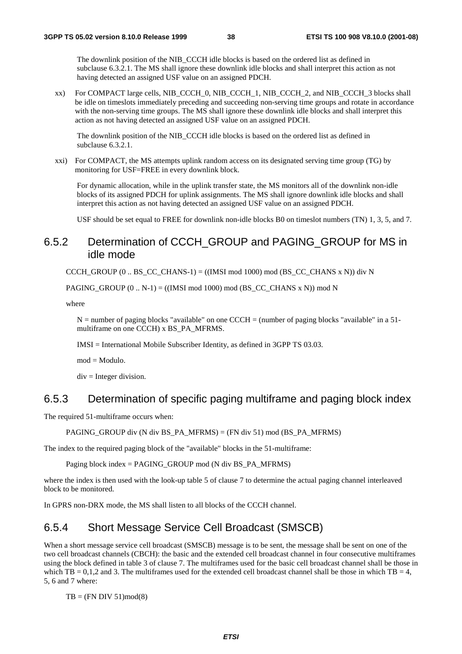The downlink position of the NIB\_CCCH idle blocks is based on the ordered list as defined in subclause 6.3.2.1. The MS shall ignore these downlink idle blocks and shall interpret this action as not having detected an assigned USF value on an assigned PDCH.

xx) For COMPACT large cells, NIB\_CCCH\_0, NIB\_CCCH\_1, NIB\_CCCH\_2, and NIB\_CCCH\_3 blocks shall be idle on timeslots immediately preceding and succeeding non-serving time groups and rotate in accordance with the non-serving time groups. The MS shall ignore these downlink idle blocks and shall interpret this action as not having detected an assigned USF value on an assigned PDCH.

 The downlink position of the NIB\_CCCH idle blocks is based on the ordered list as defined in subclause 6.3.2.1.

xxi) For COMPACT, the MS attempts uplink random access on its designated serving time group (TG) by monitoring for USF=FREE in every downlink block.

 For dynamic allocation, while in the uplink transfer state, the MS monitors all of the downlink non-idle blocks of its assigned PDCH for uplink assignments. The MS shall ignore downlink idle blocks and shall interpret this action as not having detected an assigned USF value on an assigned PDCH.

USF should be set equal to FREE for downlink non-idle blocks B0 on timeslot numbers (TN) 1, 3, 5, and 7.

### 6.5.2 Determination of CCCH\_GROUP and PAGING\_GROUP for MS in idle mode

CCCH\_GROUP (0 .. BS\_CC\_CHANS-1) =  $((IMSI \mod 1000) \mod (BS \CC \CHANS \times N))$  div N

PAGING GROUP  $(0 .. N-1) = ((IMSI \text{ mod } 1000) \text{ mod } (BS \text{ CC } CHANS \text{ x } N)) \text{ mod } N$ 

where

 $N =$  number of paging blocks "available" on one CCCH = (number of paging blocks "available" in a 51multiframe on one CCCH) x BS\_PA\_MFRMS.

IMSI = International Mobile Subscriber Identity, as defined in 3GPP TS 03.03.

mod = Modulo.

 $div =$  Integer division.

### 6.5.3 Determination of specific paging multiframe and paging block index

The required 51-multiframe occurs when:

PAGING GROUP div (N div BS\_PA\_MFRMS) = (FN div 51) mod (BS\_PA\_MFRMS)

The index to the required paging block of the "available" blocks in the 51-multiframe:

Paging block index = PAGING\_GROUP mod (N div BS\_PA\_MFRMS)

where the index is then used with the look-up table 5 of clause 7 to determine the actual paging channel interleaved block to be monitored.

In GPRS non-DRX mode, the MS shall listen to all blocks of the CCCH channel.

## 6.5.4 Short Message Service Cell Broadcast (SMSCB)

When a short message service cell broadcast (SMSCB) message is to be sent, the message shall be sent on one of the two cell broadcast channels (CBCH): the basic and the extended cell broadcast channel in four consecutive multiframes using the block defined in table 3 of clause 7. The multiframes used for the basic cell broadcast channel shall be those in which  $TB = 0,1,2$  and 3. The multiframes used for the extended cell broadcast channel shall be those in which  $TB = 4$ , 5, 6 and 7 where:

 $TB = (FN DIV 51)mod(8)$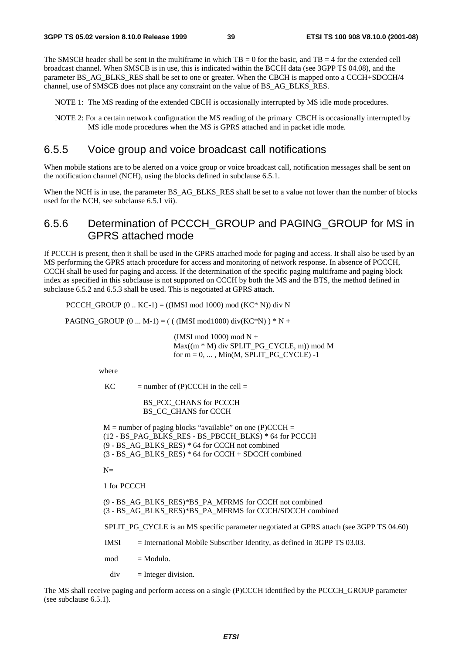The SMSCB header shall be sent in the multiframe in which  $TB = 0$  for the basic, and  $TB = 4$  for the extended cell broadcast channel. When SMSCB is in use, this is indicated within the BCCH data (see 3GPP TS 04.08), and the parameter BS\_AG\_BLKS\_RES shall be set to one or greater. When the CBCH is mapped onto a CCCH+SDCCH/4 channel, use of SMSCB does not place any constraint on the value of BS\_AG\_BLKS\_RES.

NOTE 1: The MS reading of the extended CBCH is occasionally interrupted by MS idle mode procedures.

NOTE 2: For a certain network configuration the MS reading of the primary CBCH is occasionally interrupted by MS idle mode procedures when the MS is GPRS attached and in packet idle mode.

### 6.5.5 Voice group and voice broadcast call notifications

When mobile stations are to be alerted on a voice group or voice broadcast call, notification messages shall be sent on the notification channel (NCH), using the blocks defined in subclause 6.5.1.

When the NCH is in use, the parameter BS\_AG\_BLKS\_RES shall be set to a value not lower than the number of blocks used for the NCH, see subclause 6.5.1 vii).

## 6.5.6 Determination of PCCCH\_GROUP and PAGING\_GROUP for MS in GPRS attached mode

If PCCCH is present, then it shall be used in the GPRS attached mode for paging and access. It shall also be used by an MS performing the GPRS attach procedure for access and monitoring of network response. In absence of PCCCH, CCCH shall be used for paging and access. If the determination of the specific paging multiframe and paging block index as specified in this subclause is not supported on CCCH by both the MS and the BTS, the method defined in subclause 6.5.2 and 6.5.3 shall be used. This is negotiated at GPRS attach.

PCCCH\_GROUP  $(0 \dots KC-1) = ((IMSI \mod 1000) \mod (KC* N))$  div N

PAGING\_GROUP  $(0 ... M-1) = (( (IMSI mod1000) div(KC*N) ) * N +$ 

 (IMSI mod 1000) mod N +  $Max((m * M)$  div SPLIT\_PG\_CYCLE, m)) mod M for  $m = 0, \ldots$ , Min(M, SPLIT PG\_CYCLE) -1

where

 $KC$  = number of (P)CCCH in the cell =

BS\_PCC\_CHANS for PCCCH BS\_CC\_CHANS for CCCH

 $M =$  number of paging blocks "available" on one (P)CCCH = (12 - BS\_PAG\_BLKS\_RES - BS\_PBCCH\_BLKS) \* 64 for PCCCH (9 - BS\_AG\_BLKS\_RES) \* 64 for CCCH not combined (3 - BS\_AG\_BLKS\_RES) \* 64 for CCCH + SDCCH combined

 $N=$ 

1 for PCCCH

(9 - BS\_AG\_BLKS\_RES)\*BS\_PA\_MFRMS for CCCH not combined (3 - BS\_AG\_BLKS\_RES)\*BS\_PA\_MFRMS for CCCH/SDCCH combined

SPLIT\_PG\_CYCLE is an MS specific parameter negotiated at GPRS attach (see 3GPP TS 04.60)

 $IMSI$  = International Mobile Subscriber Identity, as defined in 3GPP TS 03.03.

 $mod = Modulo$ 

 $div =$  Integer division.

The MS shall receive paging and perform access on a single (P)CCCH identified by the PCCCH\_GROUP parameter (see subclause 6.5.1).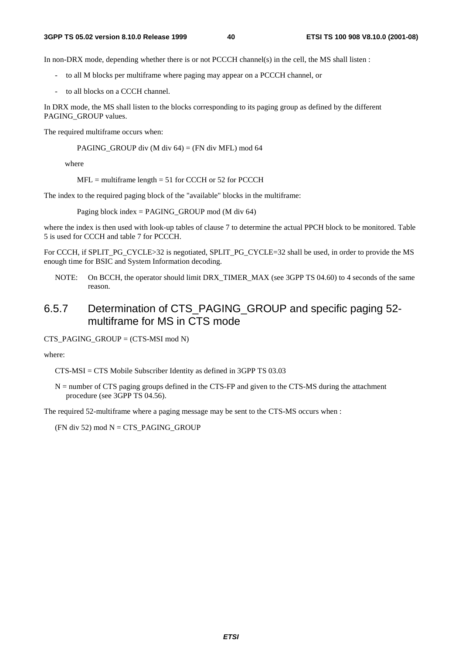In non-DRX mode, depending whether there is or not PCCCH channel(s) in the cell, the MS shall listen :

- to all M blocks per multiframe where paging may appear on a PCCCH channel, or
- to all blocks on a CCCH channel.

In DRX mode, the MS shall listen to the blocks corresponding to its paging group as defined by the different PAGING\_GROUP values.

The required multiframe occurs when:

PAGING\_GROUP div (M div 64) = (FN div MFL) mod 64

where

 $MFL =$  multiframe length = 51 for CCCH or 52 for PCCCH

The index to the required paging block of the "available" blocks in the multiframe:

Paging block index = PAGING\_GROUP mod (M div 64)

where the index is then used with look-up tables of clause 7 to determine the actual PPCH block to be monitored. Table 5 is used for CCCH and table 7 for PCCCH.

For CCCH, if SPLIT\_PG\_CYCLE>32 is negotiated, SPLIT\_PG\_CYCLE=32 shall be used, in order to provide the MS enough time for BSIC and System Information decoding.

NOTE: On BCCH, the operator should limit DRX\_TIMER\_MAX (see 3GPP TS 04.60) to 4 seconds of the same reason.

## 6.5.7 Determination of CTS\_PAGING\_GROUP and specific paging 52 multiframe for MS in CTS mode

CTS\_PAGING\_GROUP =  $(CTS\text{-}MSI \mod N)$ 

where:

CTS-MSI = CTS Mobile Subscriber Identity as defined in 3GPP TS 03.03

N = number of CTS paging groups defined in the CTS-FP and given to the CTS-MS during the attachment procedure (see 3GPP TS 04.56).

The required 52-multiframe where a paging message may be sent to the CTS-MS occurs when :

 $(FN \div 52) \mod N = CTS$  PAGING GROUP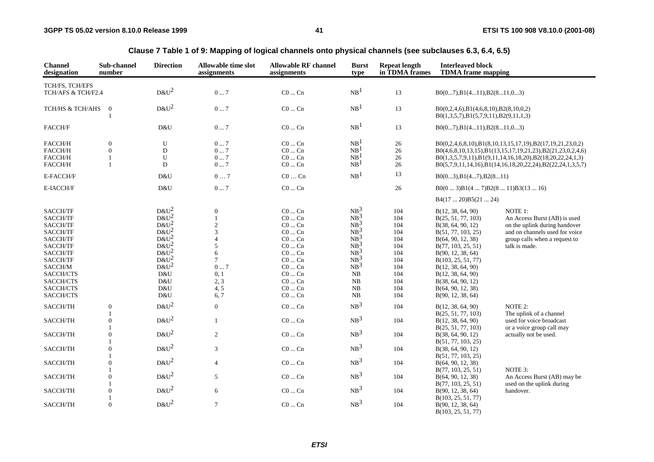| <b>Channel</b><br>designation         | Sub-channel<br>number | <b>Direction</b> | Allowable time slot<br>assignments | <b>Allowable RF channel</b><br>assignments | <b>Burst</b><br>type | <b>Repeat length</b><br>in TDMA frames | <b>Interleaved block</b><br><b>TDMA</b> frame mapping                              |                                                            |
|---------------------------------------|-----------------------|------------------|------------------------------------|--------------------------------------------|----------------------|----------------------------------------|------------------------------------------------------------------------------------|------------------------------------------------------------|
|                                       |                       |                  |                                    |                                            |                      |                                        |                                                                                    |                                                            |
| TCH/FS, TCH/EFS<br>TCH/AFS & TCH/F2.4 |                       | $D&U^2$          | $0\ldots7$                         | $CO \dots Cn$                              | NB <sup>1</sup>      | 13                                     | $B0(07), B1(411), B2(811,03)$                                                      |                                                            |
| TCH/HS & TCH/AHS                      | $\mathbf{0}$          | $D&U^2$          | $0\ldots7$                         | $\rm CO$ $\ldots$ $\rm Cn$                 | NB <sup>1</sup>      | 13                                     | B0(0,2,4,6),B1(4,6,8,10),B2(8,10,0,2)<br>$B0(1,3,5,7), B1(5,7,9,11), B2(9,11,1,3)$ |                                                            |
| FACCH/F                               |                       | D&U              | 07                                 | $CO \dots Cn$                              | NB <sup>1</sup>      | 13                                     | $B0(07), B1(411), B2(811,03)$                                                      |                                                            |
| FACCH/H                               | $\mathbf{0}$          | ${\bf U}$        | 07                                 | $CO \dots Cn$                              | NB <sup>1</sup>      | 26                                     |                                                                                    | B0(0,2,4,6,8,10),B1(8,10,13,15,17,19),B2(17,19,21,23,0,2)  |
| FACCH/H                               | $\mathbf{0}$          | $\mathbf D$      | $0 \ldots 7$                       | $CO \dots Cn$                              | NB <sup>1</sup>      | $26\,$                                 |                                                                                    | B0(4,6,8,10,13,15),B1(13,15,17,19,21,23),B2(21,23,0,2,4,6) |
| FACCH/H                               |                       | U                | $0 \dots 7$                        | $CO \dots Cn$                              | NB <sup>1</sup>      | $26\,$                                 |                                                                                    | B0(1,3,5,7,9,11),B1(9,11,14,16,18,20),B2(18,20,22,24,1,3)  |
| $\mbox{FACCH/H}$                      | $\mathbf{1}$          | D                | $0 \ldots 7$                       | $\rm CO$ $\ldots$ $\rm Cn$                 | NB <sup>1</sup>      | $26\,$                                 |                                                                                    | B0(5,7,9,11,14,16),B1(14,16,18,20,22,24),B2(22,24,1,3,5,7) |
| E-FACCH/F                             |                       | D&U              | $07$                               | $C0 \ldots Cn$                             | NB <sup>1</sup>      | 13                                     | B0(03), B1(47), B2(811)                                                            |                                                            |
| E-IACCH/F                             |                       | D&U              | $0 \ldots 7$                       | $CO \dots Cn$                              |                      | $26\,$                                 | $B0(03)B1(47)B2(811)B3(1316)$                                                      |                                                            |
|                                       |                       |                  |                                    |                                            |                      |                                        | B4(1720)B5(2124)                                                                   |                                                            |
| SACCH/TF                              |                       | $D&U^2$          | $\theta$                           | $CO \dots Cn$                              | $NB^3$               | 104                                    | B(12, 38, 64, 90)                                                                  | NOTE 1:                                                    |
| SACCH/TF                              |                       | $D\&U^2$         |                                    | $CO \dots Cn$                              | NB <sup>3</sup>      | 104                                    | B(25, 51, 77, 103)                                                                 | An Access Burst (AB) is used                               |
| SACCH/TF                              |                       | $D&U^2$          | $\sqrt{2}$                         | $\rm CO \ldots \rm Cn$                     | $NB^3$               | 104                                    | B(38, 64, 90, 12)                                                                  | on the uplink during handover                              |
| SACCH/TF                              |                       | $D&U^2$          | 3                                  | $CO \dots Cn$                              | NB <sup>3</sup>      | 104                                    | B(51, 77, 103, 25)                                                                 | and on channels used for voice                             |
| SACCH/TF                              |                       | $D&U^2$          | $\overline{A}$                     | $CO \dots Cn$                              | $NB^3$               | 104                                    | B(64, 90, 12, 38)                                                                  | group calls when a request to                              |
| SACCH/TF                              |                       | $D&U^2$          | 5                                  | $CO \dots Cn$                              | $NB^3$               | 104                                    | B(77, 103, 25, 51)                                                                 | talk is made.                                              |
| SACCH/TF                              |                       | $D&U^2$          | 6                                  | $CO \dots Cn$                              | $NB^3$               | 104                                    | B(90, 12, 38, 64)                                                                  |                                                            |
| SACCH/TF                              |                       | $D&U^2$          | $\tau$                             | $CO \dots Cn$                              | $NB^3$               | 104                                    | B(103, 25, 51, 77)                                                                 |                                                            |
| $\text{SACCH}/\text{M}$               |                       | $D&U^2$          | $0 \dots 7$                        | $\rm CO$ $\rm Cn$                          | NB <sup>3</sup>      | 104                                    | B(12, 38, 64, 90)                                                                  |                                                            |
| SACCH/CTS                             |                       | D&U              | 0, 1                               | $CO \dots Cn$                              | NB                   | 104                                    | B(12, 38, 64, 90)                                                                  |                                                            |
| SACCH/CTS                             |                       | D&U              | 2, 3                               | $CO \dots Cn$                              | $_{\rm NB}$          | 104                                    |                                                                                    |                                                            |
| SACCH/CTS                             |                       | D&U              | 4, 5                               | $CO \dots Cn$                              | NB                   | 104                                    | B(38, 64, 90, 12)<br>B(64, 90, 12, 38)                                             |                                                            |
|                                       |                       |                  |                                    |                                            |                      |                                        |                                                                                    |                                                            |
| SACCH/CTS                             |                       | D&U              | 6, 7                               | $CO \dots Cn$                              | NB                   | 104                                    | B(90, 12, 38, 64)                                                                  |                                                            |
| SACCH/TH                              | $\boldsymbol{0}$      | $D&U^2$          | $\boldsymbol{0}$                   | $CO \dots Cn$                              | NB <sup>3</sup>      | 104                                    | B(12, 38, 64, 90)                                                                  | NOTE 2:                                                    |
|                                       | 1                     |                  |                                    |                                            |                      |                                        | B(25, 51, 77, 103)                                                                 | The uplink of a channel                                    |
| SACCH/TH                              | $\boldsymbol{0}$      | $D&U^2$          | $\mathbf{1}$                       | $\rm CO$ $\rm Cn$                          | NB <sup>3</sup>      | 104                                    | B(12, 38, 64, 90)                                                                  | used for voice broadcast                                   |
|                                       | 1                     |                  |                                    |                                            |                      |                                        | B(25, 51, 77, 103)                                                                 | or a voice group call may                                  |
| SACCH/TH                              | $\overline{0}$        | $D&U^2$          | $\overline{c}$                     | $CO \dots Cn$                              | NB <sup>3</sup>      | 104                                    | B(38, 64, 90, 12)                                                                  | actually not be used.                                      |
|                                       | 1                     |                  |                                    |                                            |                      |                                        | B(51, 77, 103, 25)                                                                 |                                                            |
| SACCH/TH                              | $\overline{0}$        | $D&U^2$          | 3                                  | $CO \dots Cn$                              | NB <sup>3</sup>      | 104                                    | B(38, 64, 90, 12)                                                                  |                                                            |
|                                       |                       |                  |                                    |                                            |                      |                                        | B(51, 77, 103, 25)                                                                 |                                                            |
| SACCH/TH                              | $\boldsymbol{0}$      | $D&U^2$          | $\overline{4}$                     | $CO \dots Cn$                              | NB <sup>3</sup>      | 104                                    | B(64, 90, 12, 38)                                                                  |                                                            |
|                                       |                       |                  |                                    |                                            |                      |                                        | B(77, 103, 25, 51)                                                                 | NOTE 3:                                                    |
| SACCH/TH                              | $\overline{0}$        | $D&U^2$          | 5                                  | $CO \dots Cn$                              | NB <sup>3</sup>      | 104                                    |                                                                                    | An Access Burst (AB) may be                                |
|                                       | 1                     |                  |                                    |                                            |                      |                                        | B(64, 90, 12, 38)                                                                  |                                                            |
|                                       | $\overline{0}$        | $D&U^2$          |                                    | $CO \dots Cn$                              | NB <sup>3</sup>      |                                        | B(77, 103, 25, 51)                                                                 | used on the uplink during                                  |
| SACCH/TH                              | 1                     |                  | $\sqrt{6}$                         |                                            |                      | 104                                    | B(90, 12, 38, 64)                                                                  | handover.                                                  |
| SACCH/TH                              | $\mathbf{0}$          | $D&U^2$          | $\overline{7}$                     | $C0$ $Cn$                                  | NB <sup>3</sup>      | 104                                    | B(103, 25, 51, 77)                                                                 |                                                            |
|                                       |                       |                  |                                    |                                            |                      |                                        | B(90, 12, 38, 64)<br>B(103, 25, 51, 77)                                            |                                                            |
|                                       |                       |                  |                                    |                                            |                      |                                        |                                                                                    |                                                            |

**Clause 7 Table 1 of 9: Mapping of logical channels onto physical channels (see subclauses 6.3, 6.4, 6.5)**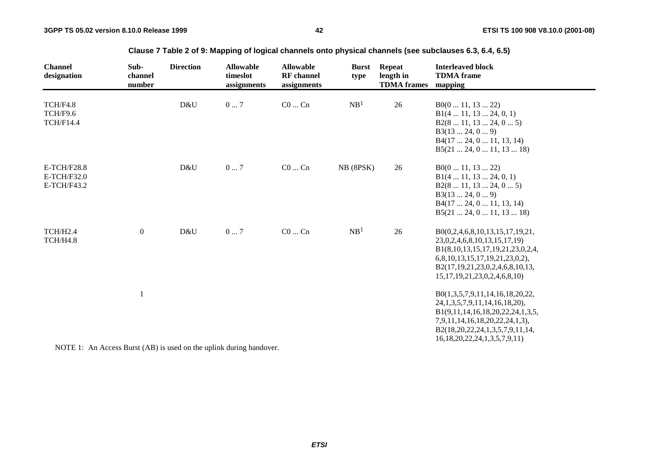| <b>Channel</b><br>designation                      | Sub-<br>channel<br>number | <b>Direction</b> | <b>Allowable</b><br>timeslot<br>assignments | <b>Allowable</b><br><b>RF</b> channel<br>assignments | <b>Burst</b><br>type | <b>Repeat</b><br>length in<br><b>TDMA</b> frames | <b>Interleaved block</b><br><b>TDMA</b> frame<br>mapping                                                                                                                                                                      |
|----------------------------------------------------|---------------------------|------------------|---------------------------------------------|------------------------------------------------------|----------------------|--------------------------------------------------|-------------------------------------------------------------------------------------------------------------------------------------------------------------------------------------------------------------------------------|
| TCH/F4.8<br>TCH/F9.6<br><b>TCH/F14.4</b>           |                           | D&U              | 07                                          | $C0 \dots Cn$                                        | NB <sup>1</sup>      | 26                                               | B0(011, 1322)<br>B1(4 11, 13 24, 0, 1)<br>B2(8 11, 13 24, 0 5)<br>B3(1324, 09)<br>B4(17 24, 0 11, 13, 14)<br>B5(21 24, 0 11, 13 18)                                                                                           |
| <b>E-TCH/F28.8</b><br>$E-TCH/F32.0$<br>E-TCH/F43.2 |                           | D&U              | 07                                          | $CO \dots Cn$                                        | NB (8PSK)            | 26                                               | B0(011, 1322)<br>B1(4 11, 13 24, 0, 1)<br>B2(8 11, 13 24, 0 5)<br>B3(1324, 09)<br>B4(17 24, 0 11, 13, 14)<br>B5(21 24, 0 11, 13 18)                                                                                           |
| TCH/H2.4<br>TCH/H4.8                               | $\overline{0}$            | D&U              | 07                                          | $C0$ $Cn$                                            | NB <sup>1</sup>      | 26                                               | B0(0,2,4,6,8,10,13,15,17,19,21,<br>23, 0, 2, 4, 6, 8, 10, 13, 15, 17, 19)<br>B1(8,10,13,15,17,19,21,23,0,2,4,<br>6,8,10,13,15,17,19,21,23,0,2),<br>B2(17,19,21,23,0,2,4,6,8,10,13,<br>15, 17, 19, 21, 23, 0, 2, 4, 6, 8, 10)  |
|                                                    |                           |                  |                                             |                                                      |                      |                                                  | B0(1,3,5,7,9,11,14,16,18,20,22,<br>24, 1, 3, 5, 7, 9, 11, 14, 16, 18, 20),<br>B1(9,11,14,16,18,20,22,24,1,3,5,<br>7,9,11,14,16,18,20,22,24,1,3),<br>B2(18,20,22,24,1,3,5,7,9,11,14,<br>16, 18, 20, 22, 24, 1, 3, 5, 7, 9, 11) |

**Clause 7 Table 2 of 9: Mapping of logical channels onto physical channels (see subclauses 6.3, 6.4, 6.5)**

NOTE 1: An Access Burst (AB) is used on the uplink during handover.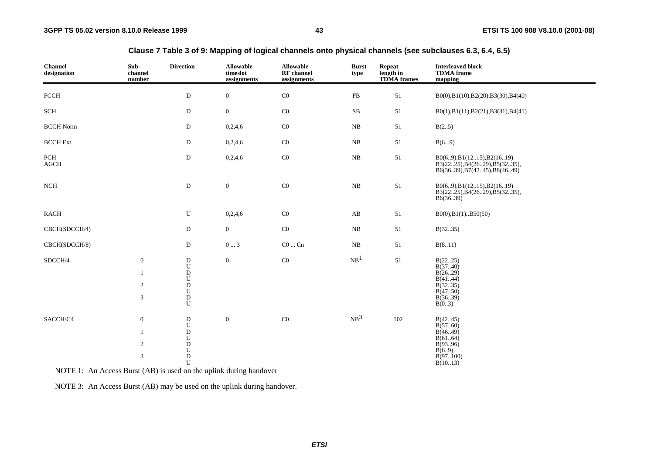| <b>Channel</b><br>designation | Sub-<br>channel<br>number                                                         | <b>Direction</b>                                                                         | <b>Allowable</b><br>timeslot<br>assignments | <b>Allowable</b><br>RF channel<br>assignments | <b>Burst</b><br>type | Repeat<br>length in<br><b>TDMA</b> frames | <b>Interleaved block</b><br><b>TDMA</b> frame<br>mapping                                       |
|-------------------------------|-----------------------------------------------------------------------------------|------------------------------------------------------------------------------------------|---------------------------------------------|-----------------------------------------------|----------------------|-------------------------------------------|------------------------------------------------------------------------------------------------|
| <b>FCCH</b>                   |                                                                                   | ${\bf D}$                                                                                | $\boldsymbol{0}$                            | $\rm CO$                                      | ${\rm FB}$           | $51\,$                                    | B0(0),B1(10),B2(20),B3(30),B4(40)                                                              |
| $\mbox{SCH}$                  |                                                                                   | D                                                                                        | $\boldsymbol{0}$                            | $\rm CO$                                      | $\rm SB$             | $51\,$                                    | B0(1),B1(11),B2(21),B3(31),B4(41)                                                              |
| <b>BCCH</b> Norm              |                                                                                   | D                                                                                        | 0,2,4,6                                     | $\rm CO$                                      | NB                   | 51                                        | B(25)                                                                                          |
| <b>BCCH</b> Ext               |                                                                                   | D                                                                                        | 0,2,4,6                                     | C0                                            | $_{\rm NB}$          | 51                                        | B(69)                                                                                          |
| PCH<br>$\rm AGCH$             |                                                                                   | $\mathbf D$                                                                              | 0,2,4,6                                     | $\rm CO$                                      | $_{\rm NB}$          | $51\,$                                    | B0(69), B1(1215), B2(1619)<br>B3(2225), B4(2629), B5(3235),<br>B6(36.39), B7(42.45), B8(46.49) |
| NCH                           |                                                                                   | $\mathbf D$                                                                              | $\boldsymbol{0}$                            | $\rm CO$                                      | $_{\rm NB}$          | $51\,$                                    | B0(69), B1(1215), B2(1619)<br>B3(2225), B4(2629), B5(3235),<br>B6(36.39)                       |
| $\mbox{RACH}$                 |                                                                                   | ${\bf U}$                                                                                | 0,2,4,6                                     | $\rm CO$                                      | AB                   | $51\,$                                    | $B0(0), B1(1)$ $B50(50)$                                                                       |
| CBCH(SDCCH/4)                 |                                                                                   | D                                                                                        | $\boldsymbol{0}$                            | $\rm CO$                                      | NB                   | 51                                        | B(3235)                                                                                        |
| CBCH(SDCCH/8)                 |                                                                                   | D                                                                                        | $0 \ldots 3$                                | $CO \dots Cn$                                 | NB                   | 51                                        | B(811)                                                                                         |
| SDCCH/4                       | $\boldsymbol{0}$<br>$\mathbf{1}$<br>$\overline{c}$<br>$\ensuremath{\mathfrak{Z}}$ | $_{\rm U}^{\rm D}$<br>$\overline{D}$<br>U<br>$\bar{D}$<br>U<br>${\bf D}$<br>U            | $\overline{0}$                              | $\rm CO$                                      | NB <sup>1</sup>      | 51                                        | B(2225)<br>B(3740)<br>B(2629)<br>B(4144)<br>B(3235)<br>B(4750)<br>B(3639)<br>B(0.3)            |
| SACCH/C4                      | $\boldsymbol{0}$<br>$\mathbf{1}$<br>$\overline{c}$<br>$\mathfrak{Z}$              | ${\rm D}$<br>${\bf U}$<br>$\bar{D}$<br>${\bf U}$<br>$_{\rm U}^{\rm D}$<br>$\bar{D}$<br>U | $\overline{0}$                              | $\rm CO$                                      | NB <sup>3</sup>      | $102\,$                                   | B(4245)<br>B(5760)<br>B(46.49)<br>B(6164)<br>B(9396)<br>B(6.9)<br>B(97100)<br>B(1013)          |

### **Clause 7 Table 3 of 9: Mapping of logical channels onto physical channels (see subclauses 6.3, 6.4, 6.5)**

NOTE 1: An Access Burst (AB) is used on the uplink during handover

NOTE 3: An Access Burst (AB) may be used on the uplink during handover.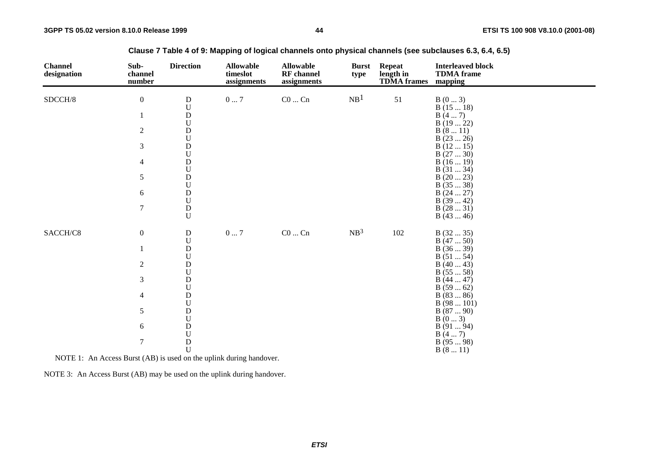| <b>Channel</b><br>designation | Sub-<br>channel<br>number | <b>Direction</b>                       | <b>Allowable</b><br>timeslot<br>assignments | <b>Allowable</b><br><b>RF</b> channel<br>assignments | <b>Burst</b><br>type | <b>Repeat</b><br>length in<br><b>TDMA</b> frames | <b>Interleaved block</b><br><b>TDMA</b> frame<br>mapping |
|-------------------------------|---------------------------|----------------------------------------|---------------------------------------------|------------------------------------------------------|----------------------|--------------------------------------------------|----------------------------------------------------------|
| SDCCH/8                       | $\boldsymbol{0}$          | ${\bf D}$                              | $0\ldots7$                                  | $\rm CO$ $\ldots$ $\rm Cn$                           | NB <sup>1</sup>      | 51                                               | B(03)                                                    |
|                               |                           | $\mathbf U$                            |                                             |                                                      |                      |                                                  | B(1518)                                                  |
|                               | $\mathbf{1}$              | ${\rm D}$<br>$\mathbf U$               |                                             |                                                      |                      |                                                  | B(47)<br>B(1922)                                         |
|                               | $\overline{c}$            | ${\rm D}$                              |                                             |                                                      |                      |                                                  | B(811)                                                   |
|                               |                           | ${\bf U}$                              |                                             |                                                      |                      |                                                  | B(2326)                                                  |
|                               | 3                         | ${\bf D}$                              |                                             |                                                      |                      |                                                  | B(1215)                                                  |
|                               |                           | $\boldsymbol{\mathsf{U}}$              |                                             |                                                      |                      |                                                  | B(2730)                                                  |
|                               | $\overline{4}$            | $\mathbf D$                            |                                             |                                                      |                      |                                                  | B(1619)                                                  |
|                               |                           | $\boldsymbol{\mathsf{U}}$              |                                             |                                                      |                      |                                                  | B(3134)                                                  |
|                               | 5                         | $\mathbf D$                            |                                             |                                                      |                      |                                                  | B(2023)                                                  |
|                               |                           | $_{\rm D}^{\rm U}$                     |                                             |                                                      |                      |                                                  | B(3538)                                                  |
|                               | $\sqrt{6}$                | $\mathbf U$                            |                                             |                                                      |                      |                                                  | B(2427)<br>B(3942)                                       |
|                               | $\boldsymbol{7}$          | ${\bf D}$                              |                                             |                                                      |                      |                                                  | B(2831)                                                  |
|                               |                           | $\mathbf U$                            |                                             |                                                      |                      |                                                  | B(4346)                                                  |
| SACCH/C8                      | $\boldsymbol{0}$          | ${\bf D}$<br>$\ensuremath{\mathbf{U}}$ | $0\ldots7$                                  | $CO \dots Cn$                                        | NB <sup>3</sup>      | 102                                              | B(3235)<br>B(4750)                                       |
|                               | $\mathbf{1}$              | ${\bf D}$                              |                                             |                                                      |                      |                                                  | B(3639)                                                  |
|                               |                           | $\mathbf U$                            |                                             |                                                      |                      |                                                  | B(5154)                                                  |
|                               | $\overline{c}$            | ${\bf D}$                              |                                             |                                                      |                      |                                                  | B(4043)                                                  |
|                               |                           | $\mathbf U$                            |                                             |                                                      |                      |                                                  | B(5558)                                                  |
|                               | 3                         | $\mathbf D$                            |                                             |                                                      |                      |                                                  | B(4447)                                                  |
|                               | $\overline{4}$            | $_{\rm D}^{\rm U}$                     |                                             |                                                      |                      |                                                  | B(5962)<br>B(8386)                                       |
|                               |                           | $\ensuremath{\mathbf{U}}$              |                                             |                                                      |                      |                                                  | B(98101)                                                 |
|                               | 5                         | $\mathbf D$                            |                                             |                                                      |                      |                                                  | B(8790)                                                  |
|                               |                           | $\ensuremath{\mathbf{U}}$              |                                             |                                                      |                      |                                                  | B(03)                                                    |
|                               | 6                         | $\mathbf D$                            |                                             |                                                      |                      |                                                  | B(9194)                                                  |
|                               |                           | $\boldsymbol{\mathsf{U}}$              |                                             |                                                      |                      |                                                  | B(47)                                                    |
|                               | $\tau$                    | $\mathbf D$                            |                                             |                                                      |                      |                                                  | B(9598)                                                  |
|                               |                           | $\mathbf U$                            |                                             |                                                      |                      |                                                  | B(811)                                                   |

**Clause 7 Table 4 of 9: Mapping of logical channels onto physical channels (see subclauses 6.3, 6.4, 6.5)**

NOTE 1: An Access Burst (AB) is used on the uplink during handover.

NOTE 3: An Access Burst (AB) may be used on the uplink during handover.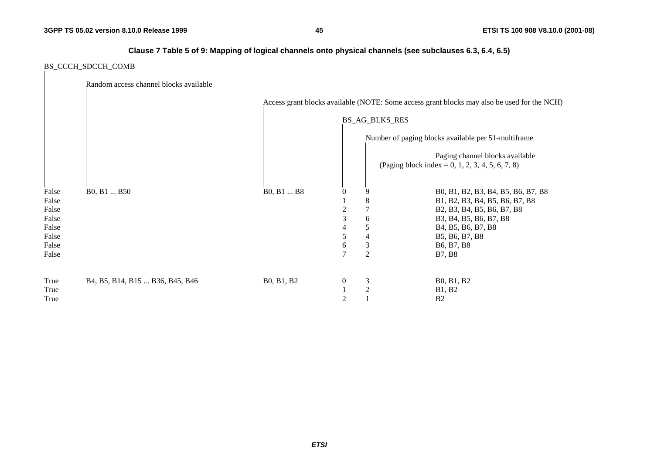### **Clause 7 Table 5 of 9: Mapping of logical channels onto physical channels (see subclauses 6.3, 6.4, 6.5)**

### BS\_CCCH\_SDCCH\_COMB

|       | Random access channel blocks available |            |                  |                       |                                                                                             |
|-------|----------------------------------------|------------|------------------|-----------------------|---------------------------------------------------------------------------------------------|
|       |                                        |            |                  |                       | Access grant blocks available (NOTE: Some access grant blocks may also be used for the NCH) |
|       |                                        |            |                  | <b>BS_AG_BLKS_RES</b> |                                                                                             |
|       |                                        |            |                  |                       | Number of paging blocks available per 51-multiframe                                         |
|       |                                        |            |                  |                       | Paging channel blocks available<br>(Paging block index = 0, 1, 2, 3, 4, 5, 6, 7, 8)         |
| False | B0, B1  B50                            | B0, B1  B8 | $\boldsymbol{0}$ |                       | B0, B1, B2, B3, B4, B5, B6, B7, B8                                                          |
| False |                                        |            |                  | 8                     | B1, B2, B3, B4, B5, B6, B7, B8                                                              |
| False |                                        |            | 2                | 7                     | B2, B3, B4, B5, B6, B7, B8                                                                  |
| False |                                        |            | 3                | 6                     | B3, B4, B5, B6, B7, B8                                                                      |
| False |                                        |            | 4                | 5                     | B <sub>4</sub> , B <sub>5</sub> , B <sub>6</sub> , B <sub>7</sub> , B <sub>8</sub>          |
| False |                                        |            | 5                | 4                     | B5, B6, B7, B8                                                                              |
| False |                                        |            | 6                | 3                     | B <sub>6</sub> , B <sub>7</sub> , B <sub>8</sub>                                            |
| False |                                        |            | 7                | $\mathfrak{2}$        | <b>B7, B8</b>                                                                               |
| True  | B4, B5, B14, B15  B36, B45, B46        | B0, B1, B2 | $\boldsymbol{0}$ | 3                     | B0, B1, B2                                                                                  |
| True  |                                        |            |                  | 2                     | <b>B1</b> , <b>B2</b>                                                                       |
| True  |                                        |            | $\mathbf{2}$     |                       | B <sub>2</sub>                                                                              |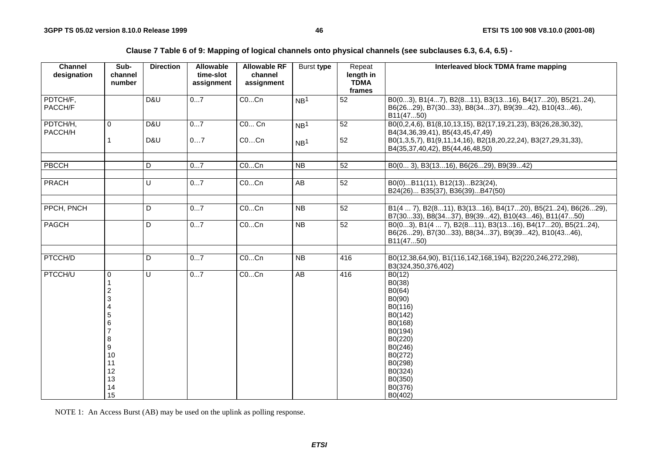**Clause 7 Table 6 of 9: Mapping of logical channels onto physical channels (see subclauses 6.3, 6.4, 6.5) -** 

| <b>Channel</b><br>designation | Sub-<br>channel<br>number                                                                                     | <b>Direction</b> | <b>Allowable</b><br>time-slot<br>assignment | <b>Allowable RF</b><br>channel<br>assignment | Burst type                         | Repeat<br>length in<br><b>TDMA</b><br>frames | Interleaved block TDMA frame mapping                                                                                                                                                  |
|-------------------------------|---------------------------------------------------------------------------------------------------------------|------------------|---------------------------------------------|----------------------------------------------|------------------------------------|----------------------------------------------|---------------------------------------------------------------------------------------------------------------------------------------------------------------------------------------|
| PDTCH/F,<br>PACCH/F           |                                                                                                               | D&U              | 07                                          | COCn                                         | NB <sup>1</sup>                    | 52                                           | B0(03), B1(47), B2(811), B3(1316), B4(1720), B5(2124),<br>B6(2629), B7(3033), B8(3437), B9(3942), B10(4346),<br>B11(4750)                                                             |
| PDTCH/H,<br>PACCH/H           | 0                                                                                                             | D&U<br>D&U       | 07<br>07                                    | C0 Cn<br>COCn                                | NB <sup>1</sup><br>NB <sup>1</sup> | 52<br>52                                     | B0(0,2,4,6), B1(8,10,13,15), B2(17,19,21,23), B3(26,28,30,32),<br>B4(34,36,39,41), B5(43,45,47,49)<br>B0(1,3,5,7), B1(9,11,14,16), B2(18,20,22,24), B3(27,29,31,33),                  |
|                               |                                                                                                               |                  |                                             |                                              |                                    |                                              | B4(35,37,40,42), B5(44,46,48,50)                                                                                                                                                      |
| PBCCH                         |                                                                                                               | D                | 07                                          | COCn                                         | <b>NB</b>                          | 52                                           | B0(0 3), B3(1316), B6(2629), B9(3942)                                                                                                                                                 |
| <b>PRACH</b>                  |                                                                                                               | U                | 07                                          | COCn                                         | AB                                 | 52                                           | B0(0)B11(11), B12(13)B23(24),<br>B24(26) B35(37), B36(39)B47(50)                                                                                                                      |
|                               |                                                                                                               |                  |                                             |                                              |                                    |                                              |                                                                                                                                                                                       |
| PPCH, PNCH                    |                                                                                                               | D                | 07                                          | COCn                                         | $\overline{NB}$                    | $\overline{52}$                              | B1(4  7), B2(811), B3(1316), B4(1720), B5(2124), B6(2629),<br>B7(3033), B8(3437), B9(3942), B10(4346), B11(4750)                                                                      |
| PAGCH                         |                                                                                                               | D                | 07                                          | COCn                                         | <b>NB</b>                          | 52                                           | B0(03), B1(4  7), B2(811), B3(1316), B4(1720), B5(2124),<br>B6(2629), B7(3033), B8(3437), B9(3942), B10(4346),<br>B11(4750)                                                           |
|                               |                                                                                                               |                  |                                             |                                              |                                    |                                              |                                                                                                                                                                                       |
| PTCCH/D                       |                                                                                                               | D                | 07                                          | COCn                                         | <b>NB</b>                          | 416                                          | B0(12,38,64,90), B1(116,142,168,194), B2(220,246,272,298),<br>B3(324,350,376,402)                                                                                                     |
| PTCCH/U                       | $\mathbf 0$<br>1<br>$\overline{\mathbf{c}}$<br>3<br>Δ<br>5<br>6<br>8<br>9<br>10<br>11<br>12<br>13<br>14<br>15 | $\cup$           | 07                                          | COCn                                         | AB                                 | 416                                          | B0(12)<br>B0(38)<br>B0(64)<br>B <sub>0</sub> (90)<br>B0(116)<br>B0(142)<br>B0(168)<br>B0(194)<br>B0(220)<br>B0(246)<br>B0(272)<br>B0(298)<br>B0(324)<br>B0(350)<br>B0(376)<br>B0(402) |

NOTE 1: An Access Burst (AB) may be used on the uplink as polling response.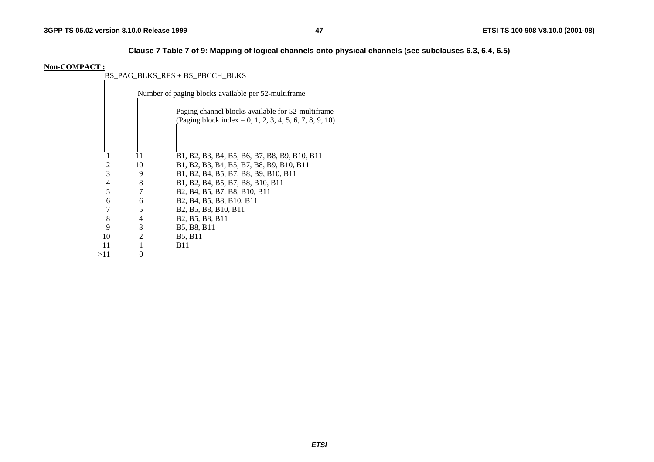## **Clause 7 Table 7 of 9: Mapping of logical channels onto physical channels (see subclauses 6.3, 6.4, 6.5)**

#### **Non-COMPACT :**

BS\_PAG\_BLKS\_RES + BS\_PBCCH\_BLKS

|     |    | Number of paging blocks available per 52-multiframe                                                                    |  |  |  |  |  |  |
|-----|----|------------------------------------------------------------------------------------------------------------------------|--|--|--|--|--|--|
|     |    | Paging channel blocks available for 52-multiframe<br>(Paging block index = 0, 1, 2, 3, 4, 5, 6, 7, 8, 9, 10)           |  |  |  |  |  |  |
|     |    |                                                                                                                        |  |  |  |  |  |  |
|     | 11 | B1, B2, B3, B4, B5, B6, B7, B8, B9, B10, B11                                                                           |  |  |  |  |  |  |
| 2   | 10 | B1, B2, B3, B4, B5, B7, B8, B9, B10, B11                                                                               |  |  |  |  |  |  |
| 3   | 9  | B1, B2, B4, B5, B7, B8, B9, B10, B11                                                                                   |  |  |  |  |  |  |
| 4   | 8  | B1, B2, B4, B5, B7, B8, B10, B11                                                                                       |  |  |  |  |  |  |
| 5   | 7  | B <sub>2</sub> , B <sub>4</sub> , B <sub>5</sub> , B <sub>7</sub> , B <sub>8</sub> , B <sub>10</sub> , B <sub>11</sub> |  |  |  |  |  |  |
| 6   | 6  | B <sub>2</sub> , B <sub>4</sub> , B <sub>5</sub> , B <sub>8</sub> , B <sub>10</sub> , B <sub>11</sub>                  |  |  |  |  |  |  |
| 7   | 5  | B <sub>2</sub> , B <sub>5</sub> , B <sub>8</sub> , B <sub>10</sub> , B <sub>11</sub>                                   |  |  |  |  |  |  |
| 8   | 4  | B <sub>2</sub> , B <sub>5</sub> , B <sub>8</sub> , B <sub>11</sub>                                                     |  |  |  |  |  |  |
| 9   | 3  | B5, B8, B11                                                                                                            |  |  |  |  |  |  |
| 10  | 2  | <b>B5, B11</b>                                                                                                         |  |  |  |  |  |  |
| 11  |    | <b>B</b> 11                                                                                                            |  |  |  |  |  |  |
| >11 | 0  |                                                                                                                        |  |  |  |  |  |  |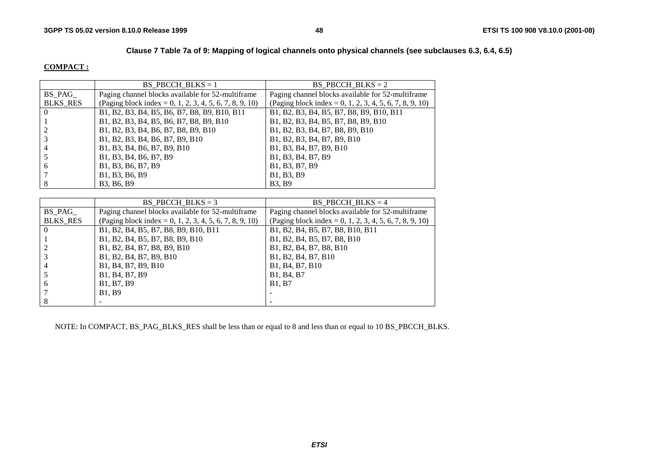## **Clause 7 Table 7a of 9: Mapping of logical channels onto physical channels (see subclauses 6.3, 6.4, 6.5)**

#### **COMPACT :**

|                 | BS PBCCH BLKS = $1$                                     | BS PBCCH BLKS $= 2$                                     |
|-----------------|---------------------------------------------------------|---------------------------------------------------------|
| BS PAG          | Paging channel blocks available for 52-multiframe       | Paging channel blocks available for 52-multiframe       |
| <b>BLKS RES</b> | (Paging block index = 0, 1, 2, 3, 4, 5, 6, 7, 8, 9, 10) | (Paging block index = 0, 1, 2, 3, 4, 5, 6, 7, 8, 9, 10) |
| $\Omega$        | B1, B2, B3, B4, B5, B6, B7, B8, B9, B10, B11            | B1, B2, B3, B4, B5, B7, B8, B9, B10, B11                |
|                 | B1, B2, B3, B4, B5, B6, B7, B8, B9, B10                 | B1, B2, B3, B4, B5, B7, B8, B9, B10                     |
|                 | B1, B2, B3, B4, B6, B7, B8, B9, B10                     | B1, B2, B3, B4, B7, B8, B9, B10                         |
|                 | B1, B2, B3, B4, B6, B7, B9, B10                         | B1, B2, B3, B4, B7, B9, B10                             |
| 4               | B1, B3, B4, B6, B7, B9, B10                             | B1, B3, B4, B7, B9, B10                                 |
|                 | B1, B3, B4, B6, B7, B9                                  | B1, B3, B4, B7, B9                                      |
| 6               | B1, B3, B6, B7, B9                                      | B1, B3, B7, B9                                          |
|                 | B1, B3, B6, B9                                          | B1, B3, B9                                              |
| 8               | B3, B6, B9                                              | <b>B3, B9</b>                                           |

|                 | BS PBCCH BLKS = $3$                                     | BS PBCCH BLKS $=$ 4                                                |
|-----------------|---------------------------------------------------------|--------------------------------------------------------------------|
| $BS\_PAG$       | Paging channel blocks available for 52-multiframe       | Paging channel blocks available for 52-multiframe                  |
| <b>BLKS RES</b> | (Paging block index = 0, 1, 2, 3, 4, 5, 6, 7, 8, 9, 10) | (Paging block index = 0, 1, 2, 3, 4, 5, 6, 7, 8, 9, 10)            |
|                 | B1, B2, B4, B5, B7, B8, B9, B10, B11                    | B1, B2, B4, B5, B7, B8, B10, B11                                   |
|                 | B1, B2, B4, B5, B7, B8, B9, B10                         | B1, B2, B4, B5, B7, B8, B10                                        |
|                 | B1, B2, B4, B7, B8, B9, B10                             | B1, B2, B4, B7, B8, B10                                            |
|                 | B1, B2, B4, B7, B9, B10                                 | B1, B2, B4, B7, B10                                                |
|                 | B1, B4, B7, B9, B10                                     | B <sub>1</sub> , B <sub>4</sub> , B <sub>7</sub> , B <sub>10</sub> |
|                 | B1, B4, B7, B9                                          | B1, B4, B7                                                         |
| <sub>b</sub>    | B1, B7, B9                                              | <b>B1.</b> B7                                                      |
|                 | <b>B1.</b> B9                                           |                                                                    |
|                 |                                                         |                                                                    |

NOTE: In COMPACT, BS\_PAG\_BLKS\_RES shall be less than or equal to 8 and less than or equal to 10 BS\_PBCCH\_BLKS.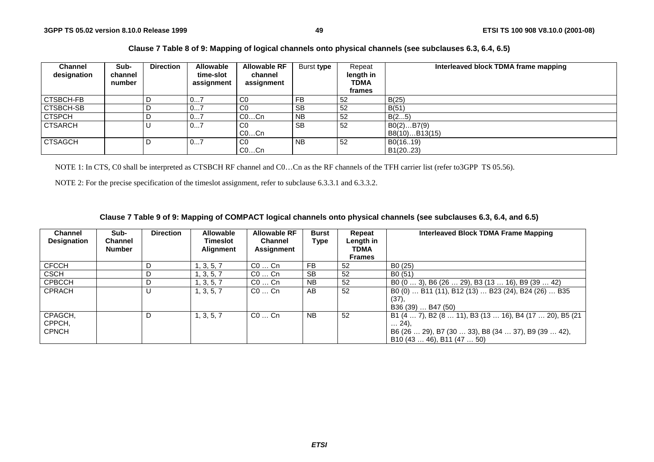### **Clause 7 Table 8 of 9: Mapping of logical channels onto physical channels (see subclauses 6.3, 6.4, 6.5)**

| <b>Channel</b><br>designation | Sub-<br>channel<br>number | <b>Direction</b> | <b>Allowable</b><br>time-slot<br>assignment | <b>Allowable RF</b><br>channel<br>assignment | Burst type     | Repeat<br>length in<br>TDMA<br>frames | Interleaved block TDMA frame mapping |
|-------------------------------|---------------------------|------------------|---------------------------------------------|----------------------------------------------|----------------|---------------------------------------|--------------------------------------|
| CTSBCH-FB                     |                           |                  | v <i>i</i>                                  | C <sub>0</sub>                               | <b>FB</b>      | 52                                    | B(25)                                |
| CTSBCH-SB                     |                           |                  | 07                                          | C <sub>0</sub>                               | <b>SB</b>      | 52                                    | B(51)                                |
| <b>CTSPCH</b>                 |                           |                  | 07                                          | $CO$ Cn                                      | N <sub>B</sub> | 52                                    | B(25)                                |
| <b>CTSARCH</b>                |                           |                  | 07                                          | C0<br>$CO$ Cn                                | <b>SB</b>      | 52                                    | B0(2)B7(9)<br>B8(10)B13(15)          |
| <b>CTSAGCH</b>                |                           | D                | 07                                          | $_{\rm CO}$<br>$CO$ Cn                       | <b>NB</b>      | 52                                    | B0(1619)<br>B1(20.23)                |

NOTE 1: In CTS, C0 shall be interpreted as CTSBCH RF channel and C0…Cn as the RF channels of the TFH carrier list (refer to3GPP TS 05.56).

NOTE 2: For the precise specification of the timeslot assignment, refer to subclause 6.3.3.1 and 6.3.3.2.

### **Clause 7 Table 9 of 9: Mapping of COMPACT logical channels onto physical channels (see subclauses 6.3, 6.4, and 6.5)**

| <b>Channel</b><br><b>Designation</b> | Sub-<br><b>Channel</b><br><b>Number</b> | <b>Direction</b> | <b>Allowable</b><br><b>Timeslot</b><br><b>Alignment</b> | <b>Allowable RF</b><br><b>Channel</b><br>Assignment | <b>Burst</b><br><b>Type</b> | Repeat<br>Length in<br><b>TDMA</b><br><b>Frames</b> | Interleaved Block TDMA Frame Mapping                                                                                                                    |
|--------------------------------------|-----------------------------------------|------------------|---------------------------------------------------------|-----------------------------------------------------|-----------------------------|-----------------------------------------------------|---------------------------------------------------------------------------------------------------------------------------------------------------------|
| <b>CFCCH</b>                         |                                         | D                | , 3, 5, 7                                               | $CO \ldots$ Cn                                      | FB.                         | 52                                                  | B <sub>0</sub> (25)                                                                                                                                     |
| <b>CSCH</b>                          |                                         | D                | 1, 3, 5, 7                                              | $CO \ldots$ Cn                                      | <b>SB</b>                   | 52                                                  | B <sub>0</sub> (51)                                                                                                                                     |
| <b>CPBCCH</b>                        |                                         | D                | 1, 3, 5, 7                                              | $CO \ldots$ Cn                                      | <b>NB</b>                   | 52                                                  | B0 (0  3), B6 (26  29), B3 (13  16), B9 (39  42)                                                                                                        |
| <b>CPRACH</b>                        |                                         |                  | 1, 3, 5, 7                                              | $CO \ldots$ Cn                                      | AB                          | 52                                                  | B0 (0)  B11 (11), B12 (13)  B23 (24), B24 (26)  B35<br>$(37)$ ,<br>B36 (39)  B47 (50)                                                                   |
| CPAGCH,<br>CPPCH,<br><b>CPNCH</b>    |                                         | D                | 1, 3, 5, 7                                              | $CO \ldots$ Cn                                      | <b>NB</b>                   | 52                                                  | B1 (4  7), B2 (8  11), B3 (13  16), B4 (17  20), B5 (21<br>$\ldots$ 24).<br>B6 (26  29), B7 (30  33), B8 (34  37), B9 (39  42),<br>B10(4346), B11(4750) |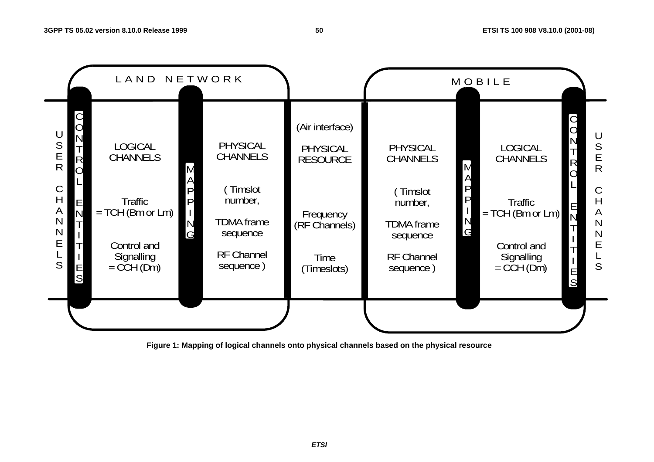

**Figure 1: Mapping of logical channels onto physical channels based on the physical resource**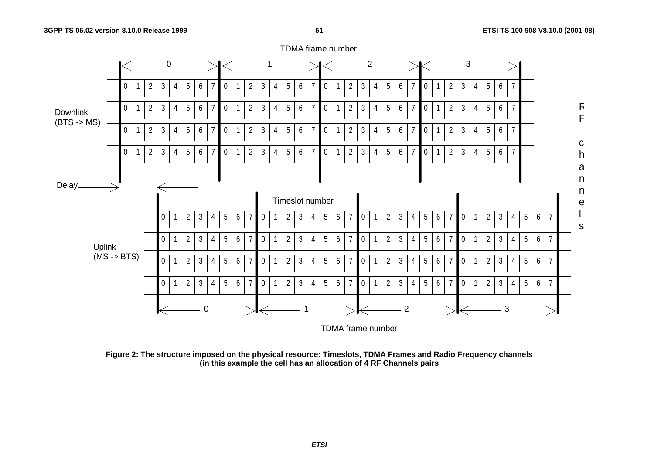

**Figure 2: The structure imposed on the physical resource: Timeslots, TDMA Frames and Radio Frequency channels (in this example the cell has an allocation of 4 RF Channels pairs** 

### TDMA frame number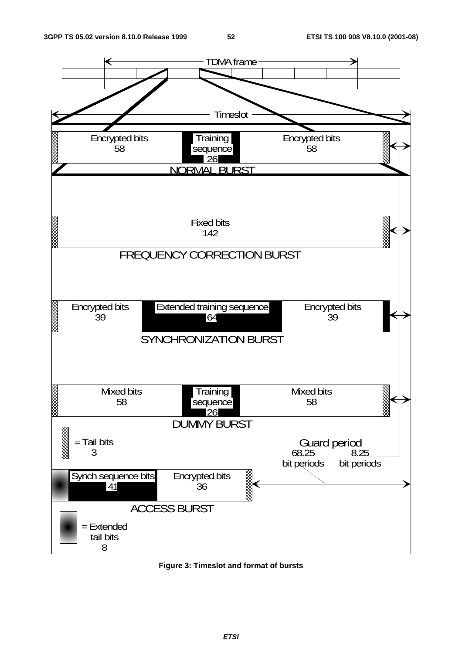

**Figure 3: Timeslot and format of bursts**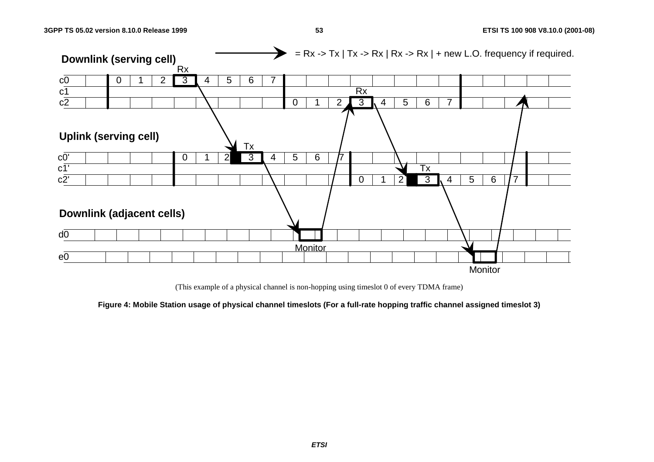

(This example of a physical channel is non-hopping using timeslot 0 of every TDMA frame)

**Figure 4: Mobile Station usage of physical channel timeslots (For a full-rate hopping traffic channel assigned timeslot 3)**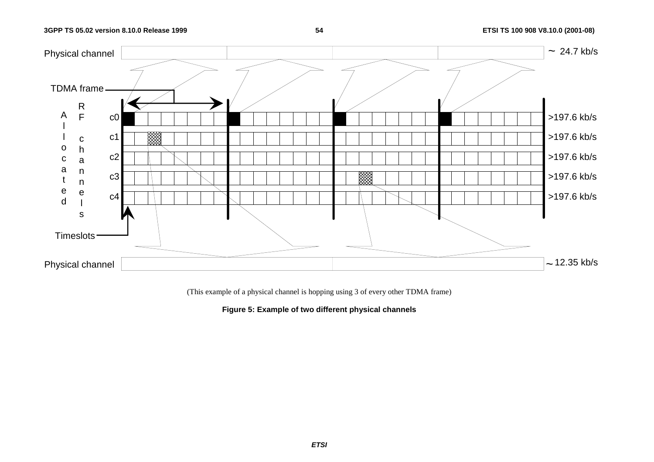### **54 ETSI TS 100 908 V8.10.0 (2001-08)**



(This example of a physical channel is hopping using 3 of every other TDMA frame)

**Figure 5: Example of two different physical channels**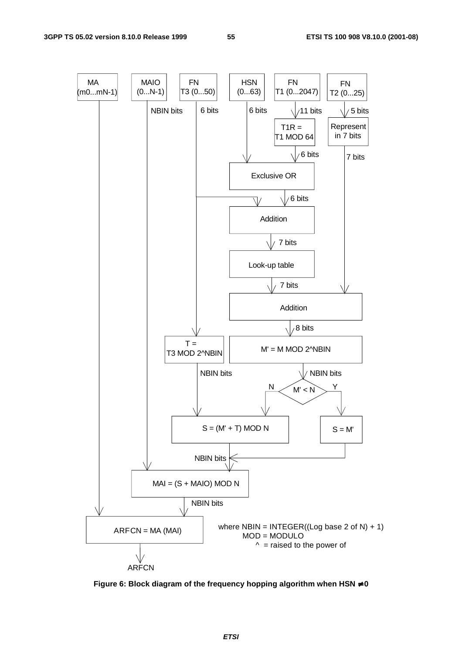

**Figure 6: Block diagram of the frequency hopping algorithm when HSN** ≠ **0**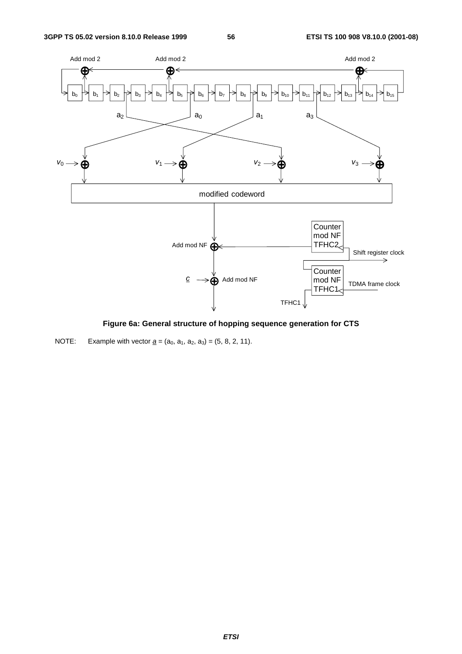

**Figure 6a: General structure of hopping sequence generation for CTS** 

NOTE: Example with vector  $\underline{a} = (a_0, a_1, a_2, a_3) = (5, 8, 2, 11)$ .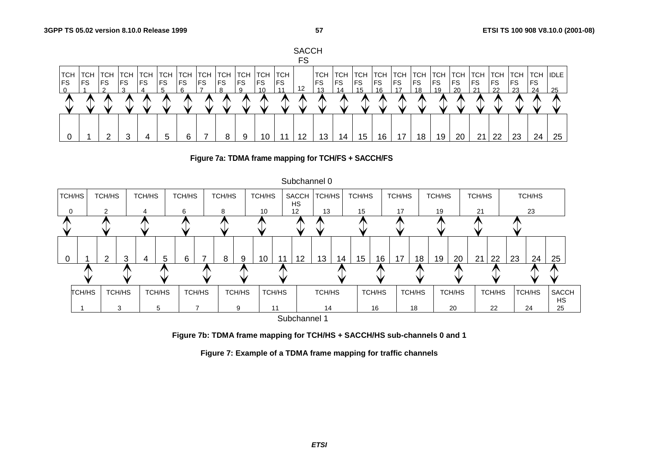







**Figure 7b: TDMA frame mapping for TCH/HS + SACCH/HS sub-channels 0 and 1** 

**Figure 7: Example of a TDMA frame mapping for traffic channels**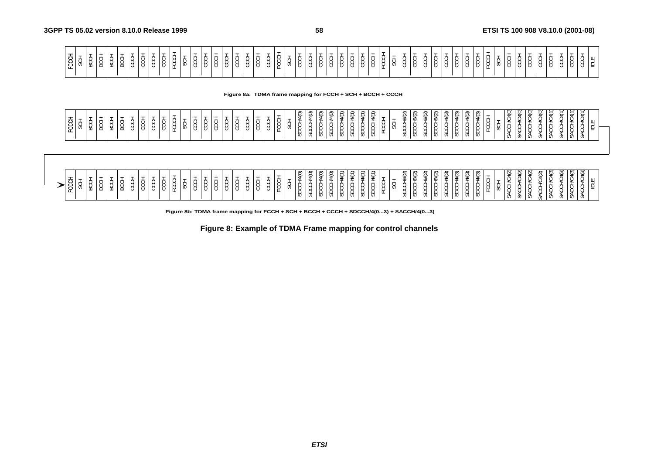**Figure 8a: TDMA frame mapping for FCCH + SCH + BCCH + CCCH**

| FCCCH         | -<br>₩  | -<br>⊻<br>⋒                             | ∽<br>ğ | $\overline{\phantom{0}}$<br>∽<br>ğ | ۰.<br>g | 8      | $\circ$ | $\overline{8}$ | ģ | の | $\overline{8}$ | g<br>O                      | ğ | 8 | ğ      | ğ | ୪ | -<br>Y  | $\overline{\phantom{a}}$<br>୪  | <b>M40</b><br>Ⴛ | kalo)<br>୪<br><b>U)</b> | <b>\$40</b><br>┶<br>ಕ | ł4O)<br>go | 4(1)<br>e<br>B | ÎΛ<br>க                 | 4(1)<br>g<br>ğ               | 支<br>全      | U,<br>╙. | 60)<br>ᡨ | \$(2)<br>≻<br>თ         | \$(2)<br>σ | \$@<br>8<br>₩ | Q)<br>8<br>ಕ            | 支<br>文<br>g<br>ಕ | A(3)<br>g<br>መ   | ИЗ<br><br>g  | $\overline{\phantom{a}}$<br>ビ | ê<br>≚<br>₫<br>ğ            | ⊻<br>ğ<br>U) | ¥<br>¥<br>¥<br>ġ<br>v,  | ू<br>¥<br>⊻<br>ĝ<br>Ø | ₿<br>≈<br>Ø | ¢٦<br>ĝ<br>U, | ⊻    | ರ   | $\overline{r}$<br>브 |  |
|---------------|---------|-----------------------------------------|--------|------------------------------------|---------|--------|---------|----------------|---|---|----------------|-----------------------------|---|---|--------|---|---|---------|--------------------------------|-----------------|-------------------------|-----------------------|------------|----------------|-------------------------|------------------------------|-------------|----------|----------|-------------------------|------------|---------------|-------------------------|------------------|------------------|--------------|-------------------------------|-----------------------------|--------------|-------------------------|-----------------------|-------------|---------------|------|-----|---------------------|--|
| $\frac{1}{2}$ | -<br>୪୪ | $\overline{\phantom{a}}$<br>₩<br>ă<br>Ж | ġ      | $\overline{\phantom{a}}$<br>₽<br>8 | g       | -<br>ĝ | ୪       | 8              | ġ | ୪ | 8              | -<br>8<br>≻<br>$\Join$<br>◡ | 8 | ୪ | ↳<br>୪ | 8 | ୪ | -<br>55 | $\overline{\phantom{a}}$<br>ୁଖ | âд<br>₩         | kdo<br>ă<br>◡<br>U)     | 440<br>∽<br>ಕ         | ł4O)<br>g  | 4(1)<br>g      | $\widetilde{\ast}$<br>თ | $\frac{1}{2}$<br>e<br>B<br>g | <b>A(1)</b> | U,<br>щ. | \$©<br>v | \$©<br>∽<br>≻<br>≻<br>თ | \$©<br>ដ្ឋ | \$©<br>8<br>8 | $\frac{4}{3}$<br>8<br>₩ | 支<br>ま<br>∽<br>g | 支<br>文<br>8<br>ಕ | すみ<br>ま<br>g | $\overline{\phantom{a}}$<br>ᄰ | Й<br>⊻<br>∽<br>₿<br>ୁଷ<br>w | ⊻            | ЭŘ<br>₩<br>2<br>₫<br>v. | <b>PC4(2)</b><br>₿    | ĝ,          | P(3)          | 4043 | ଙ୍କ |                     |  |

| ∽<br>$\tilde{\phantom{a}}$<br>৺<br>⊵<br>.,<br>ັ<br>ະ<br>۔ ت<br>ے<br>$\tilde{\phantom{a}}$<br>$\overline{\phantom{0}}$<br>--<br>$\sim$<br>$\sim$<br>$\sim$<br>$\sim$<br>$\sim$<br>$\overline{\phantom{0}}$<br>◡<br>$\sim$<br>ັ<br>മ<br>ັັ<br>ັ<br>$\sim$<br>ັ<br>≖<br>ັ<br>s.<br>ັ<br>. .<br>ັ<br>. .<br>$\sim$<br>-<br>ட<br><b>.</b><br><b>.</b><br>. .<br>$\overline{\phantom{a}}$<br><b>.</b><br>٠.<br>ூ<br>U)<br><b>UJ</b><br><b>UJ</b><br>ັບ<br>ື<br><b>v</b> ,<br><b>v</b> ,<br>$\ddot{\phantom{0}}$ | . ମ<br>$\sim$<br>્હ<br>ື<br>. .<br>∼<br>$\overline{\mathcal{F}}$<br>৺<br>╰<br>ت<br>ت<br>$\tilde{}$<br>↩<br>-<br>$\overline{\phantom{a}}$<br>.,<br>$\sim$<br>. .<br>ட<br>UJ.<br>v,<br>ິບເ<br>ັບ<br>$\cdot$<br>UJ.<br>נ ט |
|-----------------------------------------------------------------------------------------------------------------------------------------------------------------------------------------------------------------------------------------------------------------------------------------------------------------------------------------------------------------------------------------------------------------------------------------------------------------------------------------------------------|-------------------------------------------------------------------------------------------------------------------------------------------------------------------------------------------------------------------------|
|-----------------------------------------------------------------------------------------------------------------------------------------------------------------------------------------------------------------------------------------------------------------------------------------------------------------------------------------------------------------------------------------------------------------------------------------------------------------------------------------------------------|-------------------------------------------------------------------------------------------------------------------------------------------------------------------------------------------------------------------------|

**Figure 8b: TDMA frame mapping for FCCH + SCH + BCCH + CCCH + SDCCH/4(0...3) + SACCH/4(0...3)**

**Figure 8: Example of TDMA Frame mapping for control channels** 

**ETSI**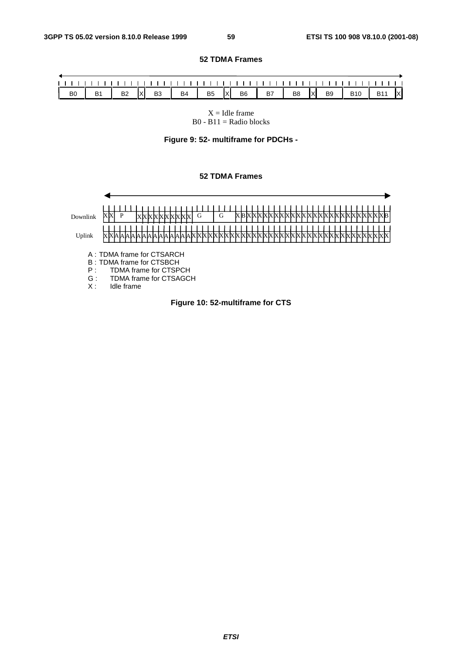**52 TDMA Frames** 

#### Ĺ  $1 - 1$ B0 | B1 | B2 |X| B3 | B4 | B5 |X| B6 | B7 | B8 |X| B9 | B10 | B11 |X

#### $X =$  Idle frame  $B0 - B11 =$  Radio blocks

### **Figure 9: 52- multiframe for PDCHs -**

### **52 TDMA Frames**

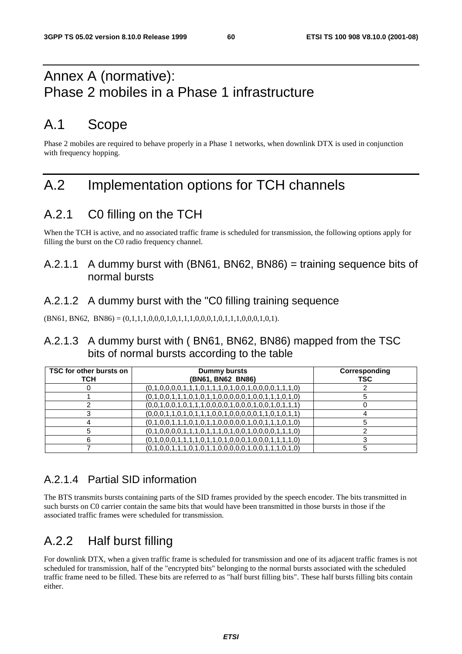# Annex A (normative): Phase 2 mobiles in a Phase 1 infrastructure

# A.1 Scope

Phase 2 mobiles are required to behave properly in a Phase 1 networks, when downlink DTX is used in conjunction with frequency hopping.

# A.2 Implementation options for TCH channels

# A.2.1 C0 filling on the TCH

When the TCH is active, and no associated traffic frame is scheduled for transmission, the following options apply for filling the burst on the C0 radio frequency channel.

## A.2.1.1 A dummy burst with (BN61, BN62, BN86) = training sequence bits of normal bursts

## A.2.1.2 A dummy burst with the "C0 filling training sequence

 $(BN61, BN62, BN86) = (0,1,1,1,0,0,0,1,0,1,1,1,0,0,0,1,0,1,1,1,0,0,0,1,0,1).$ 

## A.2.1.3 A dummy burst with ( BN61, BN62, BN86) mapped from the TSC bits of normal bursts according to the table

| TSC for other bursts on<br><b>TCH</b> | <b>Dummy bursts</b><br>(BN61, BN62 BN86)                | Corresponding<br>TSC |
|---------------------------------------|---------------------------------------------------------|----------------------|
|                                       | $(0,1,0,0,0,0,1,1,1,0,1,1,1,0,1,0,0,1,0,0,0,0,1,1,1,0)$ |                      |
|                                       | $(0,1,0,0,1,1,1,0,1,0,1,1,0,0,0,0,0,1,0,0,1,1,1,0,1,0)$ |                      |
|                                       | $(0,0,1,0,0,1,0,1,1,1,0,0,0,0,1,0,0,1,0,0,1,0,1,1,1)$   |                      |
|                                       | $(0,0,0,1,1,0,1,0,1,1,1,0,0,1,0,0,0,0,1,1,0,1,0,1,1)$   |                      |
|                                       | $(0,1,0,0,1,1,1,0,1,0,1,1,0,0,0,0,0,1,0,0,1,1,1,0,1,0)$ |                      |
|                                       | $(0,1,0,0,0,0,1,1,1,0,1,1,1,0,1,0,0,1,0,0,0,0,1,1,1,0)$ |                      |
|                                       | $(0,1,0,0,0,1,1,1,1,0,1,1,0,1,0,0,0,1,0,0,0,1,1,1,1,0)$ |                      |
|                                       | $(0,1,0,0,1,1,1,0,1,0,1,1,0,0,0,0,0,1,0,0,1,1,1,0,1,0)$ |                      |

## A.2.1.4 Partial SID information

The BTS transmits bursts containing parts of the SID frames provided by the speech encoder. The bits transmitted in such bursts on C0 carrier contain the same bits that would have been transmitted in those bursts in those if the associated traffic frames were scheduled for transmission.

# A.2.2 Half burst filling

For downlink DTX, when a given traffic frame is scheduled for transmission and one of its adjacent traffic frames is not scheduled for transmission, half of the "encrypted bits" belonging to the normal bursts associated with the scheduled traffic frame need to be filled. These bits are referred to as "half burst filling bits". These half bursts filling bits contain either.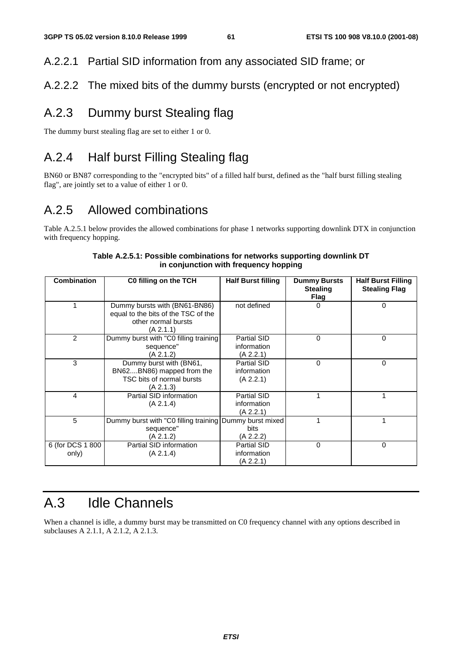## A.2.2.1 Partial SID information from any associated SID frame; or

## A.2.2.2 The mixed bits of the dummy bursts (encrypted or not encrypted)

## A.2.3 Dummy burst Stealing flag

The dummy burst stealing flag are set to either 1 or 0.

## A.2.4 Half burst Filling Stealing flag

BN60 or BN87 corresponding to the "encrypted bits" of a filled half burst, defined as the "half burst filling stealing flag", are jointly set to a value of either 1 or 0.

# A.2.5 Allowed combinations

Table A.2.5.1 below provides the allowed combinations for phase 1 networks supporting downlink DTX in conjunction with frequency hopping.

| <b>Combination</b>        | C0 filling on the TCH                                                                                    | <b>Half Burst filling</b>                      | <b>Dummy Bursts</b><br><b>Stealing</b><br>Flag | <b>Half Burst Filling</b><br><b>Stealing Flag</b> |
|---------------------------|----------------------------------------------------------------------------------------------------------|------------------------------------------------|------------------------------------------------|---------------------------------------------------|
|                           | Dummy bursts with (BN61-BN86)<br>equal to the bits of the TSC of the<br>other normal bursts<br>(A 2.1.1) | not defined                                    | 0                                              | 0                                                 |
| 2                         | Dummy burst with "C0 filling training<br>sequence"<br>(A 2.1.2)                                          | Partial SID<br>information<br>(A 2.2.1)        | $\Omega$                                       | 0                                                 |
| 3                         | Dummy burst with (BN61,<br>BN62BN86) mapped from the<br>TSC bits of normal bursts<br>(A 2.1.3)           | <b>Partial SID</b><br>information<br>(A 2.2.1) | 0                                              | 0                                                 |
| 4                         | Partial SID information<br>(A 2.1.4)                                                                     | Partial SID<br>information<br>(A 2.2.1)        |                                                |                                                   |
| 5                         | Dummy burst with "C0 filling training   Dummy burst mixed<br>sequence"<br>(A 2.1.2)                      | <b>bits</b><br>(A 2.2.2)                       |                                                |                                                   |
| 6 (for DCS 1 800<br>only) | Partial SID information<br>(A 2.1.4)                                                                     | Partial SID<br>information<br>(A 2.2.1)        | $\Omega$                                       | 0                                                 |

### **Table A.2.5.1: Possible combinations for networks supporting downlink DT in conjunction with frequency hopping**

# A.3 Idle Channels

When a channel is idle, a dummy burst may be transmitted on C0 frequency channel with any options described in subclauses A 2.1.1, A 2.1.2, A 2.1.3.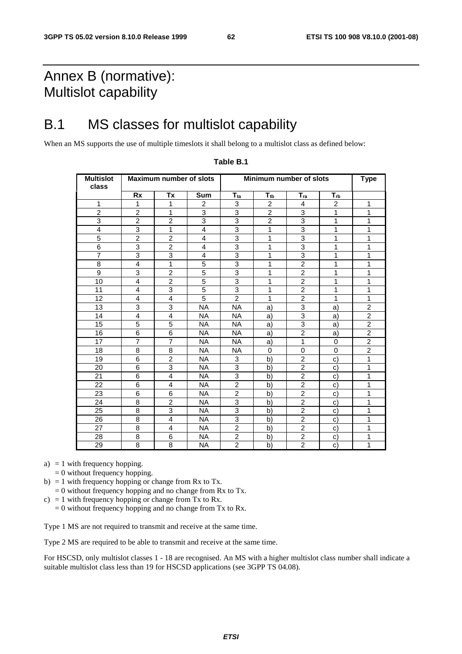# Annex B (normative): Multislot capability

# B.1 MS classes for multislot capability

When an MS supports the use of multiple timeslots it shall belong to a multislot class as defined below:

| <b>Multislot</b><br>class |                         | <b>Maximum number of slots</b> |                |                           | Minimum number of slots |                |                | <b>Type</b>    |
|---------------------------|-------------------------|--------------------------------|----------------|---------------------------|-------------------------|----------------|----------------|----------------|
|                           | Rx                      | Tx                             | Sum            | $T_{ta}$                  | $T_{tb}$                | $T_{ra}$       | $T_{rb}$       |                |
| 1                         | 1                       | 1                              | 2              | 3                         | $\overline{c}$          | 4              | $\overline{c}$ | 1              |
| $\overline{2}$            | $\overline{2}$          | 1                              | 3              | 3                         | $\overline{2}$          | 3              | 1              | 1              |
| 3                         | $\overline{2}$          | $\overline{2}$                 | 3              | $\overline{3}$            | $\overline{2}$          | 3              | 1              | 1              |
| $\overline{4}$            | 3                       | $\mathbf{1}$                   | $\overline{4}$ | $\overline{3}$            | 1                       | $\overline{3}$ | 1              | 1              |
| $\overline{5}$            | $\overline{2}$          | $\overline{c}$                 | 4              | 3                         | 1                       | 3              | 1              | 1              |
| 6                         | 3                       | $\overline{c}$                 | 4              | 3                         | 1                       | 3              | 1              | 1              |
| $\overline{7}$            | 3                       | 3                              | 4              | 3                         | 1                       | 3              | 1              | 1              |
| 8                         | $\overline{\mathbf{4}}$ | 1                              | 5              | $\overline{3}$            | 1                       | $\overline{2}$ | 1              | 1              |
| $\overline{9}$            | 3                       | $\overline{2}$                 | 5              | 3                         | 1                       | $\overline{2}$ | 1              | 1              |
| $\overline{10}$           | $\overline{4}$          | $\overline{2}$                 | $\overline{5}$ | 3                         | 1                       | $\overline{2}$ | 1              | 1              |
| 11                        | $\overline{4}$          | 3                              | 5              | $\ensuremath{\mathsf{3}}$ | 1                       | $\overline{c}$ | 1              | 1              |
| 12                        | $\overline{4}$          | 4                              | 5              | $\overline{2}$            | 1                       | $\overline{2}$ | 1              | 1              |
| 13                        | 3                       | 3                              | <b>NA</b>      | <b>NA</b>                 | a)                      | 3              | a)             | $\overline{2}$ |
| 14                        | 4                       | 4                              | <b>NA</b>      | <b>NA</b>                 | a)                      | $\overline{3}$ | a)             | $\overline{c}$ |
| 15                        | $\overline{5}$          | $\overline{5}$                 | <b>NA</b>      | <b>NA</b>                 | a)                      | $\overline{3}$ | a)             | $\overline{2}$ |
| 16                        | $\overline{6}$          | $\overline{6}$                 | <b>NA</b>      | <b>NA</b>                 | a)                      | $\overline{2}$ | a)             | $\overline{2}$ |
| 17                        | $\overline{7}$          | $\overline{7}$                 | NA.            | <b>NA</b>                 | a)                      | $\mathbf{1}$   | 0              | $\overline{2}$ |
| 18                        | 8                       | 8                              | <b>NA</b>      | <b>NA</b>                 | $\mathbf 0$             | $\mathbf 0$    | $\mathbf 0$    | $\overline{2}$ |
| 19                        | $\overline{6}$          | $\overline{2}$                 | <b>NA</b>      | 3                         | b)                      | $\overline{2}$ | $\mathbf{C}$   | 1              |
| 20                        | 6                       | 3                              | <b>NA</b>      | 3                         | b)                      | $\overline{2}$ | C)             | 1              |
| 21                        | 6                       | 4                              | <b>NA</b>      | $\overline{3}$            | b)                      | $\overline{2}$ | $\mathbf{C}$   | 1              |
| 22                        | 6                       | 4                              | <b>NA</b>      | $\overline{2}$            | b)                      | $\overline{2}$ | C)             | 1              |
| 23                        | 6                       | 6                              | <b>NA</b>      | $\overline{2}$            | b)                      | $\overline{2}$ | $\mathbf{C}$   | 1              |
| 24                        | 8                       | $\overline{c}$                 | <b>NA</b>      | 3                         | b)                      | $\overline{c}$ | C)             | 1              |
| 25                        | 8                       | $\overline{3}$                 | NA.            | $\overline{3}$            | b)                      | $\overline{2}$ | C)             | 1              |
| 26                        | 8                       | $\overline{\mathbf{4}}$        | <b>NA</b>      | 3                         | b)                      | $\overline{2}$ | C)             | 1              |
| 27                        | 8                       | $\overline{4}$                 | <b>NA</b>      | $\overline{2}$            | b)                      | $\overline{2}$ | C)             | 1              |
| 28                        | 8                       | 6                              | NA             | $\overline{c}$            | b)                      | $\overline{2}$ | C)             | 1              |
| 29                        | 8                       | 8                              | <b>NA</b>      | $\overline{2}$            | b)                      | $\overline{2}$ | $\mathbf{C}$   | 1              |

### **Table B.1**

- a)  $= 1$  with frequency hopping.
- $= 0$  without frequency hopping.
- b)  $= 1$  with frequency hopping or change from Rx to Tx.
- $= 0$  without frequency hopping and no change from Rx to Tx.
- c) = 1 with frequency hopping or change from Tx to Rx.
	- $= 0$  without frequency hopping and no change from Tx to Rx.

Type 1 MS are not required to transmit and receive at the same time.

Type 2 MS are required to be able to transmit and receive at the same time.

For HSCSD, only multislot classes 1 - 18 are recognised. An MS with a higher multislot class number shall indicate a suitable multislot class less than 19 for HSCSD applications (see 3GPP TS 04.08).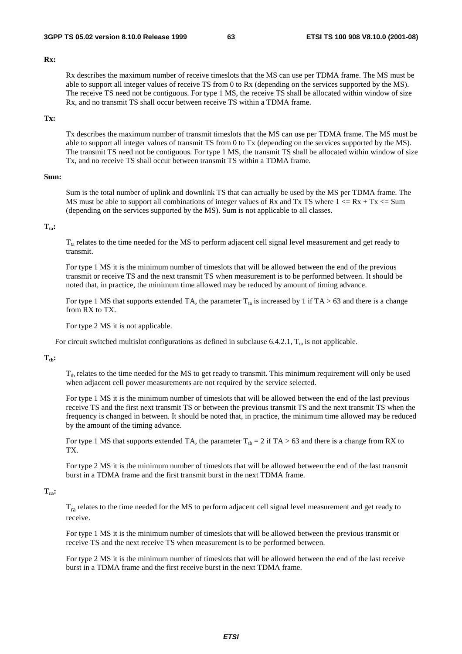#### **Rx:**

 Rx describes the maximum number of receive timeslots that the MS can use per TDMA frame. The MS must be able to support all integer values of receive TS from 0 to Rx (depending on the services supported by the MS). The receive TS need not be contiguous. For type 1 MS, the receive TS shall be allocated within window of size Rx, and no transmit TS shall occur between receive TS within a TDMA frame.

### **Tx:**

 Tx describes the maximum number of transmit timeslots that the MS can use per TDMA frame. The MS must be able to support all integer values of transmit TS from 0 to Tx (depending on the services supported by the MS). The transmit TS need not be contiguous. For type 1 MS, the transmit TS shall be allocated within window of size Tx, and no receive TS shall occur between transmit TS within a TDMA frame.

### **Sum:**

 Sum is the total number of uplink and downlink TS that can actually be used by the MS per TDMA frame. The MS must be able to support all combinations of integer values of Rx and Tx TS where  $1 \le Rx + Tx \le Sum$ (depending on the services supported by the MS). Sum is not applicable to all classes.

### $T_{\text{ta}}$ :

 $T_{ta}$  relates to the time needed for the MS to perform adjacent cell signal level measurement and get ready to transmit.

 For type 1 MS it is the minimum number of timeslots that will be allowed between the end of the previous transmit or receive TS and the next transmit TS when measurement is to be performed between. It should be noted that, in practice, the minimum time allowed may be reduced by amount of timing advance.

For type 1 MS that supports extended TA, the parameter  $T_{ta}$  is increased by 1 if TA > 63 and there is a change from RX to TX.

For type 2 MS it is not applicable.

For circuit switched multislot configurations as defined in subclause 6.4.2.1,  $T_{ta}$  is not applicable.

### $T_{\text{th}}$ :

 $T_{th}$  relates to the time needed for the MS to get ready to transmit. This minimum requirement will only be used when adjacent cell power measurements are not required by the service selected.

 For type 1 MS it is the minimum number of timeslots that will be allowed between the end of the last previous receive TS and the first next transmit TS or between the previous transmit TS and the next transmit TS when the frequency is changed in between. It should be noted that, in practice, the minimum time allowed may be reduced by the amount of the timing advance.

For type 1 MS that supports extended TA, the parameter  $T_{tb} = 2$  if TA > 63 and there is a change from RX to TX.

 For type 2 MS it is the minimum number of timeslots that will be allowed between the end of the last transmit burst in a TDMA frame and the first transmit burst in the next TDMA frame.

### **Tra:**

 $T_{ra}$  relates to the time needed for the MS to perform adjacent cell signal level measurement and get ready to receive.

 For type 1 MS it is the minimum number of timeslots that will be allowed between the previous transmit or receive TS and the next receive TS when measurement is to be performed between.

 For type 2 MS it is the minimum number of timeslots that will be allowed between the end of the last receive burst in a TDMA frame and the first receive burst in the next TDMA frame.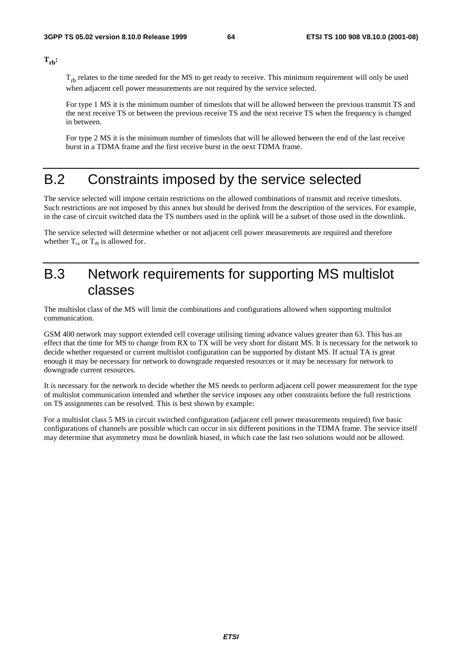$T_{rb}$ :

 $T_{rb}$  relates to the time needed for the MS to get ready to receive. This minimum requirement will only be used when adjacent cell power measurements are not required by the service selected.

 For type 1 MS it is the minimum number of timeslots that will be allowed between the previous transmit TS and the next receive TS or between the previous receive TS and the next receive TS when the frequency is changed in between.

 For type 2 MS it is the minimum number of timeslots that will be allowed between the end of the last receive burst in a TDMA frame and the first receive burst in the next TDMA frame.

# B.2 Constraints imposed by the service selected

The service selected will impose certain restrictions on the allowed combinations of transmit and receive timeslots. Such restrictions are not imposed by this annex but should be derived from the description of the services. For example, in the case of circuit switched data the TS numbers used in the uplink will be a subset of those used in the downlink.

The service selected will determine whether or not adjacent cell power measurements are required and therefore whether  $T_{ra}$  or  $T_{rb}$  is allowed for.

## B.3 Network requirements for supporting MS multislot classes

The multislot class of the MS will limit the combinations and configurations allowed when supporting multislot communication.

GSM 400 network may support extended cell coverage utilising timing advance values greater than 63. This has an effect that the time for MS to change from RX to TX will be very short for distant MS. It is necessary for the network to decide whether requested or current multislot configuration can be supported by distant MS. If actual TA is great enough it may be necessary for network to downgrade requested resources or it may be necessary for network to downgrade current resources.

It is necessary for the network to decide whether the MS needs to perform adjacent cell power measurement for the type of multislot communication intended and whether the service imposes any other constraints before the full restrictions on TS assignments can be resolved. This is best shown by example:

For a multislot class 5 MS in circuit switched configuration (adjacent cell power measurements required) five basic configurations of channels are possible which can occur in six different positions in the TDMA frame. The service itself may determine that asymmetry must be downlink biased, in which case the last two solutions would not be allowed.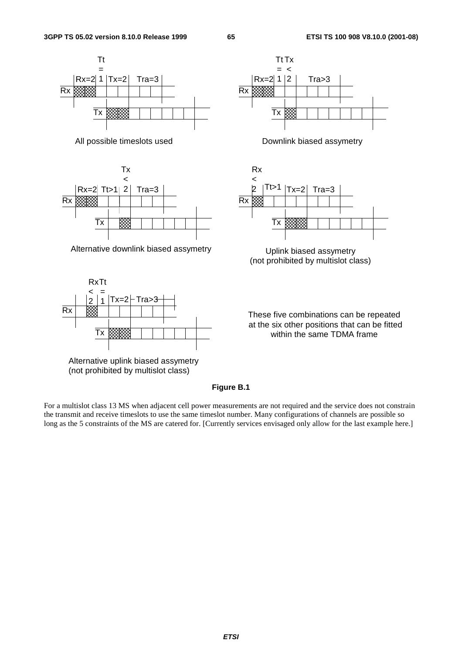



Alternative downlink biased assymetry **Uplink biased assymetry** 



Alternative uplink biased assymetry (not prohibited by multislot class)







(not prohibited by multislot class)

These five combinations can be repeated at the six other positions that can be fitted within the same TDMA frame

### **Figure B.1**

For a multislot class 13 MS when adjacent cell power measurements are not required and the service does not constrain the transmit and receive timeslots to use the same timeslot number. Many configurations of channels are possible so long as the 5 constraints of the MS are catered for. [Currently services envisaged only allow for the last example here.]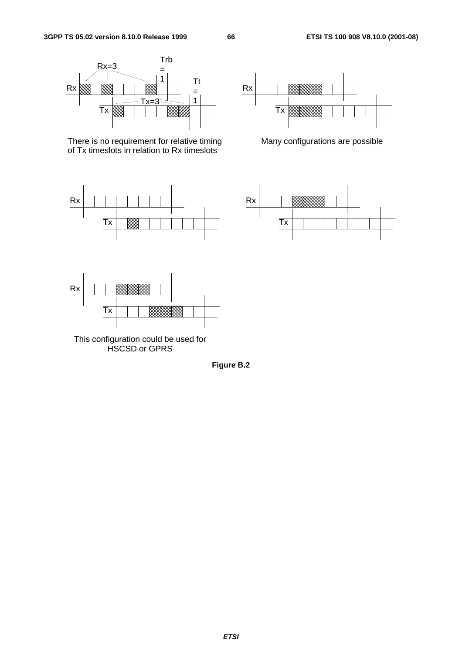

There is no requirement for relative timing of Tx timeslots in relation to Rx timeslots





Many configurations are possible





This configuration could be used for HSCSD or GPRS

**Figure B.2**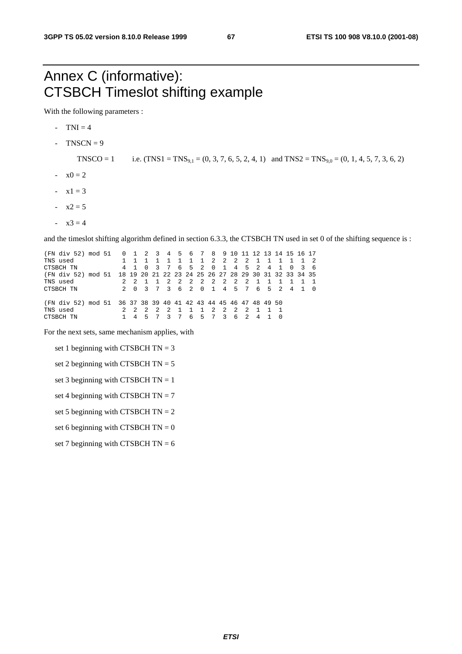# Annex C (informative): CTSBCH Timeslot shifting example

With the following parameters :

- $-TNI = 4$
- $TNSCN = 9$

TNSCO = 1 i.e.  $(TNS1 = TNS<sub>9,1</sub> = (0, 3, 7, 6, 5, 2, 4, 1)$  and  $TNS2 = TNS<sub>9,0</sub> = (0, 1, 4, 5, 7, 3, 6, 2)$ 

- $-x0 = 2$
- $-x1 = 3$
- $x2 = 5$
- $x3 = 4$

and the timeslot shifting algorithm defined in section 6.3.3, the CTSBCH TN used in set 0 of the shifting sequence is :

(FN div 52) mod 51 0 1 2 3 4 5 6 7 8 9 10 11 12 13 14 15 16 17 TNS used 1 1 1 1 1 1 1 1 2 2 2 2 1 1 1 1 1 2<br>CTSBCH TN 4 1 0 3 7 6 5 2 0 1 4 5 2 4 1 0 3 6 CTSBCH TN 4 1 0 3 7 6 5 2 0 1 4 5 2 4 1 0 3 6 (FN div 52) mod 51 18 19 20 21 22 23 24 25 26 27 28 29 30 31 32 33 34 35 2 1 1 1 1 1 1<br>7 6 5 2 4 1 0 Printed and the contract of the contract of the contract of the contract of the contract of the contract of the contract of the contract of the contract of the contract of the contract of the contract of the contract of th (FN div 52) mod 51 36 37 38 39 40 41 42 43 44 45 46 47 48 49 50 TNS used 2 2 2 2 2 1 1 1 2 2 2 2 1 1 1 CTSBCH TN 1 4 5 7 3 7 6 5 7 3 6 2 4 1 0

For the next sets, same mechanism applies, with

set 1 beginning with CTSBCH  $TN = 3$ 

set 2 beginning with CTSBCH  $TN = 5$ 

set 3 beginning with CTSBCH  $TN = 1$ 

set 4 beginning with CTSBCH  $TN = 7$ 

set 5 beginning with CTSBCH  $TN = 2$ 

set 6 beginning with CTSBCH  $TN = 0$ 

set 7 beginning with CTSBCH  $TN = 6$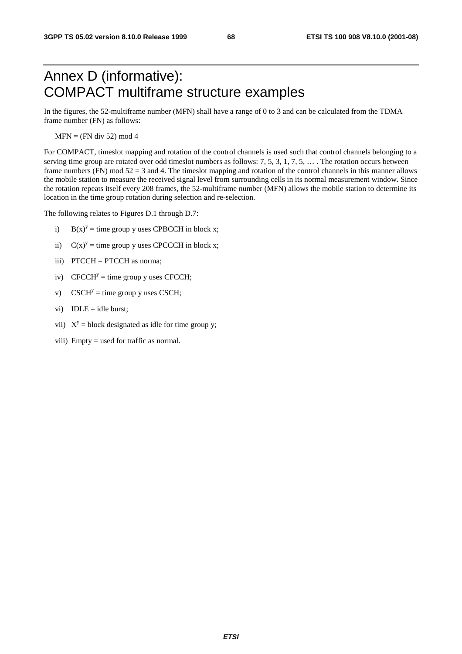# Annex D (informative): COMPACT multiframe structure examples

In the figures, the 52-multiframe number (MFN) shall have a range of 0 to 3 and can be calculated from the TDMA frame number (FN) as follows:

 $MFN = (FN \div 52) \mod 4$ 

For COMPACT, timeslot mapping and rotation of the control channels is used such that control channels belonging to a serving time group are rotated over odd timeslot numbers as follows: 7, 5, 3, 1, 7, 5, … . The rotation occurs between frame numbers (FN) mod 52 = 3 and 4. The timeslot mapping and rotation of the control channels in this manner allows the mobile station to measure the received signal level from surrounding cells in its normal measurement window. Since the rotation repeats itself every 208 frames, the 52-multiframe number (MFN) allows the mobile station to determine its location in the time group rotation during selection and re-selection.

The following relates to Figures D.1 through D.7:

- i)  $B(x)^y =$  time group y uses CPBCCH in block x;
- ii)  $C(x)^y =$  time group y uses CPCCCH in block x;
- iii) PTCCH = PTCCH as norma;
- iv) CFCCH<sup>y</sup> = time group y uses CFCCH;
- v) CSCH<sup>y</sup> = time group y uses CSCH;
- vi)  $IDLE = idle burst;$
- vii)  $X^y$  = block designated as idle for time group y;
- viii) Empty = used for traffic as normal.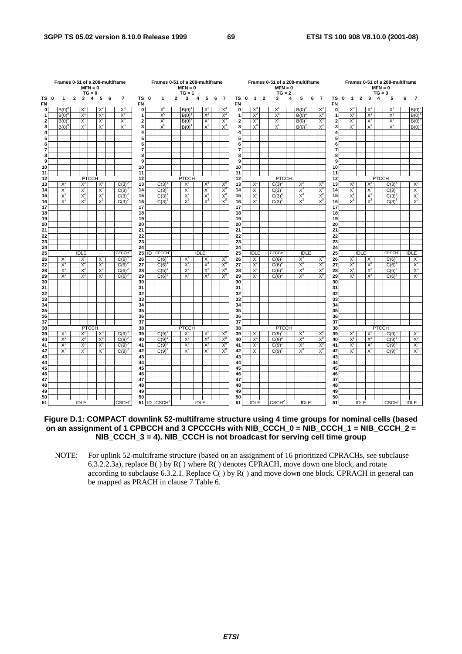|                         |  | Frames 0-51 of a 208-multiframe         |                |             | $MFN = 0$<br>$TG = 0$ |       |            |                |                   | Frames 0-51 of a 208-multiframe |       | $MFN = 0$<br>$TG = 1$ |             |       |              |                |                   |                |                         | Frames 0-51 of a 208-multiframe<br>$MFN = 0$<br>$TG = 2$ |       |             |             |                |                   |                |              |       | $MFN = 0$<br>$TG = 3$ | Frames 0-51 of a 208-multiframe |       |                |
|-------------------------|--|-----------------------------------------|----------------|-------------|-----------------------|-------|------------|----------------|-------------------|---------------------------------|-------|-----------------------|-------------|-------|--------------|----------------|-------------------|----------------|-------------------------|----------------------------------------------------------|-------|-------------|-------------|----------------|-------------------|----------------|--------------|-------|-----------------------|---------------------------------|-------|----------------|
| TS 0<br><b>FN</b>       |  | 1                                       | $\overline{2}$ | 3           | 4                     | 5     | 6          | $\overline{7}$ | TS 0<br><b>FN</b> | 1                               | 2     | 3                     | 4           | 5     | 6            | $\overline{7}$ | TS 0<br><b>FN</b> | $\overline{1}$ | $\overline{\mathbf{2}}$ | 3                                                        | 4     | 5           | 6           | $\overline{7}$ | TS 0<br><b>FN</b> | $\overline{1}$ | $\mathbf{2}$ | 3     | $\overline{4}$        | 5                               | 6     | 7              |
| $\overline{0}$          |  | B(0)                                    |                | X,          |                       | $X^2$ |            | $X^3$          | $\mathbf{0}$      | $X^0$                           |       | B(0)                  |             | $X^2$ |              | X              | $\mathbf{0}$      | $X^0$          |                         | $X^1$                                                    |       | $B(0)^2$    |             | $X^3$          | $\mathbf{0}$      | $X^0$          |              | X     |                       | $X^2$                           |       | B(0)           |
| $\mathbf{1}$            |  | B(0)                                    |                | $X^1$       |                       | $X^2$ |            | $X_3$          | 1                 | $X_0$                           |       | B(0)                  |             | $X^2$ |              | $X^3$          | 1                 | $X_0$          |                         | X,                                                       |       | B(0)        |             | $X_3$          | 1                 | $X_0$          |              | X     |                       | $X^2$                           |       | B(0)           |
| $\overline{2}$          |  | $B(0)^6$                                |                | $X^1$       |                       | $X^2$ |            | $X_3$          | $\overline{2}$    | $X_0$                           |       | B(0)                  |             | $X^2$ |              | $X_3$          | $\mathbf{2}$      | $X_0$          |                         | $X^1$                                                    |       | $B(0)^2$    |             | $X^3$          | $\mathbf{2}$      | $X_0$          |              | $X^1$ |                       | $X^2$                           |       | $B(0)^3$       |
| 3                       |  | $B(0)^{6}$                              |                | $X^1$       |                       | $X^2$ |            | $X^3$          | 3                 | $X_0$                           |       | B(0)                  |             | $X^2$ |              | $X^3$          | 3                 | $X^0$          |                         | $X^1$                                                    |       | $B(0)^2$    |             | $X^3$          | 3                 | $X_0$          |              | $X^1$ |                       | $X^2$                           |       | $B(0)^3$       |
| 4                       |  |                                         |                |             |                       |       |            |                | 4                 |                                 |       |                       |             |       |              |                |                   |                |                         |                                                          |       |             |             |                |                   |                |              |       |                       |                                 |       |                |
| 5                       |  |                                         |                |             |                       |       |            |                | 5                 |                                 |       |                       |             |       |              |                |                   |                |                         |                                                          |       |             |             |                |                   |                |              |       |                       |                                 |       |                |
| 6                       |  |                                         |                |             |                       |       |            |                | 6                 |                                 |       |                       |             |       |              |                |                   |                |                         |                                                          |       |             |             |                |                   |                |              |       |                       |                                 |       |                |
| $\overline{\mathbf{r}}$ |  |                                         |                |             |                       |       |            |                | 7<br>8            |                                 |       |                       |             |       |              |                |                   |                |                         |                                                          |       |             |             |                |                   |                |              |       |                       |                                 |       |                |
| 8<br>9                  |  |                                         |                |             |                       |       |            |                | 9                 |                                 |       |                       |             |       |              |                |                   |                |                         |                                                          |       |             |             |                |                   |                |              |       |                       |                                 |       |                |
| 10                      |  |                                         |                |             |                       |       |            |                | 10                |                                 |       |                       |             |       |              |                | 10                |                |                         |                                                          |       |             |             |                | 10                |                |              |       |                       |                                 |       |                |
| 11                      |  |                                         |                |             |                       |       |            |                | 11                |                                 |       |                       |             |       |              |                | 11                |                |                         |                                                          |       |             |             |                | 11                |                |              |       |                       |                                 |       |                |
| 12                      |  |                                         |                |             | <b>PTCCH</b>          |       |            |                | 12                |                                 |       | <b>PTCCH</b>          |             |       |              |                | 12                |                |                         | <b>PTCCH</b>                                             |       |             |             |                | 12                |                |              |       | <b>PTCCH</b>          |                                 |       |                |
| 13                      |  | $X^1$                                   |                | $X^2$       |                       | $X^3$ |            | $C(3)^{6}$     | 13                | C(3)                            |       | $X^2$                 |             | $X^3$ |              | X,             | 13                | $X^1$          |                         | $C(3)^2$                                                 |       | $X^3$       |             | $X^{\iota}$    | 13                | $X^1$          |              | $X^2$ |                       | $C(3)^{3}$                      |       | $X^0$          |
| 14                      |  | $X^1$                                   |                | $X^2$       |                       | $X^3$ |            | $C(3)^{0}$     | 14                | C(3)                            |       | $X^2$                 |             | $X^3$ |              | $X^0$          | 14                | $X^1$          |                         | $C(3)^{2}$                                               |       | $X^3$       |             | $X^0$          | 14                | $X^1$          |              | $X^2$ |                       | C(3)                            |       | X <sup>0</sup> |
| 15                      |  | $X^1$                                   |                | $X^2$       |                       | $X^3$ |            | C(3)           | 15                | C(3)                            |       | $X^2$                 |             | $X_3$ |              | $X_0$          | 15                | $X^1$          |                         | $C(3)^{2}$                                               |       | $X_3$       |             | $X^0$          | 15                | $X^1$          |              | $X^2$ |                       | $C(3)^3$                        |       | $X_0$          |
| 16                      |  | $X^1$                                   |                | $X^2$       |                       | $X_3$ |            | $C(3)^{0}$     | 16                | C(3)                            |       | $X^2$                 |             | $X_3$ |              | $X_0$          | 16                | $X^1$          |                         | $C(3)^2$                                                 |       | $X_3$       |             | $X_0$          | 16                | $X^1$          |              | $X^2$ |                       | $C(3)^3$                        |       | $X_0$          |
| 17                      |  |                                         |                |             |                       |       |            |                | 17                |                                 |       |                       |             |       |              |                | 17                |                |                         |                                                          |       |             |             |                | 17                |                |              |       |                       |                                 |       |                |
| 18                      |  |                                         |                |             |                       |       |            |                | 18                |                                 |       |                       |             |       |              |                | 18                |                |                         |                                                          |       |             |             |                | 18                |                |              |       |                       |                                 |       |                |
| 19                      |  |                                         |                |             |                       |       |            |                | 19                |                                 |       |                       |             |       |              |                | 19                |                |                         |                                                          |       |             |             |                | 19                |                |              |       |                       |                                 |       |                |
| 20                      |  |                                         |                |             |                       |       |            |                | 20                |                                 |       |                       |             |       |              |                | 20                |                |                         |                                                          |       |             |             |                | 20                |                |              |       |                       |                                 |       |                |
| 21                      |  |                                         |                |             |                       |       |            |                | 21                |                                 |       |                       |             |       |              |                | 21                |                |                         |                                                          |       |             |             |                | 21                |                |              |       |                       |                                 |       |                |
| 22                      |  |                                         |                |             |                       |       |            |                | 22                |                                 |       |                       |             |       |              |                | 22                |                |                         |                                                          |       |             |             |                | 22                |                |              |       |                       |                                 |       |                |
| 23<br>24                |  |                                         |                |             |                       |       |            |                | 23<br>24          |                                 |       |                       |             |       |              |                | 23<br>24          |                |                         |                                                          |       |             |             |                | 23<br>24          |                |              |       |                       |                                 |       |                |
| 25                      |  |                                         |                | <b>IDLE</b> |                       |       |            | <b>CFCCH</b>   | 25                | <b>ID CFCCH</b>                 |       |                       | <b>IDLE</b> |       |              |                | 25                | <b>IDLE</b>    |                         | <b>CFCCH</b> <sup>2</sup>                                |       | <b>IDLE</b> |             |                | 25                |                | <b>IDLE</b>  |       |                       | CECCH <sub>3</sub>              |       | <b>IDLE</b>    |
| 26                      |  | $X^1$                                   |                | $X^2$       |                       | $X^3$ |            | $C(6)^{0}$     | 26                | C(6)                            |       | $X^2$                 |             | $X^3$ |              | $X^0$          | 26                | $X^1$          |                         | $C(6)^{2}$                                               |       | $X^3$       |             | $X^0$          | 26                | $X^1$          |              | $X^2$ |                       | $C(6)^3$                        |       | $X^0$          |
| 27                      |  | X                                       |                | $X^2$       |                       | $X^3$ |            | C(6)           | 27                | C(6)                            |       | $X^2$                 |             | $X_3$ |              | $X_{c}$        | 27                | $X^1$          |                         | C(6)                                                     |       | $X_3$       |             | $X_0$          | 27                | $X^1$          |              | $X^2$ |                       | C(6)                            |       | $X_0$          |
| 28                      |  | $X^1$                                   |                | $X^2$       |                       | $X_3$ |            | C(6)           | 28                | C(6)                            |       | $X^2$                 |             | $X_3$ |              | $X_0$          | 28                | $X^1$          |                         | C(6)                                                     |       | $X_3$       |             | $X_0$          | 28                | X,             |              | $X^2$ |                       | C(6)                            |       | $X_0$          |
| 29                      |  | $X^1$                                   |                | $X^2$       |                       | $X^3$ |            | $C(6)^{6}$     | 29                | C(6)                            |       | $X^2$                 |             | $X^3$ |              | $X_0$          | 29                | $X^1$          |                         | C(6)                                                     |       | $X^3$       |             | $X_0$          | 29                | $X^1$          |              | $X^2$ |                       | C(6)                            |       | $X^0$          |
| 30                      |  |                                         |                |             |                       |       |            |                | 30                |                                 |       |                       |             |       |              |                | 30                |                |                         |                                                          |       |             |             |                | 30                |                |              |       |                       |                                 |       |                |
| 31                      |  |                                         |                |             |                       |       |            |                | 31                |                                 |       |                       |             |       |              |                | 31                |                |                         |                                                          |       |             |             |                | 31                |                |              |       |                       |                                 |       |                |
| 32                      |  |                                         |                |             |                       |       |            |                | 32                |                                 |       |                       |             |       |              |                | 32                |                |                         |                                                          |       |             |             |                | 32                |                |              |       |                       |                                 |       |                |
| 33                      |  |                                         |                |             |                       |       |            |                | 33                |                                 |       |                       |             |       |              |                | 33                |                |                         |                                                          |       |             |             |                | 33                |                |              |       |                       |                                 |       |                |
| 34                      |  |                                         |                |             |                       |       |            |                | 34                |                                 |       |                       |             |       |              |                | 34                |                |                         |                                                          |       |             |             |                | 34                |                |              |       |                       |                                 |       |                |
| 35                      |  |                                         |                |             |                       |       |            |                | 35                |                                 |       |                       |             |       |              |                | 35                |                |                         |                                                          |       |             |             |                | 35                |                |              |       |                       |                                 |       |                |
| 36<br>37                |  |                                         |                |             |                       |       |            |                | 36<br>37          |                                 |       |                       |             |       |              |                | 36<br>37          |                |                         |                                                          |       |             |             |                | 36<br>37          |                |              |       |                       |                                 |       |                |
| 38                      |  |                                         |                |             |                       |       | 38         |                |                   | <b>PTCCH</b>                    |       |                       |             |       | 38           |                |                   | <b>PTCCH</b>   |                         |                                                          |       |             | 38          |                |                   |                | <b>PTCCH</b> |       |                       |                                 |       |                |
| 39                      |  | <b>PTCCH</b><br>$X^1$<br>$X^2$<br>$X^3$ |                |             |                       |       | $C(9)^{0}$ | 39             | C(9)              |                                 | $X^2$ |                       | $X^3$       |       | $X^{\prime}$ | 39             | $X^1$             |                | $C(9)^2$                |                                                          | $X^3$ |             | $X^{\iota}$ | 39             | $X^1$             |                | $X^2$        |       | C(9)                  |                                 | $X^0$ |                |
| 40                      |  | X,                                      |                | $X^2$       |                       | $X_3$ |            | C(9)           | 40                | C(9)                            |       | $X^2$                 |             | $X_3$ |              | $X^c$          | 40                | $X^1$          |                         | C(9)                                                     |       | $X_3$       |             | $X^0$          | 40                | $X^1$          |              | $X^2$ |                       | C(9)                            |       | $X^0$          |
| 41                      |  | $X^1$                                   |                | $X^2$       |                       | $X^3$ |            | $C(9)^{0}$     | 41                | C(9)                            |       | $X^2$                 |             | $X^3$ |              | $X_0$          | 41                | $X^1$          |                         | $C(9)^{2}$                                               |       | $X^3$       |             | $X_0$          | 41                | $X^1$          |              | $X^2$ |                       | $C(9)^{3}$                      |       | $X_0$          |
| 42                      |  | $X^1$                                   |                | $X^2$       |                       | $X^3$ |            | $C(9)^\circ$   | 42                | C(9)                            |       | $X^2$                 |             | $X_3$ |              | $X_0$          | 42                | $X^1$          |                         | $C(9)^2$                                                 |       | $X_3$       |             | $X_0$          | 42                | $X^1$          |              | $X^2$ |                       | $C(9)^{3}$                      |       | $X_0$          |
| 43                      |  |                                         |                |             |                       |       |            |                | 43                |                                 |       |                       |             |       |              |                | 43                |                |                         |                                                          |       |             |             |                | 43                |                |              |       |                       |                                 |       |                |
| 44                      |  |                                         |                |             |                       |       |            |                | 44                |                                 |       |                       |             |       |              |                | 44                |                |                         |                                                          |       |             |             |                | 44                |                |              |       |                       |                                 |       |                |
| 45                      |  |                                         |                |             |                       |       |            |                | 45                |                                 |       |                       |             |       |              |                | 45                |                |                         |                                                          |       |             |             |                | 45                |                |              |       |                       |                                 |       |                |
| 46                      |  |                                         |                |             |                       |       |            |                | 46                |                                 |       |                       |             |       |              |                | 46                |                |                         |                                                          |       |             |             |                | 46                |                |              |       |                       |                                 |       |                |
| 47                      |  |                                         |                |             |                       |       |            |                | 47                |                                 |       |                       |             |       |              |                | 47                |                |                         |                                                          |       |             |             |                | 47                |                |              |       |                       |                                 |       |                |
| 48                      |  |                                         |                |             |                       |       |            |                | 48                |                                 |       |                       |             |       |              |                | 48                |                |                         |                                                          |       |             |             |                | 48                |                |              |       |                       |                                 |       |                |
| 49                      |  |                                         |                |             |                       |       |            |                | 49                |                                 |       |                       |             |       |              |                | 49                |                |                         |                                                          |       |             |             |                | 49                |                |              |       |                       |                                 |       |                |
| 50<br>51                |  |                                         |                | <b>IDLE</b> |                       |       |            |                | 50                | 51 ID CSCH                      |       |                       | <b>IDLE</b> |       |              |                | 50<br>51          |                |                         | CSCH <sup>2</sup>                                        |       | <b>IDLE</b> |             |                | 50<br>51          |                | <b>IDLE</b>  |       |                       | CSCH <sub>3</sub>               |       | <b>IDLE</b>    |
|                         |  |                                         |                |             |                       |       |            | <b>CSCH</b>    |                   |                                 |       |                       |             |       |              |                |                   | <b>IDLE</b>    |                         |                                                          |       |             |             |                |                   |                |              |       |                       |                                 |       |                |

### **Figure D.1: COMPACT downlink 52-multiframe structure using 4 time groups for nominal cells (based on an assignment of 1 CPBCCH and 3 CPCCCHs with NIB\_CCCH\_0 = NIB\_CCCH\_1 = NIB\_CCCH\_2 = NIB\_CCCH\_3 = 4). NIB\_CCCH is not broadcast for serving cell time group**

NOTE: For uplink 52-multiframe structure (based on an assignment of 16 prioritized CPRACHs, see subclause 6.3.2.2.3a), replace  $B()$  by  $R()$  where  $R()$  denotes CPRACH, move down one block, and rotate according to subclause 6.3.2.1. Replace C( ) by R( ) and move down one block. CPRACH in general can be mapped as PRACH in clause 7 Table 6.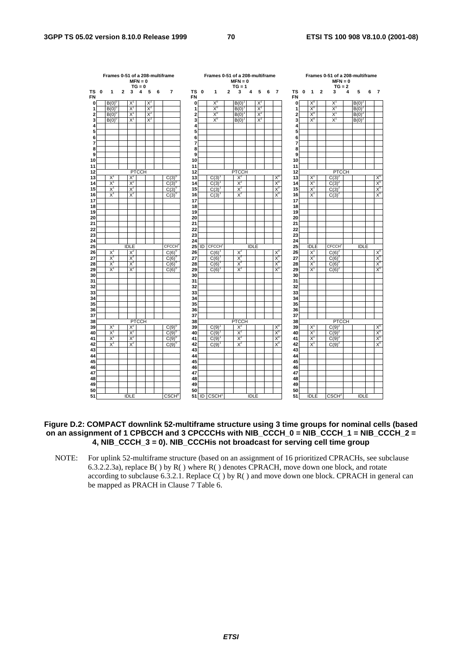|                     |   | Frames 0-51 of a 208-multiframe |   |             | $MFN = 0$<br>$TG = 0$ |       |   |                          |                     |             | Frames 0-51 of a 208-multiframe |   | $MFN = 0$<br>$TG = 1$ |             |       |   |                |                         |   |              |                | Frames 0-51 of a 208-multiframe<br>$MFN = 0$<br>$TG = 2$ |   |             |   |                   |
|---------------------|---|---------------------------------|---|-------------|-----------------------|-------|---|--------------------------|---------------------|-------------|---------------------------------|---|-----------------------|-------------|-------|---|----------------|-------------------------|---|--------------|----------------|----------------------------------------------------------|---|-------------|---|-------------------|
| тs<br>FN            | 0 | 1                               | 2 | 3           | 4                     | 5     | 6 | $\overline{\mathbf{r}}$  | ТS<br><b>FN</b>     | $\mathbf 0$ | 1                               | 2 | 3                     | 4           | 5     | 6 | $\overline{7}$ | TS<br><b>FN</b>         | 0 | $\mathbf{1}$ | $\overline{2}$ | 3                                                        | 4 | 5           | 6 | $\overline{7}$    |
| 0                   |   | $B(0)^{0}$                      |   | X,          |                       | $X^2$ |   |                          | 0                   |             | $X_0$                           |   | B(0)                  |             | $X^2$ |   |                | 0                       |   | $X^c$        |                | Χ                                                        |   | $B(0)^2$    |   |                   |
| 1                   |   | B(0)                            |   | $X^1$       |                       | $X^2$ |   |                          | 1                   |             | $X^0$                           |   | B(0)                  |             | $X^2$ |   |                | 1                       |   | $X_c$        |                | $\overline{x}$                                           |   | B(0)        |   |                   |
| 2                   |   | $B(0)^{c}$                      |   | $X^1$       |                       | $X^2$ |   |                          | $\overline{c}$      |             | $X_0$                           |   | B(0)                  |             | $X^2$ |   |                | $\overline{\mathbf{2}}$ |   | $X_0$        |                | $X^1$                                                    |   | $B(0)^2$    |   |                   |
| 3                   |   | B(0)                            |   | $X^1$       |                       | $X^2$ |   |                          | 3                   |             | $X_0$                           |   | B(0)                  |             | $X^2$ |   |                | 3                       |   | $X^0$        |                | X,                                                       |   | $B(0)^2$    |   |                   |
| 4                   |   |                                 |   |             |                       |       |   |                          | 4                   |             |                                 |   |                       |             |       |   |                | 4                       |   |              |                |                                                          |   |             |   |                   |
| 5                   |   |                                 |   |             |                       |       |   |                          | 5                   |             |                                 |   |                       |             |       |   |                | 5                       |   |              |                |                                                          |   |             |   |                   |
| 6<br>$\overline{7}$ |   |                                 |   |             |                       |       |   |                          | 6<br>$\overline{7}$ |             |                                 |   |                       |             |       |   |                | 6                       |   |              |                |                                                          |   |             |   |                   |
| 8                   |   |                                 |   |             |                       |       |   |                          | 8                   |             |                                 |   |                       |             |       |   |                | $\overline{7}$<br>8     |   |              |                |                                                          |   |             |   |                   |
| 9                   |   |                                 |   |             |                       |       |   |                          | 9                   |             |                                 |   |                       |             |       |   |                | 9                       |   |              |                |                                                          |   |             |   |                   |
| 10                  |   |                                 |   |             |                       |       |   |                          | 10                  |             |                                 |   |                       |             |       |   |                | 10                      |   |              |                |                                                          |   |             |   |                   |
| 11                  |   |                                 |   |             |                       |       |   |                          | 11                  |             |                                 |   |                       |             |       |   |                | 11                      |   |              |                |                                                          |   |             |   |                   |
| 12                  |   |                                 |   |             | <b>PTCCH</b>          |       |   |                          | 12                  |             |                                 |   | <b>PTCCH</b>          |             |       |   |                | 12                      |   |              |                | <b>PTCCH</b>                                             |   |             |   |                   |
| 13                  |   | $X^1$                           |   | $X^2$       |                       |       |   | C(3)                     | 13                  |             | C(3)                            |   | $X^2$                 |             |       |   | X,             | 13                      |   | X            |                | $C(3)$ <sup>2</sup>                                      |   |             |   | $X_0$             |
| 14                  |   | $X^1$                           |   | $X^2$       |                       |       |   | C(3)                     | 14                  |             | C(3)                            |   | $X^2$                 |             |       |   | $X_0$          | 14                      |   | $X^1$        |                | $C(3)^{2}$                                               |   |             |   | $X^0$             |
| 15                  |   | $X^1$                           |   | $X^2$       |                       |       |   | $C(3)^{6}$               | 15                  |             | C(3)                            |   | $X^2$                 |             |       |   | $X_0$          | 15                      |   | X            |                | $C(3)^{2}$                                               |   |             |   | $X_0$             |
| 16                  |   | $X^1$                           |   | $X^2$       |                       |       |   | $C(3)^{0}$               | 16                  |             | C(3)                            |   | $X^2$                 |             |       |   | $X^0$          | 16                      |   | $X^1$        |                | $C(3)^{2}$                                               |   |             |   | $X^0$             |
| 17                  |   |                                 |   |             |                       |       |   |                          | 17                  |             |                                 |   |                       |             |       |   |                | 17                      |   |              |                |                                                          |   |             |   |                   |
| 18                  |   |                                 |   |             |                       |       |   |                          | 18                  |             |                                 |   |                       |             |       |   |                | 18                      |   |              |                |                                                          |   |             |   |                   |
| 19                  |   |                                 |   |             |                       |       |   |                          | 19                  |             |                                 |   |                       |             |       |   |                | 19                      |   |              |                |                                                          |   |             |   |                   |
| 20<br>21            |   |                                 |   |             |                       |       |   |                          | 20<br>21            |             |                                 |   |                       |             |       |   |                | 20<br>21                |   |              |                |                                                          |   |             |   |                   |
| 22                  |   |                                 |   |             |                       |       |   |                          | 22                  |             |                                 |   |                       |             |       |   |                | 22                      |   |              |                |                                                          |   |             |   |                   |
| 23                  |   |                                 |   |             |                       |       |   |                          | 23                  |             |                                 |   |                       |             |       |   |                | 23                      |   |              |                |                                                          |   |             |   |                   |
| 24                  |   |                                 |   |             |                       |       |   |                          | 24                  |             |                                 |   |                       |             |       |   |                | 24                      |   |              |                |                                                          |   |             |   |                   |
| 25                  |   |                                 |   | <b>IDLE</b> |                       |       |   | <b>CFCCH</b>             | 25                  | ID          | CECCH <sub>1</sub>              |   |                       | <b>IDLE</b> |       |   |                | 25                      |   | <b>IDLE</b>  |                | <b>CECCH</b>                                             |   | <b>IDLE</b> |   |                   |
| 26                  |   | $X^1$                           |   | $X^2$       |                       |       |   | C(6)                     | 26                  |             | C(6)                            |   | $X^2$                 |             |       |   | $X_0$          | 26                      |   | $X^1$        |                | $C(6)^2$                                                 |   |             |   | $X_0$             |
| 27                  |   | $X^1$                           |   | $X^2$       |                       |       |   | $C(6)^0$                 | 27                  |             | C(6)                            |   | $X^2$                 |             |       |   | X <sup>0</sup> | 27                      |   | $X^1$        |                | $C(6)^{2}$                                               |   |             |   | X <sup>0</sup>    |
| 28                  |   | X                               |   | $X^2$       |                       |       |   | C(6)                     | 28                  |             | C(6)                            |   | $X^2$                 |             |       |   | $X_c$          | 28                      |   | X            |                | C(6)                                                     |   |             |   | $X_0$             |
| 29                  |   | $X^1$                           |   | $X^2$       |                       |       |   | C(6)                     | 29                  |             | C(6)                            |   | $X^2$                 |             |       |   | $X_0$          | 29                      |   | X            |                | C(6)                                                     |   |             |   | $X_0$             |
| 30                  |   |                                 |   |             |                       |       |   |                          | 30                  |             |                                 |   |                       |             |       |   |                | 30                      |   |              |                |                                                          |   |             |   |                   |
| 31                  |   |                                 |   |             |                       |       |   |                          | 31                  |             |                                 |   |                       |             |       |   |                | 31                      |   |              |                |                                                          |   |             |   |                   |
| 32<br>33            |   |                                 |   |             |                       |       |   |                          | 32<br>33            |             |                                 |   |                       |             |       |   |                | 32<br>33                |   |              |                |                                                          |   |             |   |                   |
| 34                  |   |                                 |   |             |                       |       |   |                          | 34                  |             |                                 |   |                       |             |       |   |                | 34                      |   |              |                |                                                          |   |             |   |                   |
| 35                  |   |                                 |   |             |                       |       |   |                          | 35                  |             |                                 |   |                       |             |       |   |                | 35                      |   |              |                |                                                          |   |             |   |                   |
| 36                  |   |                                 |   |             |                       |       |   |                          | 36                  |             |                                 |   |                       |             |       |   |                | 36                      |   |              |                |                                                          |   |             |   |                   |
| 37                  |   |                                 |   |             |                       |       |   |                          | 37                  |             |                                 |   |                       |             |       |   |                | 37                      |   |              |                |                                                          |   |             |   |                   |
| 38                  |   |                                 |   |             | <b>PTCCH</b>          |       |   |                          | 38                  |             |                                 |   | <b>PTCCH</b>          |             |       |   |                | 38                      |   |              |                | <b>PTCCH</b>                                             |   |             |   |                   |
| 39                  |   | $X^1$                           |   | $X^2$       |                       |       |   | $C(9)^{6}$               | 39                  |             | C(9)                            |   | $X^2$                 |             |       |   | X <sup>0</sup> | 39                      |   | $X^1$        |                | $C(9)^2$                                                 |   |             |   | $X_0$             |
| 40                  |   | $X^1$                           |   | $X^2$       |                       |       |   | C(9)                     | 40                  |             | C(9)                            |   | $X^2$                 |             |       |   | $X^c$          | 40                      |   | X            |                | C(9)                                                     |   |             |   | $X^0$             |
| 41                  |   | $X^1$                           |   | $X^2$       |                       |       |   | C(9)                     | 41                  |             | C(9)                            |   | $X^2$                 |             |       |   | $X_0$          | 41                      |   | $X^1$        |                | C(9)                                                     |   |             |   | $\frac{X^0}{X^0}$ |
| 42                  |   | $X^1$                           |   | $X^2$       |                       |       |   | $C(9)^{0}$               | 42                  |             | C(9)                            |   | $X^2$                 |             |       |   | $X_0$          | 42                      |   | $X^1$        |                | $C(9)^{2}$                                               |   |             |   |                   |
| 43                  |   |                                 |   |             |                       |       |   |                          | 43                  |             |                                 |   |                       |             |       |   |                | 43                      |   |              |                |                                                          |   |             |   |                   |
| 44                  |   |                                 |   |             |                       |       |   |                          | 44                  |             |                                 |   |                       |             |       |   |                | 44                      |   |              |                |                                                          |   |             |   |                   |
| 45<br>46            |   |                                 |   |             |                       |       |   |                          | 45<br>46            |             |                                 |   |                       |             |       |   |                | 45<br>46                |   |              |                |                                                          |   |             |   |                   |
| 47                  |   |                                 |   |             |                       |       |   |                          | 47                  |             |                                 |   |                       |             |       |   |                | 47                      |   |              |                |                                                          |   |             |   |                   |
| 48                  |   |                                 |   |             |                       |       |   |                          | 48                  |             |                                 |   |                       |             |       |   |                | 48                      |   |              |                |                                                          |   |             |   |                   |
| 49                  |   |                                 |   |             |                       |       |   |                          | 49                  |             |                                 |   |                       |             |       |   |                | 49                      |   |              |                |                                                          |   |             |   |                   |
| 50                  |   |                                 |   |             |                       |       |   |                          | 50                  |             |                                 |   |                       |             |       |   |                | 50                      |   |              |                |                                                          |   |             |   |                   |
| 51                  |   |                                 |   | <b>IDLE</b> |                       |       |   | <b>CSCH</b> <sup>0</sup> |                     | 51 ID       | CSCH <sub>1</sub>               |   |                       | <b>IDLE</b> |       |   |                | 51                      |   | <b>IDLE</b>  |                | CSCH <sup>2</sup>                                        |   | <b>IDLE</b> |   |                   |

### **Figure D.2: COMPACT downlink 52-multiframe structure using 3 time groups for nominal cells (based on an assignment of 1 CPBCCH and 3 CPCCCHs with NIB\_CCCH\_0 = NIB\_CCCH\_1 = NIB\_CCCH\_2 = 4, NIB\_CCCH\_3 = 0). NIB\_CCCHis not broadcast for serving cell time group**

NOTE: For uplink 52-multiframe structure (based on an assignment of 16 prioritized CPRACHs, see subclause 6.3.2.2.3a), replace B( ) by R( ) where R( ) denotes CPRACH, move down one block, and rotate according to subclause 6.3.2.1. Replace C( ) by R( ) and move down one block. CPRACH in general can be mapped as PRACH in Clause 7 Table 6.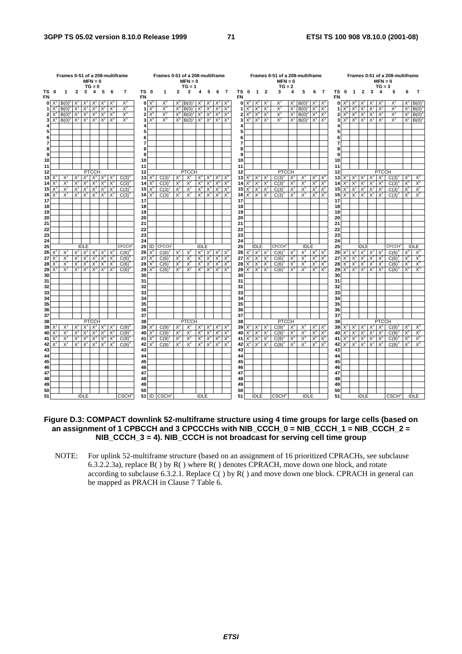|           |              | Frames 0-51 of a 208-multiframe<br>Frames 0-51 of a 208-multiframe<br>$MFN = 0$<br>$MFN = 0$<br>$TG = 0$<br>$TG = 1$<br>5<br>TS 0<br>$\overline{2}$<br>3<br>$\overline{2}$<br>3<br>4<br>6<br>$\overline{7}$<br>1<br>5<br>4<br>6<br>-7<br>1<br>FN |       |             |              |             |                |              |                 |             |              |       |              |             |       |                        |             |          |                          | Frames 0-51 of a 208-multiframe<br>$MFN = 0$<br>$TG = 2$ |                         |                                      |       |                         |                  |                           |          |                    |                | $MFN = 0$<br>$TG = 3$ | Frames 0-51 of a 208-multiframe |                         |                      |                           |             |
|-----------|--------------|--------------------------------------------------------------------------------------------------------------------------------------------------------------------------------------------------------------------------------------------------|-------|-------------|--------------|-------------|----------------|--------------|-----------------|-------------|--------------|-------|--------------|-------------|-------|------------------------|-------------|----------|--------------------------|----------------------------------------------------------|-------------------------|--------------------------------------|-------|-------------------------|------------------|---------------------------|----------|--------------------|----------------|-----------------------|---------------------------------|-------------------------|----------------------|---------------------------|-------------|
| TS 0      |              |                                                                                                                                                                                                                                                  |       |             |              |             |                |              |                 |             |              |       |              |             |       |                        |             |          | TS 0                     | $\blacksquare$                                           | $\overline{2}$          | 3                                    | 4     | 5                       | 6                | $\overline{7}$            | ΤS       | $\mathbf{0}$       | $\mathbf{1}$   | $\mathbf{2}$          | 3                               | $\overline{\mathbf{4}}$ | 5                    | 6                         |             |
| <b>FN</b> | $0 \times^3$ | B(0)                                                                                                                                                                                                                                             |       |             |              |             |                | X,           |                 | $0 \times$  | Х            | Х,    | B(0)         |             |       | Xª                     |             | FN       | $0 \times^0$             |                                                          |                         | х                                    | X     | $B(0)^2$                | $X^{\circ}$      | X.                        | FN       | $0 \times^{\circ}$ |                |                       |                                 |                         |                      | X                         | B(0)        |
|           |              | B(0)                                                                                                                                                                                                                                             | Χ     | X           | $X^2$        | Χř          | $X^2$          | $X_3$        | 1               | $X_{c}$     | $X_0$        | X,    | B(0)         | X           | $X^2$ | $X_3$                  | $X^3$       |          | $1^{\sim}$               | $X_0$                                                    | $\mathsf{X}$            | $X^1$                                | X     | B(0)                    | X                | $X^3$                     |          | $X_0$              |                | X                     | X                               | X                       | $X^2$                | $X^2$                     | B(0)        |
| 2         | X.           | B(0)                                                                                                                                                                                                                                             | $X^1$ | $X^1$       | $X^2$        | $X^2$       | $X^3$          | $X^3$        | $\mathbf{2}$    | $X^0$       | $X^0$        | $X_0$ | B(0)         | $X^2$       | $X^2$ | $X^3$ $X^3$            |             |          | $21X^0$                  | $X^0$ $X^1$                                              |                         | $X^1$                                | $X^1$ | $B(0)^2$                | $X^3$            | $\mathsf{X}^{\mathsf{s}}$ | 2        | $X^0$              | $X^0$          | $X^1$                 | $X^{\prime}$                    | $X^2$                   | $X^2$                | $X^2$                     | B(0)        |
| 3         | $X^3$        | $B(0)^{0}$                                                                                                                                                                                                                                       | $X^1$ | $X^1$       | $X^2$        | $X^2$       | $X^3$          | $X^3$        | 3               | $X^{\iota}$ | $X_0$        | $X^0$ | $B(0)^{1}$   | $X^2$       | $X^2$ | $X^3$ $X^3$            |             |          | $3 \times^0 X^0 X^1$     |                                                          |                         | $X^1$                                |       | $X^1$ B(0) <sup>2</sup> | $X^3$            | $X^3$                     | 3        | $X^0$              | $X^0$          | $X^1$                 | $X^1$                           | $X^2$                   | $X^2$                | $X^2$                     | B(0)        |
|           |              |                                                                                                                                                                                                                                                  |       |             |              |             |                |              |                 |             |              |       |              |             |       |                        |             |          |                          |                                                          |                         |                                      |       |                         |                  |                           |          |                    |                |                       |                                 |                         |                      |                           |             |
|           |              |                                                                                                                                                                                                                                                  |       |             |              |             |                |              | 5               |             |              |       |              |             |       |                        |             |          |                          |                                                          |                         |                                      |       |                         |                  |                           |          |                    |                |                       |                                 |                         |                      |                           |             |
| 6         |              |                                                                                                                                                                                                                                                  |       |             |              |             |                |              | 6               |             |              |       |              |             |       |                        |             |          |                          |                                                          |                         |                                      |       |                         |                  |                           |          |                    |                |                       |                                 |                         |                      |                           |             |
| 7         |              |                                                                                                                                                                                                                                                  |       |             |              |             |                |              |                 |             |              |       |              |             |       |                        |             |          |                          |                                                          |                         |                                      |       |                         |                  |                           |          |                    |                |                       |                                 |                         |                      |                           |             |
| 9         |              |                                                                                                                                                                                                                                                  |       |             |              |             |                |              | 8<br>9          |             |              |       |              |             |       |                        |             |          |                          |                                                          |                         |                                      |       |                         |                  |                           |          |                    |                |                       |                                 |                         |                      |                           |             |
| 10        |              |                                                                                                                                                                                                                                                  |       |             |              |             |                |              | 10              |             |              |       |              |             |       |                        |             | 10       |                          |                                                          |                         |                                      |       |                         |                  |                           | 10       |                    |                |                       |                                 |                         |                      |                           |             |
| 11        |              |                                                                                                                                                                                                                                                  |       |             |              |             |                |              | 11              |             |              |       |              |             |       |                        |             | 11       |                          |                                                          |                         |                                      |       |                         |                  |                           | 11       |                    |                |                       |                                 |                         |                      |                           |             |
| 12        |              |                                                                                                                                                                                                                                                  |       |             | <b>PTCCH</b> |             |                |              | 12              |             |              |       | <b>PTCCH</b> |             |       |                        |             | 12       |                          |                                                          |                         | <b>PTCCH</b>                         |       |                         |                  |                           | 12       |                    |                |                       |                                 | <b>PTCCH</b>            |                      |                           |             |
| 13        | X            | X'                                                                                                                                                                                                                                               | X     | $X^2$       | $X^3$        | $X^3$ $X^3$ |                | C(3)         | 13 <sup>1</sup> | $X^c$       | C(3)         | $X^2$ | $X^2$        | $X^3$       | $X^3$ | $X^0$ $X^0$            |             |          | $13$ $X'$ $X'$ $X$       |                                                          |                         | $C(3)^2$                             | $X^3$ | $X^3$                   | $X^{\circ}$      | $X^{\prime}$              | 13       | $X^1$              | $X^{\perp}$    | $X^2$                 | $X^2$                           | $X^2$                   | $C(3)^{3}$           | $X^{\circ}$               | X,          |
| 14        |              | X                                                                                                                                                                                                                                                | X.    | $X^2$       | $X^3$        | $X^3$       | X              | C(3)         | 14              | X,          | C(3)         | $X^2$ | $X^2$        | $X^3$       | $X^3$ | $X^0$                  | X'          | 14       | $X^1$                    | $X^{\prime}$                                             | ΙX                      | C(3)                                 | $X^2$ | $X^3$                   | X"               | X,                        | 14       |                    | X              | $X^2$                 | $X^2$                           | X                       | C(3)                 | X,                        | $X_0$       |
| 15        |              | $X^1$                                                                                                                                                                                                                                            | $X^2$ | $X^2$       | $X^3$        | $X^3$       | $X^3$          | C(3)         |                 | 15 $X^0$    | C(3)         | $X^2$ | $X^2$        | $X^3$       | $X^3$ | $X^0$                  | $X^0$       |          | $15\overline{X}$         | $X^1$                                                    | $\mathsf{I} \mathsf{X}$ | C(3)                                 | $X^3$ | $X^3$                   | $X^0$            | $X^0$                     | 15       | $X^1$              | $X^1$          | $X^2$                 | $X^2$                           | X.                      | C(3)                 | $X^0$                     | $X_0$       |
| 16        | X            | $X^1$                                                                                                                                                                                                                                            | $X^2$ | $X^2$       | $X^3$        | $X^3$       | $X^3$          | $C(3)^\circ$ | 16              | $X^0$       | $C(3)^{1}$   | $X^2$ | $X^2$        | $X^3$       | $X^3$ | $X0$ $X0$              |             |          | 16 $X^1$ $X^1$ $X^1$     |                                                          |                         | $C(3)^{2}$                           | $X^3$ | $X^3$                   | $X_0$            | $X^0$                     | 16       |                    | $X^1$ $X^1$    | $X^2$                 | $X^2$                           | $X^2$                   | $C(3)^3$             | $X_0$                     | $X_0$       |
| 17        |              |                                                                                                                                                                                                                                                  |       |             |              |             |                |              | 17              |             |              |       |              |             |       |                        |             | 17       |                          |                                                          |                         |                                      |       |                         |                  |                           | 17       |                    |                |                       |                                 |                         |                      |                           |             |
| 18        |              |                                                                                                                                                                                                                                                  |       |             |              |             |                |              | 18              |             |              |       |              |             |       |                        |             | 18       |                          |                                                          |                         |                                      |       |                         |                  |                           | 18       |                    |                |                       |                                 |                         |                      |                           |             |
| 19        |              |                                                                                                                                                                                                                                                  |       |             |              |             |                |              | 19              |             |              |       |              |             |       |                        |             | 19       |                          |                                                          |                         |                                      |       |                         |                  |                           | 19       |                    |                |                       |                                 |                         |                      |                           |             |
| 20        |              |                                                                                                                                                                                                                                                  |       |             |              |             |                |              | 20              |             |              |       |              |             |       |                        |             | 20       |                          |                                                          |                         |                                      |       |                         |                  |                           | 20       |                    |                |                       |                                 |                         |                      |                           |             |
| 21<br>22  |              |                                                                                                                                                                                                                                                  |       |             |              |             |                |              | 21<br>22        |             |              |       |              |             |       |                        |             | 21<br>22 |                          |                                                          |                         |                                      |       |                         |                  |                           | 21<br>22 |                    |                |                       |                                 |                         |                      |                           |             |
| 23        |              |                                                                                                                                                                                                                                                  |       |             |              |             |                |              | 23              |             |              |       |              |             |       |                        |             | 23       |                          |                                                          |                         |                                      |       |                         |                  |                           | 23       |                    |                |                       |                                 |                         |                      |                           |             |
| 24        |              |                                                                                                                                                                                                                                                  |       |             |              |             |                |              | 24              |             |              |       |              |             |       |                        |             | 24       |                          |                                                          |                         |                                      |       |                         |                  |                           | 24       |                    |                |                       |                                 |                         |                      |                           |             |
| 25        |              |                                                                                                                                                                                                                                                  |       | <b>IDLE</b> |              |             |                | <b>CECCH</b> | 25              | ID          | <b>CECCH</b> |       |              | <b>IDLE</b> |       |                        |             | 25       |                          | <b>IDLE</b>                                              |                         | CFCCH <sup>2</sup>                   |       | <b>IDLE</b>             |                  |                           | 25       |                    |                | <b>IDLE</b>           |                                 |                         | <b>CECCH</b>         |                           | <b>IDLE</b> |
| 26        |              | $X^1$                                                                                                                                                                                                                                            |       | $X^2$       | $X^3$        | $X^3$ $X^3$ |                | C(6)         | 26              | $X^U$       | C(6)         | $X^2$ | $X^2$        | $X^3$       | $X^3$ | $X^0$ $X^0$            |             |          | $26 \times$              | $X^1$ X                                                  |                         | C(6)                                 | $X^3$ | $X_3$                   | $X^0$            | $X^{\mathfrak{c}}$        | 26       | $X^1$              | X              | $X^2$                 | $X^2$                           | X.                      | $C(6)^3$             |                           | $X^{\iota}$ |
| 27        |              | $X^1$                                                                                                                                                                                                                                            | $X^2$ | $X^2$       | $X^3$        | $X^3$       | $X^3$          | C(6)         | 27              | $X^U$       | C(6)         | $X^2$ | $X^2$        | $X^3$       | $X^3$ | $\overline{X}^0$ $X^0$ |             | 27       | X                        |                                                          | $X^1$ $X^1$             | $C(6)^2$                             | $X^3$ | $X^3$                   | $X^{\mathrm{o}}$ | $X^0$                     | 27       | X                  | $X^1$          | $X^2$                 | $X^2$                           | $X^2$                   | $C(6)$ <sup>-1</sup> | $X^0$                     | $X^0$       |
| 28        | $\times$     | $X^1$                                                                                                                                                                                                                                            | $X^2$ | $X^2$       | $X_3$        | $X^3$       | $X^3$          | C(6)         | 28              | $X^c$       | C(6)         | $X^2$ | $X^2$        | $X^3$       | $X_3$ | $X_0$                  | $X^{\circ}$ |          | $28 \times$ <sup>1</sup> | $XT$ $XT$                                                |                         | $C(6)$ <sup><math>\circ</math></sup> | $X^3$ | $X^3$                   | $X_0$            | $X_0$                     | 28       | $\mathsf{X}^1$     | $X^1$          | $X^2$                 | $X^2$                           | $X^2$                   | C(6)                 | $X^0$                     | $X_0$       |
| 29        | $X^1$        | $X^1$                                                                                                                                                                                                                                            | $X^2$ | $X^2$       | $X^3$        | $X^3$       | $\mathsf{X}^3$ | $C(6)^{6}$   | 29              | $X^0$       | C(6)         | $X^2$ | $X^2$        | $X_3$       | $X_3$ | $X_0$ $X_0$            |             |          | $29 \times$ <sup>1</sup> | $X^1$ $\overline{X}^1$                                   |                         | $C(6)^2$                             | $X^3$ | $X_3$                   | $X^0$            | $X^0$                     | 29       | $X^1$              | $X^1$          | $X^2$                 | $X^2$                           | $X^2$                   | $C(6)^3$             | $X_0$                     | $X_0$       |
| 30        |              |                                                                                                                                                                                                                                                  |       |             |              |             |                |              | 30              |             |              |       |              |             |       |                        |             | 30       |                          |                                                          |                         |                                      |       |                         |                  |                           | 30       |                    |                |                       |                                 |                         |                      |                           |             |
| 31        |              |                                                                                                                                                                                                                                                  |       |             |              |             |                |              | 31<br>32        |             |              |       |              |             |       |                        |             | 31<br>32 |                          |                                                          |                         |                                      |       |                         |                  |                           | 31<br>32 |                    |                |                       |                                 |                         |                      |                           |             |
| 32<br>33  |              |                                                                                                                                                                                                                                                  |       |             |              |             |                |              | 33              |             |              |       |              |             |       |                        |             | 33       |                          |                                                          |                         |                                      |       |                         |                  |                           | 33       |                    |                |                       |                                 |                         |                      |                           |             |
| 34        |              |                                                                                                                                                                                                                                                  |       |             |              |             |                |              | 34              |             |              |       |              |             |       |                        |             | 34       |                          |                                                          |                         |                                      |       |                         |                  |                           | 34       |                    |                |                       |                                 |                         |                      |                           |             |
| 35        |              |                                                                                                                                                                                                                                                  |       |             |              |             |                |              | 35              |             |              |       |              |             |       |                        |             | 35       |                          |                                                          |                         |                                      |       |                         |                  |                           | 35       |                    |                |                       |                                 |                         |                      |                           |             |
| 36        |              |                                                                                                                                                                                                                                                  |       |             |              |             |                |              | 36              |             |              |       |              |             |       |                        |             | 36       |                          |                                                          |                         |                                      |       |                         |                  |                           | 36       |                    |                |                       |                                 |                         |                      |                           |             |
| 37        |              |                                                                                                                                                                                                                                                  |       |             |              |             |                |              | 37              |             |              |       |              |             |       |                        |             | 37       |                          |                                                          |                         |                                      |       |                         |                  |                           | 37       |                    |                |                       |                                 |                         |                      |                           |             |
| 38        |              |                                                                                                                                                                                                                                                  |       |             | <b>PTCCH</b> |             |                |              | 38              |             |              |       | <b>PTCCH</b> |             |       |                        |             | 38       |                          |                                                          |                         | <b>PTCCH</b>                         |       |                         |                  |                           | 38       |                    |                |                       |                                 | <b>PTCCH</b>            |                      |                           |             |
| 39        |              | $X^1$                                                                                                                                                                                                                                            | $X^2$ | $x^2$       | $X^3$        |             | $X^3$ $X^3$    | C(9)         | 39              |             | C(9)         | $X^2$ | $X^2$        | $X^3$       |       | $X^3$ $X^0$ $X'$       |             |          | $39 \times$              | $X^1$ $X$                                                |                         | $C(9)^2$                             | $X^3$ | $X^3$                   | $X^0$            | X                         | 39       | $X^1$              | $\mathsf{X}^1$ | $X^2$                 | $X^2$                           | $X^2$                   | $C(9)^3$             | $X^0$                     | X,          |
| 40        |              | $X^1$                                                                                                                                                                                                                                            | $X^2$ | $X^2$       | $X^3$        | $X^3$       | $X^3$          | C(9)         |                 | 40 $X^0$    | C(9)         | $X^2$ | $X^2$        | $X^3$       | $X^3$ | $X^0$                  | $X^{\circ}$ |          | $40 \times$              | $X^1$ $X^1$                                              |                         | $C(9)^2$                             | $X^3$ | $X^3$                   | $X^0$            | $X^{\mathsf{C}}$          | 40       | $X^1$              | $X^1$          | $X^2$                 | $X^2$                           | X                       | $C(9)^3$             | $X^0$                     | $X_0$       |
| 41        | X            | X                                                                                                                                                                                                                                                | X     | $X^2$       | $X^3$        | $X^3$       | $X^3$          | $C(9)^{6}$   | 41              | $X^0$       | C(9)         | $X^2$ | $X^2$        | $X^3$       | $X^3$ | $X^0$                  | $X^{\iota}$ |          | 41 $X^1$                 | $X^1$ $X^1$                                              |                         | $C(9)^2$                             | $X^3$ | $X^3$                   | $X^{\iota}$      | $X^{\mathsf{C}}$          | 41       | $\mathsf{X}^1$     | $X^1$          | $X^2$                 | $X^2$                           | $X^2$                   | C(9)                 | $\mathsf{X}^{\mathsf{u}}$ | $X_0$       |
| 42<br>43  |              | X                                                                                                                                                                                                                                                | $X^2$ |             | $X^2$ $X^3$  | $X_3$       | $X^3$          | C(9)         | 42<br>43        | $X^0$       | C(9)         | $X^2$ | $X^2$        | $X^3$       | $X_3$ | $X_0$ $X_0$            |             | 43       | 42 $X^1$                 | $X^1$                                                    | TX'                     | $C(9)^2$                             | $X^3$ | $X^3$                   | $X_0$            | $X_0$                     | 42<br>43 | $X^1$              | $X^1$          | $X^2$                 | $X^2$                           | $X^2$                   | $C(9)^3$             | $X_0$                     | $X_0$       |
| 44        |              |                                                                                                                                                                                                                                                  |       |             |              |             |                |              | 44              |             |              |       |              |             |       |                        |             | 44       |                          |                                                          |                         |                                      |       |                         |                  |                           | 44       |                    |                |                       |                                 |                         |                      |                           |             |
| 45        |              |                                                                                                                                                                                                                                                  |       |             |              |             |                |              | 45              |             |              |       |              |             |       |                        |             | 45       |                          |                                                          |                         |                                      |       |                         |                  |                           | 45       |                    |                |                       |                                 |                         |                      |                           |             |
| 46        |              |                                                                                                                                                                                                                                                  |       |             |              |             |                |              | 46              |             |              |       |              |             |       |                        |             | 46       |                          |                                                          |                         |                                      |       |                         |                  |                           | 46       |                    |                |                       |                                 |                         |                      |                           |             |
| 47        |              |                                                                                                                                                                                                                                                  |       |             |              |             |                |              | 47              |             |              |       |              |             |       |                        |             | 47       |                          |                                                          |                         |                                      |       |                         |                  |                           | 47       |                    |                |                       |                                 |                         |                      |                           |             |
| 48        |              |                                                                                                                                                                                                                                                  |       |             |              |             |                |              | 48              |             |              |       |              |             |       |                        |             | 48       |                          |                                                          |                         |                                      |       |                         |                  |                           | 48       |                    |                |                       |                                 |                         |                      |                           |             |
| 49        |              |                                                                                                                                                                                                                                                  |       |             |              |             |                |              | 49              |             |              |       |              |             |       |                        |             | 49       |                          |                                                          |                         |                                      |       |                         |                  |                           | 49       |                    |                |                       |                                 |                         |                      |                           |             |
| 50        |              |                                                                                                                                                                                                                                                  |       |             |              |             |                |              | 50              |             |              |       |              |             |       |                        |             | 50       |                          |                                                          |                         |                                      |       |                         |                  |                           | 50       |                    |                |                       |                                 |                         |                      |                           |             |
| 51        |              |                                                                                                                                                                                                                                                  |       | <b>IDLE</b> |              |             |                | <b>CSCH</b>  |                 |             | 51 ID CSCH   |       |              | <b>IDLE</b> |       |                        |             | 51       |                          | <b>IDLE</b>                                              |                         | <b>CSCH<sup>2</sup></b>              |       | <b>IDLE</b>             |                  |                           | 51       |                    |                | <b>IDLE</b>           |                                 |                         | CSCH <sup>3</sup>    |                           | <b>IDLE</b> |

### **Figure D.3: COMPACT downlink 52-multiframe structure using 4 time groups for large cells (based on an assignment of 1 CPBCCH and 3 CPCCCHs with NIB\_CCCH\_0 = NIB\_CCCH\_1 = NIB\_CCCH\_2 = NIB\_CCCH\_3 = 4). NIB\_CCCH is not broadcast for serving cell time group**

NOTE: For uplink 52-multiframe structure (based on an assignment of 16 prioritized CPRACHs, see subclause 6.3.2.2.3a), replace B( ) by R( ) where R( ) denotes CPRACH, move down one block, and rotate according to subclause 6.3.2.1. Replace C( ) by R( ) and move down one block. CPRACH in general can be mapped as PRACH in Clause 7 Table 6.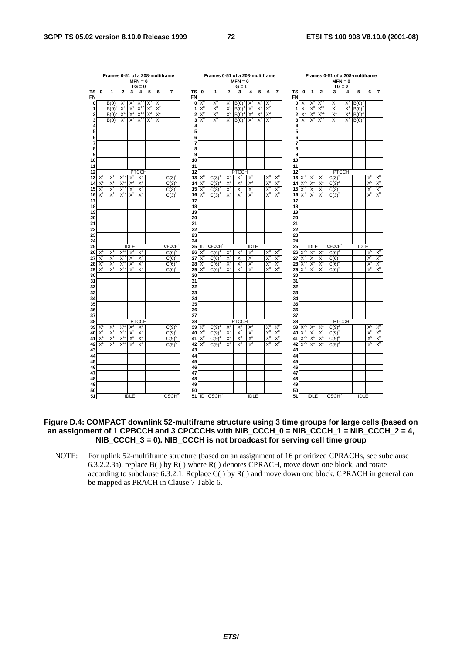|                     |                         | Frames 0-51 of a 208-multiframe |                   |                |                       |       |       |                           |                   |                | Frames 0-51 of a 208-multiframe |            |                       |                |       |                |                           |                 |                |             |              | Frames 0-51 of a 208-multiframe |       |             |                           |                             |
|---------------------|-------------------------|---------------------------------|-------------------|----------------|-----------------------|-------|-------|---------------------------|-------------------|----------------|---------------------------------|------------|-----------------------|----------------|-------|----------------|---------------------------|-----------------|----------------|-------------|--------------|---------------------------------|-------|-------------|---------------------------|-----------------------------|
|                     |                         |                                 |                   |                | $MFN = 0$<br>$TG = 0$ |       |       |                           |                   |                |                                 |            | $MFN = 0$<br>$TG = 1$ |                |       |                |                           |                 |                |             |              | $MFN = 0$<br>$TG = 2$           |       |             |                           |                             |
| ΤS<br><b>FN</b>     | $\bf{0}$                | 1                               | 2                 | 3              | 4                     | 5     | 6     | 7                         | TS 0<br><b>FN</b> |                | 1                               | 2          | 3                     | 4              | 5     | 6              | 7                         | TS<br><b>FN</b> | 0              | 1           | $\mathbf{2}$ | 3                               | 4     | 5           | 6                         | 7                           |
| 0                   |                         | B(0)                            | X                 | X,             |                       |       |       |                           | 0                 |                | $X^0$                           |            | B(0)                  |                | X     |                |                           | 0               | $X^{\circ}$    | Xº          |              | $X^1$                           | X'    | B(0)        |                           |                             |
| 1                   |                         | B(0)                            | Χ                 | Χ              | X                     | Χ     | X     |                           | 1                 | $X^0$          | $X_0$                           | X,         | B(0)                  | $X^2$          | $X^2$ | X              |                           | 1               | $X^c$          | X,          | X,           | $X^1$                           | X     | B(0)        |                           |                             |
| $\overline{2}$      |                         | B(0)                            | X                 | $X^1$          | $X^{\tau}$            | $X^2$ | $X^2$ |                           | $\overline{2}$    | $X_0$          | $\mathsf{X}^{\mathsf{o}}$       | $X_0$      | B(0)                  | $X^2$          | $X^2$ | $X^2$          |                           | $\overline{2}$  | $X_0$          | $X_0$       | $X_0$        | $X^1$                           | $X^1$ | B(0)        |                           |                             |
| 3                   |                         | B(0)                            | X                 | X,             | Χ,                    | Y.    | $X^2$ |                           | 3                 | $X^0$          | $X_0$                           | $X_0$      | $\overline{B}(0)$     | $X^2$          | $X^2$ | $X^2$          |                           | 3               | $X^0$          | $X_0$       | $X_0$        | $X^1$                           | $X^1$ | $B(0)^2$    |                           |                             |
| 4                   |                         |                                 |                   |                |                       |       |       |                           | 4                 |                |                                 |            |                       |                |       |                |                           | 4               |                |             |              |                                 |       |             |                           |                             |
| 5                   |                         |                                 |                   |                |                       |       |       |                           | 5                 |                |                                 |            |                       |                |       |                |                           | 5               |                |             |              |                                 |       |             |                           |                             |
| 6<br>$\overline{7}$ |                         |                                 |                   |                |                       |       |       |                           | 6<br>7            |                |                                 |            |                       |                |       |                |                           | 6<br>7          |                |             |              |                                 |       |             |                           |                             |
| 8                   |                         |                                 |                   |                |                       |       |       |                           | 8                 |                |                                 |            |                       |                |       |                |                           | 8               |                |             |              |                                 |       |             |                           |                             |
| 9                   |                         |                                 |                   |                |                       |       |       |                           | 9                 |                |                                 |            |                       |                |       |                |                           | 9               |                |             |              |                                 |       |             |                           |                             |
| 10                  |                         |                                 |                   |                |                       |       |       |                           | 10                |                |                                 |            |                       |                |       |                |                           | 10              |                |             |              |                                 |       |             |                           |                             |
| 11                  |                         |                                 |                   |                |                       |       |       |                           | 11                |                |                                 |            |                       |                |       |                |                           | 11              |                |             |              |                                 |       |             |                           |                             |
| 12                  |                         |                                 |                   |                | <b>PTCCH</b>          |       |       |                           | 12                |                |                                 |            | <b>PTCCH</b>          |                |       |                |                           | 12              |                |             |              | <b>PTCCH</b>                    |       |             |                           |                             |
| 13                  | X                       | X                               | $X^{12}$          | $X^2$          | $X^2$                 |       |       | C(3)                      | 13                | $X^{\circ}$    | C(3)                            | $X^2$      | $X^2$                 | X              |       | $X^U$          | $X^{\mathsf{C}}$          | 13              |                | $X^1$       | $X^1$        | C(3)                            |       |             | $X^G$                     | X                           |
| 14                  | X                       | $X^1$                           | $X^1$             | $X^2$          | X                     |       |       | C(3)                      | 14                | $X^U$          | C(3)                            | $X^2$      | $X^2$                 | $X^2$          |       | $X_0$          | $X_c$                     | 14              | $X^c$          | Χ           | Χ            | C(3)                            |       |             | Χ                         | $X^{\mathfrak{c}}$          |
| 15                  | X                       | X,                              | $X^{12}$          | $X^2$          | $X^2$                 |       |       | C(3)                      | 15                | $X_0$          | C(3)                            | $X^2$      | $X^2$                 | $X^2$          |       | $X_0$          | $X_c$                     | 15              | $X_0$          | X,          | X            | C(3)                            |       |             | $X_0$                     | $X_0$                       |
| 16                  | $\overline{\mathsf{x}}$ | $X^1$                           | $X^{12}$          | $X^2$          | $X^2$                 |       |       | $C(3)^{0}$                | 16                | $X^0$          | C(3)                            | $X^2$      | $X^2$                 | $X^2$          |       | X <sub>0</sub> | $X^C$                     | 16              | X <sup>0</sup> | $X^1$       | $X^1$        | $C(3)^2$                        |       |             | X <sup>0</sup>            | X <sup>0</sup>              |
| 17                  |                         |                                 |                   |                |                       |       |       |                           | 17                |                |                                 |            |                       |                |       |                |                           | 17              |                |             |              |                                 |       |             |                           |                             |
| 18<br>19            |                         |                                 |                   |                |                       |       |       |                           | 18<br>19          |                |                                 |            |                       |                |       |                |                           | 18<br>19        |                |             |              |                                 |       |             |                           |                             |
| 20                  |                         |                                 |                   |                |                       |       |       |                           | 20                |                |                                 |            |                       |                |       |                |                           | 20              |                |             |              |                                 |       |             |                           |                             |
| 21                  |                         |                                 |                   |                |                       |       |       |                           | 21                |                |                                 |            |                       |                |       |                |                           | 21              |                |             |              |                                 |       |             |                           |                             |
| 22                  |                         |                                 |                   |                |                       |       |       |                           | 22                |                |                                 |            |                       |                |       |                |                           | 22              |                |             |              |                                 |       |             |                           |                             |
| 23                  |                         |                                 |                   |                |                       |       |       |                           | 23                |                |                                 |            |                       |                |       |                |                           | 23              |                |             |              |                                 |       |             |                           |                             |
| 24                  |                         |                                 |                   |                |                       |       |       |                           | 24                |                |                                 |            |                       |                |       |                |                           | 24              |                |             |              |                                 |       |             |                           |                             |
| 25                  |                         |                                 |                   | <b>IDLE</b>    |                       |       |       | <b>CFCCH</b> <sup>®</sup> | 25                | ID             | <b>CFCCH</b>                    |            |                       | <b>IDLE</b>    |       |                |                           | 25              |                | <b>IDLE</b> |              | CFCCH <sup>2</sup>              |       | <b>IDLE</b> |                           |                             |
| 26                  | X                       | X                               |                   | $X^2$          |                       |       |       | C(6)                      | 26                | $X^0$          | C(6)                            | $X^2$      | $X^2$                 | $X^2$          |       | $X^0$          | $X^0$                     | 26              |                | $X^1$       | X            | C(6)                            |       |             | $X^{\mathfrak{c}}$        | $X^{\mathfrak{c}}$          |
| 27                  | X                       | $X^1$                           | $X^{12}$          | $X^2$          | $X^2$                 |       |       | C(6)                      | 27                | $X^0$          | C(6)                            | $X^2$      | $X^2$                 | $X^2$          |       | $X_0$          | $X^C$                     | 27              | $X^0$          | $X^1$       | X            | C(6)                            |       |             | X                         | $X^C$                       |
| 28                  | X<br>X                  | $X^1$<br>$X^1$                  | $X^{12}$<br>$X^1$ | $X^2$<br>$X^2$ | $X^2$<br>Χř           |       |       | $C(6)^6$                  | 28                | $X^{\circ}$    | C(6)                            | $X^2$      | $X^2$<br>$X^2$        | $X^2$          |       | $X_0$<br>$X_0$ | $X^c$                     | 28              | $X_0$          | X,<br>X     | X            | C(6)                            |       |             | $X^c$<br>$X^{\mathsf{c}}$ | $X_0$<br>$X^{\mathfrak{c}}$ |
| 29<br>30            |                         |                                 |                   |                |                       |       |       | C(6)                      | 29<br>30          | $X^0$          | C(6)                            | Χř         |                       | $X^2$          |       |                | $X^{\circ}$               | 29<br>30        | $X^{\circ}$    |             | X'           | C(6)                            |       |             |                           |                             |
| 31                  |                         |                                 |                   |                |                       |       |       |                           | 31                |                |                                 |            |                       |                |       |                |                           | 31              |                |             |              |                                 |       |             |                           |                             |
| 32                  |                         |                                 |                   |                |                       |       |       |                           | 32                |                |                                 |            |                       |                |       |                |                           | 32              |                |             |              |                                 |       |             |                           |                             |
| 33                  |                         |                                 |                   |                |                       |       |       |                           | 33                |                |                                 |            |                       |                |       |                |                           | 33              |                |             |              |                                 |       |             |                           |                             |
| 34                  |                         |                                 |                   |                |                       |       |       |                           | 34                |                |                                 |            |                       |                |       |                |                           | 34              |                |             |              |                                 |       |             |                           |                             |
| 35                  |                         |                                 |                   |                |                       |       |       |                           | 35                |                |                                 |            |                       |                |       |                |                           | 35              |                |             |              |                                 |       |             |                           |                             |
| 36                  |                         |                                 |                   |                |                       |       |       |                           | 36                |                |                                 |            |                       |                |       |                |                           | 36              |                |             |              |                                 |       |             |                           |                             |
| 37                  |                         |                                 |                   |                |                       |       |       |                           | 37                |                |                                 |            |                       |                |       |                |                           | 37              |                |             |              |                                 |       |             |                           |                             |
| 38                  |                         |                                 | $X^{12}$          |                | <b>PTCCH</b>          |       |       |                           | 38                |                |                                 |            | <b>PTCCH</b>          |                |       |                |                           | 38              |                |             |              | <b>PTCCH</b>                    |       |             |                           |                             |
| 39<br>40            | $X^1$<br>X              | $X^1$<br>$X^1$                  | X,                | $X^2$<br>$X^2$ | $X^2$<br>X            |       |       | $C(9)^{6}$<br>C(9)        | 39<br>40          | $X^0$<br>$X^U$ | C(9)<br>C(9)                    | $X^2$<br>X | $X^2$<br>$X^2$        | $X^2$<br>$X^2$ |       | $X^0$<br>$X_0$ | $X^G$<br>$X^{\mathsf{C}}$ | 39<br>40        | $X_0$          | $X^1$<br>Χ  | $X^1$<br>Χ   | C(9)<br>C(9)                    |       |             | $X^0$<br>X,               | $X^G$<br>$X^G$              |
| 41                  | X                       | $X^1$                           | $X^{12}$          | $X^2$          | $X^2$                 |       |       | C(9)                      | 41                | $X^0$          | C(9)                            | $X^2$      | $X^2$                 | $X^2$          |       | $X^0$          | $X^c$                     | 41              | $X_0$          | X           | X,           | C(9)                            |       |             | $X^c$                     | $X^c$                       |
| 42                  | $\overline{X}$          | $X^1$                           | $X^{12}$          | $X^2$          | $X^2$                 |       |       | $C(9)^{6}$                | 42                | $X^0$          | C(9)                            | $X^2$      | $X^2$                 | $X^2$          |       | $X^0$          | $X_c$                     | 42              |                | $X^1$       | X,           | $C(9)^2$                        |       |             | $X^0$                     | $X^{\mathsf{c}}$            |
| 43                  |                         |                                 |                   |                |                       |       |       |                           | 43                |                |                                 |            |                       |                |       |                |                           | 43              |                |             |              |                                 |       |             |                           |                             |
| 44                  |                         |                                 |                   |                |                       |       |       |                           | 44                |                |                                 |            |                       |                |       |                |                           | 44              |                |             |              |                                 |       |             |                           |                             |
| 45                  |                         |                                 |                   |                |                       |       |       |                           | 45                |                |                                 |            |                       |                |       |                |                           | 45              |                |             |              |                                 |       |             |                           |                             |
| 46                  |                         |                                 |                   |                |                       |       |       |                           | 46                |                |                                 |            |                       |                |       |                |                           | 46              |                |             |              |                                 |       |             |                           |                             |
| 47                  |                         |                                 |                   |                |                       |       |       |                           | 47                |                |                                 |            |                       |                |       |                |                           | 47              |                |             |              |                                 |       |             |                           |                             |
| 48                  |                         |                                 |                   |                |                       |       |       |                           | 48                |                |                                 |            |                       |                |       |                |                           | 48              |                |             |              |                                 |       |             |                           |                             |
| 49                  |                         |                                 |                   |                |                       |       |       |                           | 49<br>50          |                |                                 |            |                       |                |       |                |                           | 49              |                |             |              |                                 |       |             |                           |                             |
| 50<br>51            |                         |                                 |                   | <b>IDLE</b>    |                       |       |       | <b>CSCH</b> <sup>0</sup>  |                   |                | 51 ID CSCH                      |            |                       | <b>IDLE</b>    |       |                |                           | 50<br>51        |                | <b>IDLE</b> |              | CSCH <sup>2</sup>               |       | <b>IDLE</b> |                           |                             |
|                     |                         |                                 |                   |                |                       |       |       |                           |                   |                |                                 |            |                       |                |       |                |                           |                 |                |             |              |                                 |       |             |                           |                             |

**Figure D.4: COMPACT downlink 52-multiframe structure using 3 time groups for large cells (based on**  an assignment of 1 CPBCCH and 3 CPCCCHs with NIB\_CCCH\_0 = NIB\_CCCH\_1 = NIB\_CCCH\_2 = 4, **NIB\_CCCH\_3 = 0). NIB\_CCCH is not broadcast for serving cell time group** 

NOTE: For uplink 52-multiframe structure (based on an assignment of 16 prioritized CPRACHs, see subclause 6.3.2.2.3a), replace B( ) by R( ) where R( ) denotes CPRACH, move down one block, and rotate according to subclause 6.3.2.1. Replace C( ) by R( ) and move down one block. CPRACH in general can be mapped as PRACH in Clause 7 Table 6.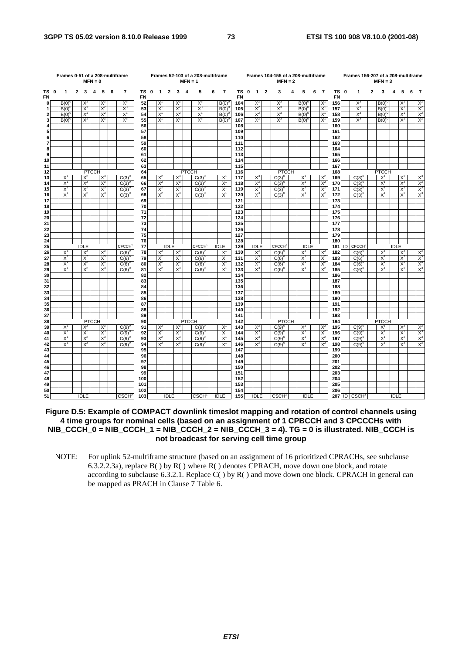|                   | Frames 0-51 of a 208-multiframe<br>$MFN = 0$<br>$\overline{2}$<br>3<br>$\overline{4}$<br>5<br>$\mathbf{1}$<br>6 |                |  |                |              |                |  |                   |                 |             |                |                |                | $MFN = 1$    | Frames 52-103 of a 208-multiframe |   |                |                        |              |                |                | Frames 104-155 of a 208-multiframe<br>$MFN = 2$ |   |                |   |                |                   | Frames 156-207 of a 208-multiframe |              | $MFN = 3$      |             |                |   |                |
|-------------------|-----------------------------------------------------------------------------------------------------------------|----------------|--|----------------|--------------|----------------|--|-------------------|-----------------|-------------|----------------|----------------|----------------|--------------|-----------------------------------|---|----------------|------------------------|--------------|----------------|----------------|-------------------------------------------------|---|----------------|---|----------------|-------------------|------------------------------------|--------------|----------------|-------------|----------------|---|----------------|
| TS 0<br><b>FN</b> |                                                                                                                 |                |  |                |              |                |  | $\overline{7}$    | TS<br><b>FN</b> | $\mathbf 0$ | $\overline{1}$ | $\overline{2}$ | 3 <sub>4</sub> |              | 5                                 | 6 | $\overline{7}$ | <b>TS</b><br><b>FN</b> | $\mathbf{0}$ | $\overline{1}$ | $\overline{2}$ | 3                                               | 4 | 5              | 6 | $\overline{7}$ | TS 0<br><b>FN</b> | 1                                  | $\mathbf{2}$ | 3              | 4           | 5              | 6 | $\overline{7}$ |
| 0                 |                                                                                                                 | B(0)           |  | X              |              | X              |  | $X^3$             | 52              |             | $X^1$          |                | $X^2$          |              | $X^3$                             |   | B(0)           | 104                    |              | $X^2$          |                | $X^3$                                           |   | B(0)           |   | X              | 156               | $X^3$                              |              | B(0)           |             | $X^1$          |   | $X^2$          |
| 1                 |                                                                                                                 | $B(0)^t$       |  | X              |              | $X^2$          |  | $X^3$             | 53              |             | $X^1$          |                | $X^2$          |              | $X^3$                             |   | B(0)           | 105                    |              | $X^2$          |                | $X^3$                                           |   | B(0)           |   | $X^1$          | 157               | $X^3$                              |              | B(0)           |             | $X^1$          |   | $X^2$          |
| 2                 |                                                                                                                 | B(0)           |  | $X^1$          |              | $X^2$          |  | $X_3$             | 54              |             | $X^{\prime}$   |                | $X^2$          |              | $X^3$                             |   | B(0)           | 106                    |              | $X^2$          |                | $X^3$                                           |   | B(0)           |   | $X^1$          | 158               | $X_3$                              |              | B(0)           |             | $X^1$          |   | $X^2$          |
| 3<br>4            |                                                                                                                 | $B(0)^{6}$     |  | $X^1$          |              | $X^2$          |  | $X^3$             | 55<br>56        |             | $X^1$          |                | $X^2$          |              | $X^3$                             |   | B(0)           | 107<br>108             |              | $X^2$          |                | $X^3$                                           |   | $B(0)^6$       |   | $X^1$          | 159<br>160        | $X^3$                              |              | B(0)           |             | $X^1$          |   | $X^2$          |
| 5                 |                                                                                                                 |                |  |                |              |                |  |                   | 57              |             |                |                |                |              |                                   |   |                | 109                    |              |                |                |                                                 |   |                |   |                | 161               |                                    |              |                |             |                |   |                |
| 6                 |                                                                                                                 |                |  |                |              |                |  |                   | 58              |             |                |                |                |              |                                   |   |                | 110                    |              |                |                |                                                 |   |                |   |                | 162               |                                    |              |                |             |                |   |                |
| $\overline{7}$    |                                                                                                                 |                |  |                |              |                |  |                   | 59              |             |                |                |                |              |                                   |   |                | 111                    |              |                |                |                                                 |   |                |   |                | 163               |                                    |              |                |             |                |   |                |
| 8                 |                                                                                                                 |                |  |                |              |                |  |                   | 60              |             |                |                |                |              |                                   |   |                | 112                    |              |                |                |                                                 |   |                |   |                | 164               |                                    |              |                |             |                |   |                |
| 9                 |                                                                                                                 |                |  |                |              |                |  |                   | 61              |             |                |                |                |              |                                   |   |                | 113                    |              |                |                |                                                 |   |                |   |                | 165               |                                    |              |                |             |                |   |                |
| 10                |                                                                                                                 |                |  |                |              |                |  |                   | 62              |             |                |                |                |              |                                   |   |                | 114                    |              |                |                |                                                 |   |                |   |                | 166               |                                    |              |                |             |                |   |                |
| 11                |                                                                                                                 |                |  |                |              |                |  |                   | 63              |             |                |                |                |              |                                   |   |                | 115                    |              |                |                |                                                 |   |                |   |                | 167               |                                    |              |                |             |                |   |                |
| 12                |                                                                                                                 |                |  |                | <b>PTCCH</b> |                |  |                   | 64              |             |                |                |                | <b>PTCCH</b> |                                   |   |                | 116                    |              |                |                | <b>PTCCH</b>                                    |   |                |   |                | 168               |                                    |              | <b>PTCCH</b>   |             |                |   |                |
| 13                |                                                                                                                 | $X^1$          |  | X              |              | $X^3$          |  | C(3)              | 65              |             | $X^2$          |                | $X^3$          |              | $C(3)^{0}$                        |   | $X^1$          | 117                    |              | $X^3$          |                | $C(3)^{0}$                                      |   | X              |   | $X^2$          | 169               | $C(3)^{0}$                         |              | $X^1$          |             | X              |   | $X^3$          |
| 14                |                                                                                                                 | $X^1$          |  | $X^2$          |              | $X_3$          |  | C(3)              | 66              |             | $X^2$          |                | $X_3$          |              | C(3)                              |   | $X^1$          | 118                    |              | $X^3$          |                | C(3)                                            |   | X              |   | $X^2$          | 170               | C(3)                               |              | X,             |             | $X^2$          |   | $X^3$          |
| 15<br>16          |                                                                                                                 | $X^1$<br>$X^1$ |  | $X^2$<br>$X^2$ |              | $X^3$<br>$X^3$ |  | C(3)              | 67<br>68        |             | $X^2$<br>$X^2$ |                | $X^3$<br>$X^3$ |              | $C(3)^{6}$                        |   | $X^1$<br>$X^1$ | 119<br>120             |              | $X^3$<br>$X^3$ |                | C(3)                                            |   | $X^1$<br>$X^1$ |   | $X^2$<br>$X^2$ | 171<br>172        | $C(3)^{6}$                         |              | $X^1$<br>$X^1$ |             | $X^2$<br>$X^2$ |   | $X^3$<br>$X^3$ |
| 17                |                                                                                                                 |                |  |                |              |                |  | $C(3)^{0}$        | 69              |             |                |                |                |              | $C(3)^{0}$                        |   |                | 121                    |              |                |                | $C(3)^{0}$                                      |   |                |   |                | 173               | $C(3)^{0}$                         |              |                |             |                |   |                |
| 18                |                                                                                                                 |                |  |                |              |                |  |                   | 70              |             |                |                |                |              |                                   |   |                | 122                    |              |                |                |                                                 |   |                |   |                | 174               |                                    |              |                |             |                |   |                |
| 19                |                                                                                                                 |                |  |                |              |                |  |                   | 71              |             |                |                |                |              |                                   |   |                | 123                    |              |                |                |                                                 |   |                |   |                | 175               |                                    |              |                |             |                |   |                |
| 20                |                                                                                                                 |                |  |                |              |                |  |                   | 72              |             |                |                |                |              |                                   |   |                | 124                    |              |                |                |                                                 |   |                |   |                | 176               |                                    |              |                |             |                |   |                |
| 21                |                                                                                                                 |                |  |                |              |                |  |                   | 73              |             |                |                |                |              |                                   |   |                | 125                    |              |                |                |                                                 |   |                |   |                | 177               |                                    |              |                |             |                |   |                |
| 22                |                                                                                                                 |                |  |                |              |                |  |                   | 74              |             |                |                |                |              |                                   |   |                | 126                    |              |                |                |                                                 |   |                |   |                | 178               |                                    |              |                |             |                |   |                |
| 23                |                                                                                                                 |                |  |                |              |                |  |                   | 75              |             |                |                |                |              |                                   |   |                | 127                    |              |                |                |                                                 |   |                |   |                | 179               |                                    |              |                |             |                |   |                |
| 24                |                                                                                                                 |                |  |                |              |                |  |                   | 76              |             |                |                |                |              |                                   |   |                | 128                    |              |                |                |                                                 |   |                |   |                | 180               |                                    |              |                |             |                |   |                |
| 25                |                                                                                                                 |                |  | <b>IDLE</b>    |              |                |  | <b>CFCCH</b>      | 77              |             |                | <b>IDLE</b>    |                |              | <b>CFCCH</b>                      |   | <b>IDLE</b>    | 129                    |              | <b>IDLE</b>    |                | <b>CFCCH</b>                                    |   | <b>IDLE</b>    |   |                | 181               | <b>ID CFCCH3</b>                   |              |                | <b>IDLE</b> |                |   |                |
| 26                |                                                                                                                 | $X^1$          |  | $X^2$          |              | $X^3$          |  | $C(6)^6$          | 78              |             | $X^2$          |                | $X^3$          |              | $C(6)^{0}$                        |   | $X^1$          | 130                    |              | $X^3$          |                | $C(6)^6$                                        |   | $X^1$          |   | $X^2$          | 182               | $C(6)^6$                           |              | $X^1$          |             | $X^2$          |   | $X^3$          |
| 27<br>28          |                                                                                                                 | $X^1$<br>$X^1$ |  | $X^2$<br>$X^2$ |              | $X^3$<br>$X_3$ |  | C(6)              | 79<br>80        |             | $X^2$<br>$X^2$ |                | $X^3$<br>$X^3$ |              | $C(6)^{6}$<br>C(6)                |   | $X^1$<br>X,    | 131<br>132             |              | $X^3$<br>$X_3$ |                | $C(6)^{0}$                                      |   | $X^1$<br>X,    |   | $X^2$<br>$X^2$ | 183<br>184        | $C(6)^{6}$                         |              | $X^1$<br>$X^1$ |             | $X^2$<br>$X^2$ |   | $X^3$<br>$X^3$ |
| 29                |                                                                                                                 | $X^1$          |  | $X^2$          |              | $X_3$          |  | C(6)<br>C(6)      | 81              |             | $X^2$          |                | $X^3$          |              | $C(6)^6$                          |   | $X^1$          | 133                    |              | $X^3$          |                | C(6)<br>C(6)                                    |   | $X^1$          |   | $X^2$          | 185               | C(6)<br>$C(6)^{0}$                 |              | $X^1$          |             | $X^2$          |   | $X^3$          |
| 30                |                                                                                                                 |                |  |                |              |                |  |                   | 82              |             |                |                |                |              |                                   |   |                | 134                    |              |                |                |                                                 |   |                |   |                | 186               |                                    |              |                |             |                |   |                |
| 31                |                                                                                                                 |                |  |                |              |                |  |                   | 83              |             |                |                |                |              |                                   |   |                | 135                    |              |                |                |                                                 |   |                |   |                | 187               |                                    |              |                |             |                |   |                |
| 32                |                                                                                                                 |                |  |                |              |                |  |                   | 84              |             |                |                |                |              |                                   |   |                | 136                    |              |                |                |                                                 |   |                |   |                | 188               |                                    |              |                |             |                |   |                |
| 33                |                                                                                                                 |                |  |                |              |                |  |                   | 85              |             |                |                |                |              |                                   |   |                | 137                    |              |                |                |                                                 |   |                |   |                | 189               |                                    |              |                |             |                |   |                |
| 34                |                                                                                                                 |                |  |                |              |                |  |                   | 86              |             |                |                |                |              |                                   |   |                | 138                    |              |                |                |                                                 |   |                |   |                | 190               |                                    |              |                |             |                |   |                |
| 35                |                                                                                                                 |                |  |                |              |                |  |                   | 87              |             |                |                |                |              |                                   |   |                | 139                    |              |                |                |                                                 |   |                |   |                | 191               |                                    |              |                |             |                |   |                |
| 36                |                                                                                                                 |                |  |                |              |                |  |                   | 88              |             |                |                |                |              |                                   |   |                | 140                    |              |                |                |                                                 |   |                |   |                | 192               |                                    |              |                |             |                |   |                |
| 37                |                                                                                                                 |                |  |                |              |                |  |                   | 89              |             |                |                |                |              |                                   |   |                | 141                    |              |                |                |                                                 |   |                |   |                | 193               |                                    |              |                |             |                |   |                |
| 38                |                                                                                                                 |                |  |                | <b>PTCCH</b> |                |  |                   | 90              |             |                |                |                | <b>PTCCH</b> |                                   |   |                | 142<br>143             |              |                |                | <b>PTCCH</b>                                    |   |                |   |                | 194<br>195        |                                    |              | <b>PTCCH</b>   |             |                |   |                |
| 39<br>40          |                                                                                                                 | $X^1$<br>$X^1$ |  | $X^2$<br>$X^2$ |              | $X^3$<br>$X^3$ |  | C(9)<br>C(9)      | 91<br>92        |             | $X^2$<br>$X^2$ |                | $X^3$<br>$X^3$ |              | $C(9)^{0}$<br>C(9)                |   | $X^1$<br>$X^1$ | 144                    |              | $X^3$<br>$X_3$ |                | $C(9)^{0}$<br>C(9)                              |   | $X^1$<br>$X^1$ |   | $X^2$<br>$X^2$ | 196               | $C(9)^{0}$<br>C(9)                 |              | $X^1$<br>$X^1$ |             | $X^2$<br>$X^2$ |   | $X^3$<br>$X^3$ |
| 41                |                                                                                                                 | $X^1$          |  | $X^2$          |              | $X_3$          |  | C(9)              | 93              |             | $X^2$          |                | $X^3$          |              | $C(9)^6$                          |   | $X^1$          | 145                    |              | $X^3$          |                | C(9)                                            |   | X,             |   | $X^2$          | 197               | C(9)                               |              | $X^1$          |             | $X^2$          |   | $X^3$          |
| 42                |                                                                                                                 | $X^1$          |  | $X^2$          |              | $X^3$          |  | $C(9)^6$          | 94              |             | $X^2$          |                | $X^3$          |              | $C(9)^{0}$                        |   | $X^1$          | 146                    |              | $X^3$          |                | $C(9)^{6}$                                      |   | $X^1$          |   | $X^2$          | 198               | $C(9)^{0}$                         |              | $X^1$          |             | $X^2$          |   | $X^3$          |
| 43                |                                                                                                                 |                |  |                |              |                |  |                   | 95              |             |                |                |                |              |                                   |   |                | 147                    |              |                |                |                                                 |   |                |   |                | 199               |                                    |              |                |             |                |   |                |
| 44                |                                                                                                                 |                |  |                |              |                |  |                   | 96              |             |                |                |                |              |                                   |   |                | 148                    |              |                |                |                                                 |   |                |   |                | 200               |                                    |              |                |             |                |   |                |
| 45                |                                                                                                                 |                |  |                |              |                |  |                   | 97              |             |                |                |                |              |                                   |   |                | 149                    |              |                |                |                                                 |   |                |   |                | 201               |                                    |              |                |             |                |   |                |
| 46                |                                                                                                                 |                |  |                |              |                |  |                   | 98              |             |                |                |                |              |                                   |   |                | 150                    |              |                |                |                                                 |   |                |   |                | 202               |                                    |              |                |             |                |   |                |
| 47                |                                                                                                                 |                |  |                |              |                |  |                   | 99              |             |                |                |                |              |                                   |   |                | 151                    |              |                |                |                                                 |   |                |   |                | 203               |                                    |              |                |             |                |   |                |
| 48                |                                                                                                                 |                |  |                |              |                |  |                   | 100             |             |                |                |                |              |                                   |   |                | 152                    |              |                |                |                                                 |   |                |   |                | 204               |                                    |              |                |             |                |   |                |
| 49                |                                                                                                                 |                |  |                |              |                |  |                   | 101             |             |                |                |                |              |                                   |   |                | 153                    |              |                |                |                                                 |   |                |   |                | 205               |                                    |              |                |             |                |   |                |
| 50<br>51          |                                                                                                                 |                |  | <b>IDLE</b>    |              |                |  | CSCH <sub>0</sub> | 102<br>103      |             |                | <b>IDLE</b>    |                |              | CSCH <sup>1</sup>                 |   | <b>IDLE</b>    | 154<br>155             |              | <b>IDLE</b>    |                | CSCH <sup>2</sup>                               |   | <b>IDLE</b>    |   |                | 206               | 207 ID CSCH <sup>3</sup>           |              |                | <b>IDLE</b> |                |   |                |
|                   |                                                                                                                 |                |  |                |              |                |  |                   |                 |             |                |                |                |              |                                   |   |                |                        |              |                |                |                                                 |   |                |   |                |                   |                                    |              |                |             |                |   |                |

**Figure D.5: Example of COMPACT downlink timeslot mapping and rotation of control channels using 4 time groups for nominal cells (based on an assignment of 1 CPBCCH and 3 CPCCCHs with NIB\_CCCH\_0 = NIB\_CCCH\_1 = NIB\_CCCH\_2 = NIB\_CCCH\_3 = 4). TG = 0 is illustrated. NIB\_CCCH is not broadcast for serving cell time group** 

NOTE: For uplink 52-multiframe structure (based on an assignment of 16 prioritized CPRACHs, see subclause 6.3.2.2.3a), replace  $B()$  by  $R()$  where  $R()$  denotes CPRACH, move down one block, and rotate according to subclause 6.3.2.1. Replace  $C()$  by R() and move down one block. CPRACH in general can be mapped as PRACH in Clause 7 Table 6.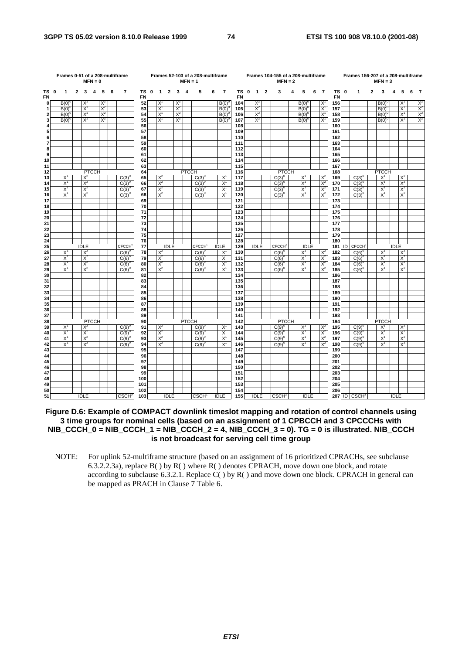|                   |            |              |             | $MFN = 0$               |                   |     | Frames 0-51 of a 208-multiframe |                 |              |                |                |                   | $MFN = 1$      | Frames 52-103 of a 208-multiframe |     |                |                   |                   |                | Frames 104-155 of a 208-multiframe<br>$MFN = 2$ |   |              |   |                |                          |                | Frames 156-207 of a 208-multiframe |                | $MFN = 3$    |             |       |   |       |
|-------------------|------------|--------------|-------------|-------------------------|-------------------|-----|---------------------------------|-----------------|--------------|----------------|----------------|-------------------|----------------|-----------------------------------|-----|----------------|-------------------|-------------------|----------------|-------------------------------------------------|---|--------------|---|----------------|--------------------------|----------------|------------------------------------|----------------|--------------|-------------|-------|---|-------|
| TS 0<br><b>FN</b> | 1          | $\mathbf{2}$ | 3           | $\overline{\mathbf{4}}$ | 5                 | 6   | $\overline{7}$                  | TS<br><b>FN</b> | $\mathbf{0}$ | $\overline{1}$ | $\overline{2}$ | 3                 | $\overline{4}$ | 5                                 | 6   | $\overline{7}$ | TS 0<br><b>FN</b> | $\mathbf{1}$      | $\overline{2}$ | 3                                               | 4 | 5            | 6 | $\overline{7}$ | TS 0<br><b>FN</b>        |                | 1                                  | $\overline{2}$ | 3            | 4           | 5     | 6 |       |
| 0                 | B(0)       |              | X,          |                         | $X^2$             |     |                                 | 52              |              | X              |                | $X^2$             |                |                                   |     | B(0)           | 104               | $X^2$             |                |                                                 |   | B(0)         |   | $X^1$          | 156                      |                |                                    |                | B(0)         |             | X     |   | $X^2$ |
| 1                 | B(0)       |              | $X^1$       |                         | $X^2$             |     |                                 | 53              |              | X              |                | $X^2$             |                |                                   |     | B(0)           | 105               | $X^2$             |                |                                                 |   | B(0)         |   | $X^1$          | 157                      |                |                                    |                | B(0)         |             | $X^1$ |   | $X^2$ |
| $\mathbf{2}$      | B(0)       |              | $X^1$       |                         | $X^2$             |     |                                 | 54              |              | $X^1$          |                | $X^2$             |                |                                   |     | B(0)           | 106               | $X^2$             |                |                                                 |   | $B(0)^\circ$ |   | $X^1$          | 158                      |                |                                    |                | $B(0)^{6}$   |             | $X^1$ |   | $X^2$ |
| 3                 | $B(0)^{6}$ |              | $X^1$       |                         | $X^2$             |     |                                 | 55              |              | $X^1$          |                | $X^2$             |                |                                   |     | B(0)           | 107               | $X^2$             |                |                                                 |   | $B(0)^{0}$   |   | $X^1$          | 159                      |                |                                    |                | $B(0)^{6}$   |             | $X^1$ |   | $X^2$ |
| 4<br>5            |            |              |             |                         |                   |     |                                 | 56<br>57        |              |                |                |                   |                |                                   |     |                | 108<br>109        |                   |                |                                                 |   |              |   |                | 160<br>161               |                |                                    |                |              |             |       |   |       |
| 6                 |            |              |             |                         |                   |     |                                 | 58              |              |                |                |                   |                |                                   |     |                | 110               |                   |                |                                                 |   |              |   |                | 162                      |                |                                    |                |              |             |       |   |       |
| 7                 |            |              |             |                         |                   |     |                                 | 59              |              |                |                |                   |                |                                   |     |                | 111               |                   |                |                                                 |   |              |   |                | 163                      |                |                                    |                |              |             |       |   |       |
| 8                 |            |              |             |                         |                   |     |                                 | 60              |              |                |                |                   |                |                                   |     |                | 112               |                   |                |                                                 |   |              |   |                | 164                      |                |                                    |                |              |             |       |   |       |
| 9                 |            |              |             |                         |                   |     |                                 | 61              |              |                |                |                   |                |                                   |     |                | 113               |                   |                |                                                 |   |              |   |                | 165                      |                |                                    |                |              |             |       |   |       |
| 10                |            |              |             |                         |                   |     |                                 | 62              |              |                |                |                   |                |                                   |     |                | 114               |                   |                |                                                 |   |              |   |                | 166                      |                |                                    |                |              |             |       |   |       |
| 11                |            |              |             |                         |                   |     |                                 | 63              |              |                |                |                   |                |                                   |     |                | 115               |                   |                |                                                 |   |              |   |                | 167                      |                |                                    |                |              |             |       |   |       |
| 12                |            |              |             | <b>PTCCH</b>            |                   |     |                                 | 64              |              |                |                |                   | <b>PTCCH</b>   |                                   |     |                | 116               |                   |                | <b>PTCCH</b>                                    |   |              |   |                | 168                      |                |                                    |                | <b>PTCCH</b> |             |       |   |       |
| 13                | $X^1$      |              | X           |                         |                   |     | C(3)                            | 65              |              | $X^2$          |                |                   |                | $C(3)^{6}$                        |     | X              | 117               |                   |                | $C(3)^{0}$                                      |   | X            |   | $X^2$          | 169                      |                | C(3)                               |                | Х            |             | $X^2$ |   |       |
| 14                | $X^1$      |              | $X^2$       |                         |                   |     | $C(3)^{6}$                      | 66              |              | $X^2$          |                |                   |                | C(3)                              |     | $X^1$          | 118               |                   |                | C(3)                                            |   | X            |   | $X^2$          | 170                      |                | C(3)                               |                | $X^1$        |             | $X^2$ |   |       |
| 15                | $X^1$      |              | $X^2$       |                         |                   |     | $C(3)^{6}$                      | 67              |              | $X^2$          |                |                   |                | $C(3)^{0}$                        |     | $X^1$          | 119               |                   |                | $C(3)^{0}$                                      |   | $X^1$        |   | $X^2$          | 171                      |                | $C(3)^{6}$                         |                | $X^1$        |             | $X^2$ |   |       |
| 16                | $X^1$      |              | $X^2$       |                         |                   |     | $C(3)^{0}$                      | 68              |              | $X^2$          |                |                   |                | $C(3)^{0}$                        |     | $X^1$          | 120               |                   |                | $C(3)^{0}$                                      |   | $X^1$        |   | $X^2$          | 172                      |                | $C(3)^{0}$                         |                | $X^1$        |             | $X^2$ |   |       |
| 17<br>18          |            |              |             |                         |                   |     |                                 | 69<br>70        |              |                |                |                   |                |                                   |     |                | 121<br>122        |                   |                |                                                 |   |              |   |                | 173<br>174               |                |                                    |                |              |             |       |   |       |
| 19                |            |              |             |                         |                   |     |                                 | 71              |              |                |                |                   |                |                                   |     |                | 123               |                   |                |                                                 |   |              |   |                | 175                      |                |                                    |                |              |             |       |   |       |
| 20                |            |              |             |                         |                   |     |                                 | 72              |              |                |                |                   |                |                                   |     |                | 124               |                   |                |                                                 |   |              |   |                | 176                      |                |                                    |                |              |             |       |   |       |
| 21                |            |              |             |                         |                   |     |                                 | 73              |              |                |                |                   |                |                                   |     |                | 125               |                   |                |                                                 |   |              |   |                | 177                      |                |                                    |                |              |             |       |   |       |
| 22                |            |              |             |                         |                   |     |                                 | 74              |              |                |                |                   |                |                                   |     |                | 126               |                   |                |                                                 |   |              |   |                | 178                      |                |                                    |                |              |             |       |   |       |
| 23                |            |              |             |                         |                   |     |                                 | 75              |              |                |                |                   |                |                                   |     |                | 127               |                   |                |                                                 |   |              |   |                | 179                      |                |                                    |                |              |             |       |   |       |
| 24                |            |              |             |                         |                   |     |                                 | 76              |              |                |                |                   |                |                                   |     |                | 128               |                   |                |                                                 |   |              |   |                | 180                      |                |                                    |                |              |             |       |   |       |
| 25                |            |              | <b>IDLE</b> |                         |                   |     | <b>CFCCH</b>                    | 77              |              |                | <b>IDLE</b>    |                   |                | <b>CFCCH</b>                      |     | <b>IDLE</b>    | 129               | <b>IDLE</b>       |                | <b>CFCCH<sup>2</sup></b>                        |   | <b>IDLE</b>  |   |                | 181                      | $\overline{D}$ | <b>CFCCH</b>                       |                |              | <b>IDLE</b> |       |   |       |
| 26                | $X^1$      |              | X           |                         |                   |     | $C(6)^{0}$                      | 78              |              | $X^2$          |                |                   |                | $C(6)^{0}$                        |     | $X^{\prime}$   | 130               |                   |                | $C(6)^{0}$                                      |   | $X^1$        |   | $X^2$          | 182                      |                | $C(6)^{0}$                         |                | $X^1$        |             | $X^2$ |   |       |
| 27                | $X^1$      |              | $X^2$       |                         |                   |     | $C(6)^{6}$                      | 79              |              | $X^2$          |                |                   |                | $C(6)^{0}$                        |     | $X^1$          | 131               |                   |                | $C(6)^{0}$                                      |   | $X^1$        |   | $X^2$          | 183                      |                | $C(6)^{0}$                         |                | $X^1$        |             | $X^2$ |   |       |
| 28                | $X^1$      |              | $X^2$       |                         |                   |     | C(6)                            | 80              |              | $X^2$          |                |                   |                | C(6)                              |     | $X^1$          | 132               |                   |                | C(6)                                            |   | $X^1$        |   | $X^2$          | 184                      |                | C(6)                               |                | $X^1$        |             | $X^2$ |   |       |
| 29                | $X^1$      |              | $X^2$       |                         |                   |     | $C(6)^\circ$                    | 81              |              | $X^2$          |                |                   |                | $C(6)^\circ$                      |     | $X^1$          | 133               |                   |                | $C(6)^\circ$                                    |   | $X^1$        |   | $X^2$          | 185                      |                | $C(6)^\circ$                       |                | $X^1$        |             | $X^2$ |   |       |
| 30                |            |              |             |                         |                   |     |                                 | 82<br>83        |              |                |                |                   |                |                                   |     |                | 134<br>135        |                   |                |                                                 |   |              |   |                | 186                      |                |                                    |                |              |             |       |   |       |
| 31<br>32          |            |              |             |                         |                   |     |                                 | 84              |              |                |                |                   |                |                                   |     |                | 136               |                   |                |                                                 |   |              |   |                | 187<br>188               |                |                                    |                |              |             |       |   |       |
| 33                |            |              |             |                         |                   |     |                                 | 85              |              |                |                |                   |                |                                   |     |                | 137               |                   |                |                                                 |   |              |   |                | 189                      |                |                                    |                |              |             |       |   |       |
| 34                |            |              |             |                         |                   |     |                                 | 86              |              |                |                |                   |                |                                   |     |                | 138               |                   |                |                                                 |   |              |   |                | 190                      |                |                                    |                |              |             |       |   |       |
| 35                |            |              |             |                         |                   |     |                                 | 87              |              |                |                |                   |                |                                   |     |                | 139               |                   |                |                                                 |   |              |   |                | 191                      |                |                                    |                |              |             |       |   |       |
| 36                |            |              |             |                         |                   |     |                                 | 88              |              |                |                |                   |                |                                   |     |                | 140               |                   |                |                                                 |   |              |   |                | 192                      |                |                                    |                |              |             |       |   |       |
| 37                |            |              |             |                         |                   |     |                                 | 89              |              |                |                |                   |                |                                   |     |                | 141               |                   |                |                                                 |   |              |   |                | 193                      |                |                                    |                |              |             |       |   |       |
| 38                |            |              |             | <b>PTCCH</b>            |                   |     |                                 | 90              |              |                |                |                   | <b>PTCCH</b>   |                                   |     |                | 142               |                   |                | <b>PTCCH</b>                                    |   |              |   |                | 194                      |                |                                    |                | <b>PTCCH</b> |             |       |   |       |
| 39                | $X^1$      |              | $\times^2$  |                         |                   |     | $C(9)^{0}$                      | 91              |              | $X^2$          |                |                   |                | $C(9)^{0}$                        |     | $X^1$          | 143               |                   |                | $C(9)^{0}$                                      |   | X            |   | $X^2$          | 195                      |                | $C(9)^{0}$                         |                | $X^1$        |             | $X^2$ |   |       |
| 40                | $X^1$      |              | $X^2$       |                         |                   |     | C(9)                            | 92              |              | $X^2$          |                |                   |                | $C(9)^{6}$                        |     | $X^1$          | 144               |                   |                | C(9)                                            |   | $X^1$        |   | $X^2$          | 196                      |                | C(9)                               |                | $X^1$        |             | $X^2$ |   |       |
| 41                | $X^1$      |              | $X^2$       |                         |                   |     | $C(9)^{6}$                      | 93              |              | $X^2$          |                |                   |                | C(9)                              |     | $X^1$          | 145               |                   |                | $C(9)^{6}$                                      |   | X            |   | $X^2$          | 197                      |                | $C(9)^{6}$                         |                | $X^1$        |             | $X^2$ |   |       |
| 42<br>43          | $X^1$      |              | $X^2$       |                         |                   |     | $C(9)^{6}$                      | 94<br>95        |              | $X^2$          |                |                   |                | $C(9)^{0}$                        |     | $X^1$          | 146<br>147        |                   |                | $C(9)^{0}$                                      |   | X            |   | $X^2$          | 198<br>199               |                | $C(9)^{6}$                         |                | $X^1$        |             | $X^2$ |   |       |
| 44                |            |              |             |                         |                   |     |                                 | 96              |              |                |                |                   |                |                                   |     |                | 148               |                   |                |                                                 |   |              |   |                | 200                      |                |                                    |                |              |             |       |   |       |
| 45                |            |              |             |                         |                   |     |                                 | 97              |              |                |                |                   |                |                                   |     |                | 149               |                   |                |                                                 |   |              |   |                | 201                      |                |                                    |                |              |             |       |   |       |
| 46                |            |              |             |                         |                   |     |                                 | 98              |              |                |                |                   |                |                                   |     |                | 150               |                   |                |                                                 |   |              |   |                | 202                      |                |                                    |                |              |             |       |   |       |
| 47                |            |              |             |                         |                   |     |                                 | 99              |              |                |                |                   |                |                                   |     |                | 151               |                   |                |                                                 |   |              |   |                | 203                      |                |                                    |                |              |             |       |   |       |
| 48                |            |              |             |                         |                   |     |                                 | 100             |              |                |                |                   |                |                                   |     |                | 152               |                   |                |                                                 |   |              |   |                | 204                      |                |                                    |                |              |             |       |   |       |
| 49                |            |              |             |                         |                   |     |                                 | 101             |              |                |                |                   |                |                                   |     |                | 153               |                   |                |                                                 |   |              |   |                | 205                      |                |                                    |                |              |             |       |   |       |
| 50                |            |              |             |                         |                   |     |                                 | 102             |              |                |                |                   |                |                                   |     |                | 154               |                   |                |                                                 |   |              |   |                | 206                      |                |                                    |                |              |             |       |   |       |
| 51                |            | <b>IDLE</b>  |             |                         | CSCH <sup>o</sup> | 103 |                                 |                 | <b>IDLE</b>  |                |                | CSCH <sup>1</sup> |                | <b>IDLE</b>                       | 155 | <b>IDLE</b>    |                   | CSCH <sup>2</sup> |                | <b>IDLE</b>                                     |   |              |   |                | 207 ID CSCH <sup>3</sup> |                |                                    | <b>IDLE</b>    |              |             |       |   |       |

**Figure D.6: Example of COMPACT downlink timeslot mapping and rotation of control channels using 3 time groups for nominal cells (based on an assignment of 1 CPBCCH and 3 CPCCCHs with NIB\_CCCH\_0 = NIB\_CCCH\_1 = NIB\_CCCH\_2 = 4, NIB\_CCCH\_3 = 0). TG = 0 is illustrated. NIB\_CCCH is not broadcast for serving cell time group** 

NOTE: For uplink 52-multiframe structure (based on an assignment of 16 prioritized CPRACHs, see subclause 6.3.2.2.3a), replace  $B()$  by  $R()$  where  $R()$  denotes CPRACH, move down one block, and rotate according to subclause 6.3.2.1. Replace  $C()$  by R() and move down one block. CPRACH in general can be mapped as PRACH in Clause 7 Table 6.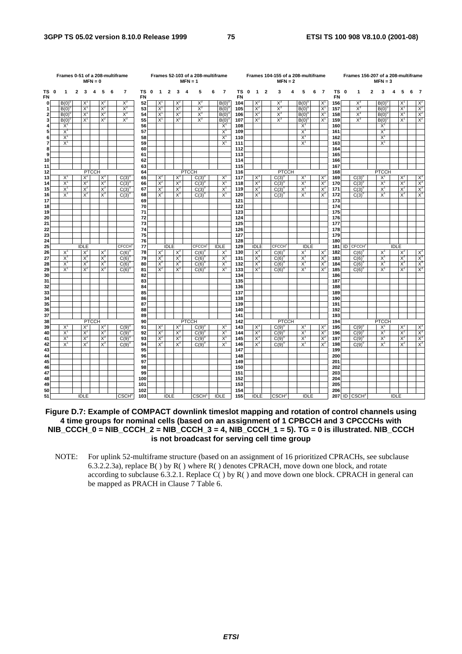|                         |                |              |                | $MFN = 0$               |                |   | Frames 0-51 of a 208-multiframe |                   |                |                |                | $MFN = 1$               | Frames 52-103 of a 208-multiframe |   |                |                        |              |                |                | Frames 104-155 of a 208-multiframe<br>$MFN = 2$ |   |                |   |                |                   |    | Frames 156-207 of a 208-multiframe |                | $MFN = 3$             |             |                |   |                   |
|-------------------------|----------------|--------------|----------------|-------------------------|----------------|---|---------------------------------|-------------------|----------------|----------------|----------------|-------------------------|-----------------------------------|---|----------------|------------------------|--------------|----------------|----------------|-------------------------------------------------|---|----------------|---|----------------|-------------------|----|------------------------------------|----------------|-----------------------|-------------|----------------|---|-------------------|
| TS 0<br><b>FN</b>       | $\mathbf{1}$   | $\mathbf{2}$ | 3              | $\overline{\mathbf{4}}$ | 5              | 6 | $\overline{7}$                  | TS 0<br><b>FN</b> | $\overline{1}$ | $\overline{2}$ | $\mathbf{3}$   | $\overline{\mathbf{4}}$ | 5                                 | 6 | $\overline{7}$ | <b>TS</b><br><b>FN</b> | $\mathbf{0}$ | $\blacksquare$ | $\overline{2}$ | 3                                               | 4 | 5              | 6 | $\overline{7}$ | TS 0<br><b>FN</b> |    | 1                                  | $\overline{c}$ | 3                     | 4           | 5              | 6 | 7                 |
| 0                       | B(0)           |              | $X^1$          |                         | $X^2$          |   | $X_3$                           | 52                | $X^1$          |                | $X^2$          |                         | $X^3$                             |   | B(0)           | 104                    |              | $X^2$          |                | $X_3$                                           |   | B(0)           |   | $X^1$          | 156               |    | $X^3$                              |                | B(0)                  |             | $X^1$          |   | X                 |
| 1                       | B(0)           |              | $X^1$          |                         | $X^2$          |   | $X^3$                           | 53                | $X^1$          |                | $X^2$          |                         | $X^3$                             |   | B(0)           | 105                    |              | $X^2$          |                | $X_3$                                           |   | B(0)           |   | $X^1$          | 157               |    | $X^3$                              |                | B(0)                  |             | $X^1$          |   | $X^2$             |
| $\overline{\mathbf{c}}$ | B(0)           |              | X,             |                         | $X^2$          |   | $X_3$                           | 54                | $X^1$          |                | $X^2$          |                         | $X^3$                             |   | B(0)           | 106                    |              | $X^2$          |                | $X_3$                                           |   | B(0)           |   | $X^1$          | 158               |    | $X^3$                              |                | B(0)                  |             | $X^1$          |   | $X^2$             |
| 3<br>4                  | B(0)<br>$X^1$  |              | $X^1$          |                         | $X^2$          |   | $X^3$                           | 55<br>56          | $X^1$          |                | $X^2$          |                         | $X^3$                             |   | B(0)<br>$X^1$  | 107<br>108             |              | $X^2$          |                | $X^3$                                           |   | B(0)<br>$X^1$  |   | $X^1$          | 159<br>160        |    | $X^3$                              |                | B(0)<br>$X^1$         |             | $X^1$          |   | $X^2$             |
| 5                       | $X^1$          |              |                |                         |                |   |                                 | 57                |                |                |                |                         |                                   |   | $X^1$          | 109                    |              |                |                |                                                 |   | $X^1$          |   |                | 161               |    |                                    |                | $X^1$                 |             |                |   |                   |
| 6                       | $X^1$          |              |                |                         |                |   |                                 | 58                |                |                |                |                         |                                   |   | $X^1$          | 110                    |              |                |                |                                                 |   | X,             |   |                | 162               |    |                                    |                | $X^1$                 |             |                |   |                   |
| 7                       | $X^1$          |              |                |                         |                |   |                                 | 59                |                |                |                |                         |                                   |   | $X^1$          | 111                    |              |                |                |                                                 |   | $X^1$          |   |                | 163               |    |                                    |                | $X^1$                 |             |                |   |                   |
| 8                       |                |              |                |                         |                |   |                                 | 60                |                |                |                |                         |                                   |   |                | 112                    |              |                |                |                                                 |   |                |   |                | 164               |    |                                    |                |                       |             |                |   |                   |
| 9                       |                |              |                |                         |                |   |                                 | 61                |                |                |                |                         |                                   |   |                | 113                    |              |                |                |                                                 |   |                |   |                | 165               |    |                                    |                |                       |             |                |   |                   |
| 10                      |                |              |                |                         |                |   |                                 | 62                |                |                |                |                         |                                   |   |                | 114                    |              |                |                |                                                 |   |                |   |                | 166               |    |                                    |                |                       |             |                |   |                   |
| 11                      |                |              |                |                         |                |   |                                 | 63                |                |                |                |                         |                                   |   |                | 115                    |              |                |                |                                                 |   |                |   |                | 167               |    |                                    |                |                       |             |                |   |                   |
| 12                      |                |              |                | <b>PTCCH</b>            |                |   |                                 | 64                |                |                |                | <b>PTCCH</b>            |                                   |   |                | 116                    |              |                |                | <b>PTCCH</b>                                    |   |                |   |                | 168               |    |                                    |                | <b>PTCCH</b>          |             |                |   |                   |
| 13                      | $X^1$          |              | $X^2$          |                         | $X^3$          |   | C(3)                            | 65                | $X^2$          |                | $X^3$          |                         | $C(3)^{6}$                        |   | X              | 117                    |              | $X^3$          |                | $C(3)^{0}$                                      |   | $X^1$          |   | $X^2$          | 169               |    | C(3)                               |                | $X^{\prime}$          |             | $X^2$          |   | $X^3$             |
| 14                      | $X^1$          |              | $X^2$          |                         | $X^3$          |   | $C(3)^{6}$                      | 66                | $X^2$          |                | $X^3$          |                         | $C(3)^{6}$                        |   | $X^1$          | 118                    |              | $X_3$          |                | C(3)                                            |   | $X^1$          |   | $X^2$          | 170               |    | $C(3)^{0}$                         |                | $X^1$                 |             | $X^2$          |   | $X^3$<br>$X^3$    |
| 15                      | $X^1$          |              | $X^2$<br>$X^2$ |                         | $X_3$          |   | C(3)                            | 67                | $X^2$          |                | $X^3$          |                         | $C(3)^{6}$                        |   | $X^1$          | 119                    |              | $X^3$          |                | $C(3)^{6}$                                      |   | X,             |   | $X^2$          | 171               |    | C(3)                               |                | $X^1$                 |             | $X^2$<br>$X^2$ |   | $X^3$             |
| 16<br>17                | $X^1$          |              |                |                         | $X^3$          |   | $C(3)^{6}$                      | 68<br>69          | $X^2$          |                | $X^3$          |                         | $C(3)^{0}$                        |   | $X^1$          | 120<br>121             |              | $X^3$          |                | $C(3)^{0}$                                      |   | $X^1$          |   | $X^2$          | 172<br>173        |    | $C(3)^{0}$                         |                | $X^1$                 |             |                |   |                   |
| 18                      |                |              |                |                         |                |   |                                 | 70                |                |                |                |                         |                                   |   |                | 122                    |              |                |                |                                                 |   |                |   |                | 174               |    |                                    |                |                       |             |                |   |                   |
| 19                      |                |              |                |                         |                |   |                                 | 71                |                |                |                |                         |                                   |   |                | 123                    |              |                |                |                                                 |   |                |   |                | 175               |    |                                    |                |                       |             |                |   |                   |
| 20                      |                |              |                |                         |                |   |                                 | 72                |                |                |                |                         |                                   |   |                | 124                    |              |                |                |                                                 |   |                |   |                | 176               |    |                                    |                |                       |             |                |   |                   |
| 21                      |                |              |                |                         |                |   |                                 | 73                |                |                |                |                         |                                   |   |                | 125                    |              |                |                |                                                 |   |                |   |                | 177               |    |                                    |                |                       |             |                |   |                   |
| 22                      |                |              |                |                         |                |   |                                 | 74                |                |                |                |                         |                                   |   |                | 126                    |              |                |                |                                                 |   |                |   |                | 178               |    |                                    |                |                       |             |                |   |                   |
| 23                      |                |              |                |                         |                |   |                                 | 75                |                |                |                |                         |                                   |   |                | 127                    |              |                |                |                                                 |   |                |   |                | 179               |    |                                    |                |                       |             |                |   |                   |
| 24                      |                |              |                |                         |                |   |                                 | 76                |                |                |                |                         |                                   |   |                | 128                    |              |                |                |                                                 |   |                |   |                | 180               |    |                                    |                |                       |             |                |   |                   |
| 25                      |                |              | <b>IDLE</b>    |                         |                |   | <b>CFCCH</b>                    | 77                |                | <b>IDLE</b>    |                |                         | <b>CFCCH</b>                      |   | <b>IDLE</b>    | 129                    |              | <b>IDLE</b>    |                | <b>CFCCH<sup>2</sup></b>                        |   | <b>IDLE</b>    |   |                | 181               | ID | <b>CFCCH</b>                       |                |                       | <b>IDLE</b> |                |   |                   |
| 26                      | $X^{\prime}$   |              | X              |                         | $X^3$          |   | $C(6)^\circ$                    | 78                | X              |                | $X^3$          |                         | $C(6)^{0}$                        |   | X              | 130                    |              | $X^3$          |                | $C(6)^\circ$                                    |   | $X^1$          |   | $X^2$          | 182               |    | $C(6)^{0}$                         |                | $X^1$                 |             | $X^2$          |   | $X^3$             |
| 27                      | $X^1$<br>$X^1$ |              | $X^2$<br>$X^2$ |                         | $X^3$<br>$X^3$ |   | $C(6)^{6}$                      | 79                | $X^2$<br>$X^2$ |                | $X^3$<br>$X^3$ |                         | $C(6)^0$                          |   | $X^1$<br>$X^1$ | 131                    |              | $X^3$<br>$X_3$ |                | $C(6)^{0}$                                      |   | $X^1$<br>$X^1$ |   | $X^2$          | 183               |    | $C(6)^{0}$                         |                | $X^1$<br>$X^1$        |             | $X^2$<br>$X^2$ |   | $\frac{X^3}{X^3}$ |
| 28<br>29                | $X^1$          |              | $X^2$          |                         | $X^3$          |   | C(6)<br>$C(6)^{6}$              | 80<br>81          | $X^2$          |                | $X^3$          |                         | C(6)<br>$C(6)^6$                  |   | $X^1$          | 132<br>133             |              | $X^3$          |                | C(6)<br>$C(6)^{0}$                              |   | $X^1$          |   | $X^2$<br>$X^2$ | 184<br>185        |    | C(6)<br>$C(6)^{0}$                 |                | $X^1$                 |             | $X^2$          |   |                   |
| 30                      |                |              |                |                         |                |   |                                 | 82                |                |                |                |                         |                                   |   |                | 134                    |              |                |                |                                                 |   |                |   |                | 186               |    |                                    |                |                       |             |                |   |                   |
| 31                      |                |              |                |                         |                |   |                                 | 83                |                |                |                |                         |                                   |   |                | 135                    |              |                |                |                                                 |   |                |   |                | 187               |    |                                    |                |                       |             |                |   |                   |
| 32                      |                |              |                |                         |                |   |                                 | 84                |                |                |                |                         |                                   |   |                | 136                    |              |                |                |                                                 |   |                |   |                | 188               |    |                                    |                |                       |             |                |   |                   |
| 33                      |                |              |                |                         |                |   |                                 | 85                |                |                |                |                         |                                   |   |                | 137                    |              |                |                |                                                 |   |                |   |                | 189               |    |                                    |                |                       |             |                |   |                   |
| 34                      |                |              |                |                         |                |   |                                 | 86                |                |                |                |                         |                                   |   |                | 138                    |              |                |                |                                                 |   |                |   |                | 190               |    |                                    |                |                       |             |                |   |                   |
| 35                      |                |              |                |                         |                |   |                                 | 87                |                |                |                |                         |                                   |   |                | 139                    |              |                |                |                                                 |   |                |   |                | 191               |    |                                    |                |                       |             |                |   |                   |
| 36                      |                |              |                |                         |                |   |                                 | 88                |                |                |                |                         |                                   |   |                | 140                    |              |                |                |                                                 |   |                |   |                | 192               |    |                                    |                |                       |             |                |   |                   |
| 37                      |                |              |                |                         |                |   |                                 | 89                |                |                |                |                         |                                   |   |                | 141                    |              |                |                |                                                 |   |                |   |                | 193               |    |                                    |                |                       |             |                |   |                   |
| 38<br>39                | $X^1$          |              | $X^2$          | <b>PTCCH</b>            |                |   |                                 | 90<br>91          |                |                |                | <b>PTCCH</b>            |                                   |   | $X^1$          | 142<br>143             |              |                |                | <b>PTCCH</b>                                    |   | $X^1$          |   |                | 194<br>195        |    |                                    |                | <b>PTCCH</b><br>$X^1$ |             |                |   |                   |
| 40                      | $X^1$          |              | $X^2$          |                         | $X^3$<br>$X_3$ |   | $C(9)^{6}$<br>C(9)              | 92                | $X^2$<br>$X^2$ |                | $X^3$<br>$X_3$ |                         | $C(9)^{0}$<br>C(9)                |   | $X^1$          | 144                    |              | $X^3$<br>$X^3$ |                | $C(9)^{0}$<br>C(9)                              |   | X,             |   | $X^2$<br>$X^2$ | 196               |    | $C(9)^{0}$<br>$C(9)^6$             |                | $X^1$                 |             | $X^2$<br>$X^2$ |   | $X^3$             |
| 41                      | $X^1$          |              | $X^2$          |                         | $X_3$          |   | $C(9)^{6}$                      | 93                | $X^2$          |                | $X^3$          |                         | $C(9)^{0}$                        |   | $X^1$          | 145                    |              | $X^3$          |                | $C(9)^{0}$                                      |   | $X^1$          |   | $X^2$          | 197               |    | $C(9)^{6}$                         |                | $X^1$                 |             | $X^2$          |   | $\frac{1}{x^2}$   |
| 42                      | $X^1$          |              | $X^2$          |                         | $X^3$          |   | $C(9)^{6}$                      | 94                | $X^2$          |                | $X^3$          |                         | $C(9)^{6}$                        |   | $X^1$          | 146                    |              | $X^3$          |                | $C(9)^{0}$                                      |   | $X^1$          |   | $X^2$          | 198               |    | $C(9)^{6}$                         |                | $X^1$                 |             | $X^2$          |   | $X^3$             |
| 43                      |                |              |                |                         |                |   |                                 | 95                |                |                |                |                         |                                   |   |                | 147                    |              |                |                |                                                 |   |                |   |                | 199               |    |                                    |                |                       |             |                |   |                   |
| 44                      |                |              |                |                         |                |   |                                 | 96                |                |                |                |                         |                                   |   |                | 148                    |              |                |                |                                                 |   |                |   |                | 200               |    |                                    |                |                       |             |                |   |                   |
| 45                      |                |              |                |                         |                |   |                                 | 97                |                |                |                |                         |                                   |   |                | 149                    |              |                |                |                                                 |   |                |   |                | 201               |    |                                    |                |                       |             |                |   |                   |
| 46                      |                |              |                |                         |                |   |                                 | 98                |                |                |                |                         |                                   |   |                | 150                    |              |                |                |                                                 |   |                |   |                | 202               |    |                                    |                |                       |             |                |   |                   |
| 47                      |                |              |                |                         |                |   |                                 | 99                |                |                |                |                         |                                   |   |                | 151                    |              |                |                |                                                 |   |                |   |                | 203               |    |                                    |                |                       |             |                |   |                   |
| 48                      |                |              |                |                         |                |   |                                 | 100               |                |                |                |                         |                                   |   |                | 152                    |              |                |                |                                                 |   |                |   |                | 204               |    |                                    |                |                       |             |                |   |                   |
| 49                      |                |              |                |                         |                |   |                                 | 101               |                |                |                |                         |                                   |   |                | 153                    |              |                |                |                                                 |   |                |   |                | 205               |    |                                    |                |                       |             |                |   |                   |
| 50<br>51                |                |              | <b>IDLE</b>    |                         |                |   | <b>CSCH<sup>o</sup></b>         | 102<br>103        |                | <b>IDLE</b>    |                |                         | CSCH <sup>1</sup>                 |   | <b>IDLE</b>    | 154<br>155             |              | <b>IDLE</b>    |                | CSCH <sup>2</sup>                               |   | <b>IDLE</b>    |   |                | 206               |    | 207 ID CSCH <sup>3</sup>           |                |                       | <b>IDLE</b> |                |   |                   |
|                         |                |              |                |                         |                |   |                                 |                   |                |                |                |                         |                                   |   |                |                        |              |                |                |                                                 |   |                |   |                |                   |    |                                    |                |                       |             |                |   |                   |

**Figure D.7: Example of COMPACT downlink timeslot mapping and rotation of control channels using 4 time groups for nominal cells (based on an assignment of 1 CPBCCH and 3 CPCCCHs with NIB\_CCCH\_0 = NIB\_CCCH\_2 = NIB\_CCCH\_3 = 4, NIB\_CCCH\_1 = 5). TG = 0 is illustrated. NIB\_CCCH is not broadcast for serving cell time group** 

NOTE: For uplink 52-multiframe structure (based on an assignment of 16 prioritized CPRACHs, see subclause 6.3.2.2.3a), replace  $B()$  by  $R()$  where  $R()$  denotes CPRACH, move down one block, and rotate according to subclause 6.3.2.1. Replace  $C()$  by R() and move down one block. CPRACH in general can be mapped as PRACH in Clause 7 Table 6.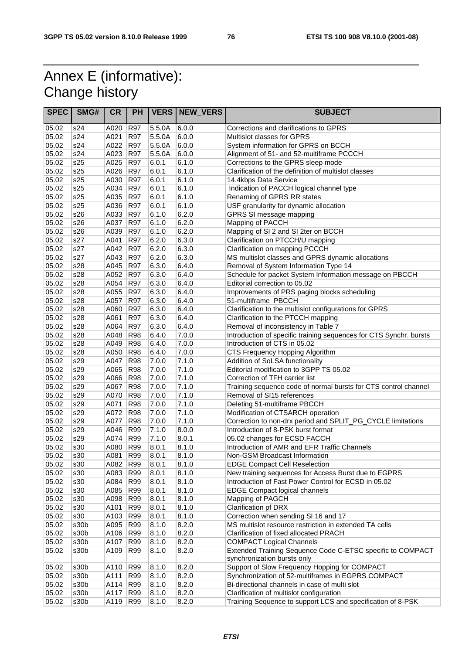## Annex E (informative): Change history

| <b>SPEC</b>    | SMG#       | <b>CR</b>    | <b>PH</b>                |                | <b>VERS   NEW_VERS</b> | <b>SUBJECT</b>                                                                             |
|----------------|------------|--------------|--------------------------|----------------|------------------------|--------------------------------------------------------------------------------------------|
| 05.02          | s24        | A020         | R97                      | 5.5.0A         | 6.0.0                  | Corrections and clarifications to GPRS                                                     |
| 05.02          | s24        | A021         | R97                      | 5.5.0A         | 6.0.0                  | Multislot classes for GPRS                                                                 |
| 05.02          | s24        | A022         | <b>R97</b>               | 5.5.0A         | 6.0.0                  | System information for GPRS on BCCH                                                        |
| 05.02          | s24        | A023         | <b>R97</b>               | 5.5.0A         | 6.0.0                  | Alignment of 51- and 52-multiframe PCCCH                                                   |
| 05.02          | s25        | A025         | <b>R97</b>               | 6.0.1          | 6.1.0                  | Corrections to the GPRS sleep mode                                                         |
| 05.02          | s25        | A026         | <b>R97</b>               | 6.0.1          | 6.1.0                  | Clarification of the definition of multislot classes                                       |
| 05.02          | s25        | A030         | <b>R97</b>               | 6.0.1          | 6.1.0                  | 14.4kbps Data Service                                                                      |
| 05.02          | s25        | A034         | <b>R97</b>               | 6.0.1          | 6.1.0                  | Indication of PACCH logical channel type                                                   |
| 05.02          | s25        | A035         | <b>R97</b>               | 6.0.1          | 6.1.0                  | Renaming of GPRS RR states                                                                 |
| 05.02          | s25        | A036         | <b>R97</b>               | 6.0.1          | 6.1.0                  | USF granularity for dynamic allocation                                                     |
| 05.02          | s26        | A033         | <b>R97</b>               | 6.1.0          | 6.2.0                  | GPRS SI message mapping                                                                    |
| 05.02          | s26        | A037         | <b>R97</b>               | 6.1.0          | 6.2.0                  | Mapping of PACCH                                                                           |
| 05.02          | s26        | A039         | <b>R97</b>               | 6.1.0          | 6.2.0                  | Mapping of SI 2 and SI 2ter on BCCH                                                        |
| 05.02          | s27        | A041         | <b>R97</b>               | 6.2.0          | 6.3.0                  | Clarification on PTCCH/U mapping                                                           |
| 05.02          | s27        | A042         | <b>R97</b>               | 6.2.0          | 6.3.0                  | Clarification on mapping PCCCH                                                             |
| 05.02<br>05.02 | s27<br>s28 | A043<br>A045 | <b>R97</b><br><b>R97</b> | 6.2.0<br>6.3.0 | 6.3.0<br>6.4.0         | MS multislot classes and GPRS dynamic allocations<br>Removal of System Information Type 14 |
| 05.02          | s28        | A052         | R97                      | 6.3.0          | 6.4.0                  | Schedule for packet System Information message on PBCCH                                    |
| 05.02          | s28        | A054         | R97                      | 6.3.0          | 6.4.0                  | Editorial correction to 05.02                                                              |
| 05.02          | s28        | A055         | <b>R97</b>               | 6.3.0          | 6.4.0                  | Improvements of PRS paging blocks scheduling                                               |
| 05.02          | s28        | A057         | <b>R97</b>               | 6.3.0          | 6.4.0                  | 51-multiframe PBCCH                                                                        |
| 05.02          | s28        | A060         | R97                      | 6.3.0          | 6.4.0                  | Clarification to the multislot configurations for GPRS                                     |
| 05.02          | s28        | A061         | <b>R97</b>               | 6.3.0          | 6.4.0                  | Clarification to the PTCCH mapping                                                         |
| 05.02          | s28        | A064         | <b>R97</b>               | 6.3.0          | 6.4.0                  | Removal of inconsistency in Table 7                                                        |
| 05.02          | s28        | A048         | <b>R98</b>               | 6.4.0          | 7.0.0                  | Introduction of specific training sequences for CTS Synchr. bursts                         |
| 05.02          | s28        | A049         | <b>R98</b>               | 6.4.0          | 7.0.0                  | Introduction of CTS in 05.02                                                               |
| 05.02          | s28        | A050         | <b>R98</b>               | 6.4.0          | 7.0.0                  | CTS Frequency Hopping Algorithm                                                            |
| 05.02          | s29        | A047         | <b>R98</b>               | 7.0.0          | 7.1.0                  | Addition of SoLSA functionality                                                            |
| 05.02          | s29        | A065         | <b>R98</b>               | 7.0.0          | 7.1.0                  | Editorial modification to 3GPP TS 05.02                                                    |
| 05.02          | s29        | A066         | <b>R98</b>               | 7.0.0          | 7.1.0                  | Correction of TFH carrier list                                                             |
| 05.02          | s29        | A067         | <b>R98</b>               | 7.0.0          | 7.1.0                  | Training sequence code of normal bursts for CTS control channel                            |
| 05.02          | s29        | A070         | <b>R98</b>               | 7.0.0          | 7.1.0                  | Removal of SI15 references                                                                 |
| 05.02          | s29        | A071         | <b>R98</b>               | 7.0.0          | 7.1.0                  | Deleting 51-multiframe PBCCH                                                               |
| 05.02          | s29        | A072         | <b>R98</b>               | 7.0.0          | 7.1.0                  | Modification of CTSARCH operation                                                          |
| 05.02          | s29        | A077         | <b>R98</b>               | 7.0.0          | 7.1.0                  | Correction to non-drx period and SPLIT_PG_CYCLE limitations                                |
| 05.02          | s29        | A046         | R99                      | 7.1.0          | 8.0.0                  | Introduction of 8-PSK burst format                                                         |
| 05.02          | s29        | A074         | <b>R99</b>               | 7.1.0          | 8.0.1                  | 05.02 changes for ECSD FACCH                                                               |
| 05.02          | s30        | A080         | <b>R99</b>               | 8.0.1          | 8.1.0                  | Introduction of AMR and EFR Traffic Channels                                               |
| 05.02          | s30        | A081         | <b>R99</b>               | 8.0.1          | 8.1.0                  | Non-GSM Broadcast Information                                                              |
| 05.02          | s30        | A082 R99     |                          | 8.0.1          | 8.1.0                  | <b>EDGE Compact Cell Reselection</b>                                                       |
| 05.02          | s30        | A083         | <b>R99</b>               | 8.0.1          | 8.1.0                  | New training sequences for Access Burst due to EGPRS                                       |
| 05.02          | s30        | A084         | R99                      | 8.0.1          | 8.1.0                  | Introduction of Fast Power Control for ECSD in 05.02                                       |
| 05.02<br>05.02 | s30<br>s30 | A085         | <b>R99</b><br><b>R99</b> | 8.0.1          | 8.1.0                  | <b>EDGE Compact logical channels</b>                                                       |
| 05.02          | s30        | A098<br>A101 | R99                      | 8.0.1<br>8.0.1 | 8.1.0<br>8.1.0         | Mapping of PAGCH<br>Clarification pf DRX                                                   |
| 05.02          | s30        | A103         | R99                      | 8.0.1          | 8.1.0                  | Correction when sending SI 16 and 17                                                       |
| 05.02          | s30b       | A095         | <b>R99</b>               | 8.1.0          | 8.2.0                  | MS multislot resource restriction in extended TA cells                                     |
| 05.02          | s30b       | A106         | R99                      | 8.1.0          | 8.2.0                  | Clarification of fixed allocated PRACH                                                     |
| 05.02          | s30b       | A107         | R99                      | 8.1.0          | 8.2.0                  | <b>COMPACT Logical Channels</b>                                                            |
| 05.02          | s30b       | A109         | R99                      | 8.1.0          | 8.2.0                  | Extended Training Sequence Code C-ETSC specific to COMPACT                                 |
|                |            |              |                          |                |                        | synchronization bursts only                                                                |
| 05.02          | s30b       | A110         | R99                      | 8.1.0          | 8.2.0                  | Support of Slow Frequency Hopping for COMPACT                                              |
| 05.02          | s30b       | A111         | <b>R99</b>               | 8.1.0          | 8.2.0                  | Synchronization of 52-multiframes in EGPRS COMPACT                                         |
| 05.02          | s30b       | A114         | <b>R99</b>               | 8.1.0          | 8.2.0                  | Bi-directional channels in case of multi slot                                              |
| 05.02          | s30b       | A117         | R99                      | 8.1.0          | 8.2.0                  | Clarification of multislot configuration                                                   |
| 05.02          | s30b       | A119         | <b>R99</b>               | 8.1.0          | 8.2.0                  | Training Sequence to support LCS and specification of 8-PSK                                |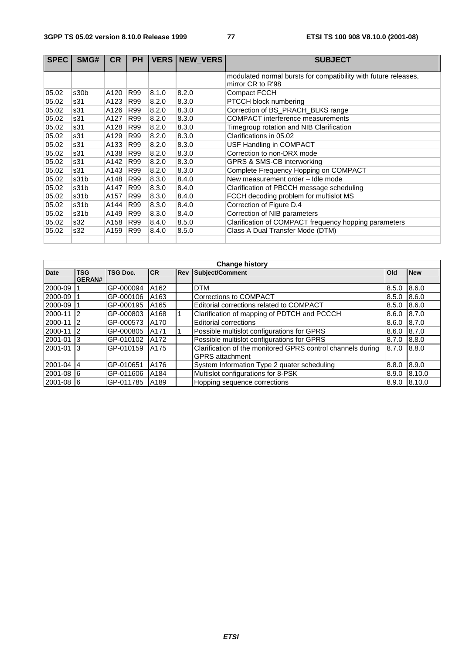| <b>SPEC</b> | SMG# | <b>CR</b> | <b>PH</b> |       | <b>VERS   NEW VERS</b> | <b>SUBJECT</b>                                                  |
|-------------|------|-----------|-----------|-------|------------------------|-----------------------------------------------------------------|
|             |      |           |           |       |                        | modulated normal bursts for compatibility with future releases, |
|             |      |           |           |       |                        | mirror CR to R'98                                               |
| 05.02       | s30b | A120      | R99       | 8.1.0 | 8.2.0                  | Compact FCCH                                                    |
| 05.02       | s31  | A123      | R99       | 8.2.0 | 8.3.0                  | PTCCH block numbering                                           |
| 05.02       | s31  | A126      | R99       | 8.2.0 | 8.3.0                  | Correction of BS_PRACH_BLKS range                               |
| 05.02       | s31  | A127      | R99       | 8.2.0 | 8.3.0                  | <b>COMPACT</b> interference measurements                        |
| 05.02       | s31  | A128      | R99       | 8.2.0 | 8.3.0                  | Timegroup rotation and NIB Clarification                        |
| 05.02       | s31  | A129      | R99       | 8.2.0 | 8.3.0                  | Clarifications in 05.02                                         |
| 05.02       | s31  | A133      | R99       | 8.2.0 | 8.3.0                  | USF Handling in COMPACT                                         |
| 05.02       | s31  | A138      | R99       | 8.2.0 | 8.3.0                  | Correction to non-DRX mode                                      |
| 05.02       | s31  | A142      | R99       | 8.2.0 | 8.3.0                  | GPRS & SMS-CB interworking                                      |
| 05.02       | s31  | A143      | R99       | 8.2.0 | 8.3.0                  | Complete Frequency Hopping on COMPACT                           |
| 05.02       | s31b | A148      | R99       | 8.3.0 | 8.4.0                  | New measurement order - Idle mode                               |
| 05.02       | s31b | A147      | R99       | 8.3.0 | 8.4.0                  | Clarification of PBCCH message scheduling                       |
| 05.02       | s31b | A157      | R99       | 8.3.0 | 8.4.0                  | FCCH decoding problem for multislot MS                          |
| 05.02       | s31b | A144      | R99       | 8.3.0 | 8.4.0                  | Correction of Figure D.4                                        |
| 05.02       | s31b | A149      | R99       | 8.3.0 | 8.4.0                  | Correction of NIB parameters                                    |
| 05.02       | s32  | A158      | R99       | 8.4.0 | 8.5.0                  | Clarification of COMPACT frequency hopping parameters           |
| 05.02       | s32  | A159      | R99       | 8.4.0 | 8.5.0                  | Class A Dual Transfer Mode (DTM)                                |
|             |      |           |           |       |                        |                                                                 |

|                                                                               | <b>Change history</b>       |                 |                  |  |                                                                                       |       |            |  |  |  |  |  |  |  |
|-------------------------------------------------------------------------------|-----------------------------|-----------------|------------------|--|---------------------------------------------------------------------------------------|-------|------------|--|--|--|--|--|--|--|
| <b>Date</b>                                                                   | <b>TSG</b><br><b>GERAN#</b> | <b>TSG Doc.</b> | <b>CR</b>        |  | <b>Rev Subject/Comment</b>                                                            | Old   | <b>New</b> |  |  |  |  |  |  |  |
| 2000-09                                                                       |                             | GP-000094       | A162             |  | <b>DTM</b>                                                                            | 8.5.0 | 8.6.0      |  |  |  |  |  |  |  |
| 2000-09 1                                                                     |                             | GP-000106       | A <sub>163</sub> |  | Corrections to COMPACT                                                                | 8.5.0 | 8.6.0      |  |  |  |  |  |  |  |
| 2000-09                                                                       |                             | GP-000195       | A165             |  | Editorial corrections related to COMPACT                                              | 8.5.0 | 8.6.0      |  |  |  |  |  |  |  |
| 2000-11                                                                       | $\overline{2}$              | GP-000803       | A168             |  | Clarification of mapping of PDTCH and PCCCH                                           | 8.6.0 | 18.7.0     |  |  |  |  |  |  |  |
| 2000-11                                                                       | $\overline{2}$              | GP-000573       | A170             |  | <b>Editorial corrections</b>                                                          | 8.6.0 | 18.7.0     |  |  |  |  |  |  |  |
| 2000-11                                                                       | $\overline{2}$              | GP-000805       | A171             |  | Possible multislot configurations for GPRS                                            | 8.6.0 | 8.7.0      |  |  |  |  |  |  |  |
| 2001-01                                                                       | -13                         | GP-010102       | A172             |  | Possible multislot configurations for GPRS                                            | 8.7.0 | 8.8.0      |  |  |  |  |  |  |  |
| 2001-01                                                                       | - 3                         | GP-010159       | A175             |  | Clarification of the monitored GPRS control channels during<br><b>GPRS</b> attachment | 8.7.0 | 8.8.0      |  |  |  |  |  |  |  |
| $2001 - 04$ 4                                                                 |                             | GP-010651       | A176             |  | System Information Type 2 quater scheduling                                           | 8.8.0 | 8.9.0      |  |  |  |  |  |  |  |
| Multislot configurations for 8-PSK<br>2001-08 6<br>GP-011606<br>A184<br>8.9.0 |                             |                 |                  |  |                                                                                       |       |            |  |  |  |  |  |  |  |
| 2001-08 6                                                                     |                             | GP-011785       | A189             |  | Hopping sequence corrections                                                          | 8.9.0 | 8.10.0     |  |  |  |  |  |  |  |